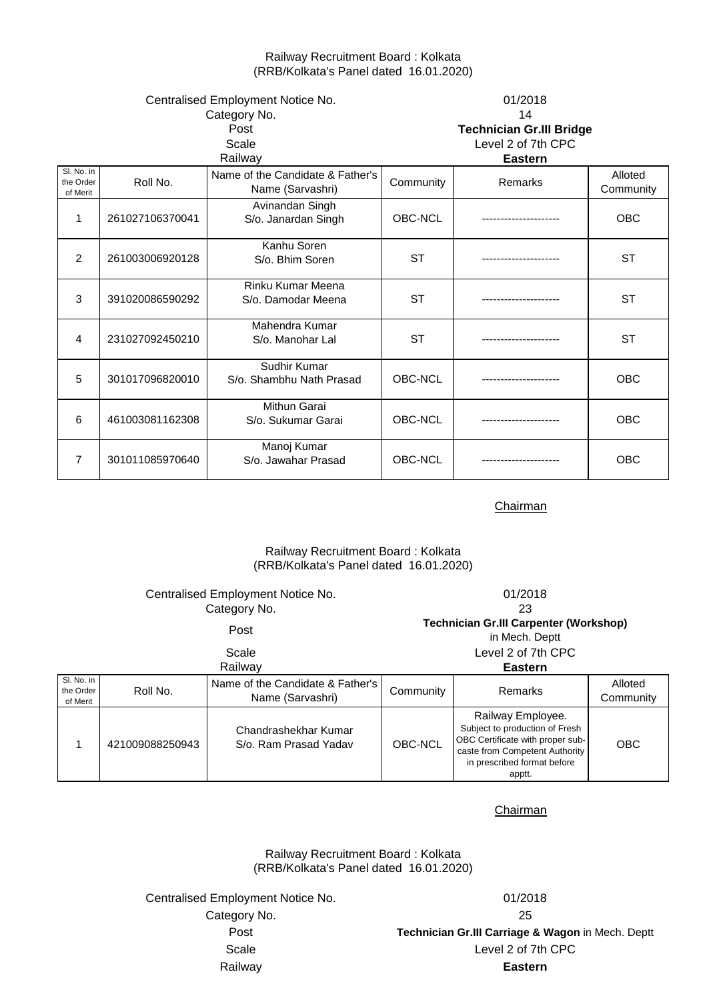## Railway Recruitment Board : Kolkata (RRB/Kolkata's Panel dated 16.01.2020)

| Centralised Employment Notice No.<br>Category No.<br>Post<br>Scale<br>Railway |                 |                                                      |           | 01/2018<br>14<br><b>Technician Gr.III Bridge</b><br>Level 2 of 7th CPC<br><b>Eastern</b> |                      |
|-------------------------------------------------------------------------------|-----------------|------------------------------------------------------|-----------|------------------------------------------------------------------------------------------|----------------------|
| SI. No. in<br>the Order<br>of Merit                                           | Roll No.        | Name of the Candidate & Father's<br>Name (Sarvashri) | Community | Remarks                                                                                  | Alloted<br>Community |
| $\mathbf{1}$                                                                  | 261027106370041 | Avinandan Singh<br>S/o. Janardan Singh               | OBC-NCL   |                                                                                          | <b>OBC</b>           |
| 2                                                                             | 261003006920128 | Kanhu Soren<br>S/o. Bhim Soren                       | <b>ST</b> |                                                                                          | <b>ST</b>            |
| 3                                                                             | 391020086590292 | Rinku Kumar Meena<br>S/o. Damodar Meena              | <b>ST</b> |                                                                                          | <b>ST</b>            |
| 4                                                                             | 231027092450210 | Mahendra Kumar<br>S/o. Manohar Lal                   | <b>ST</b> | ------------                                                                             | <b>ST</b>            |
| 5                                                                             | 301017096820010 | Sudhir Kumar<br>S/o. Shambhu Nath Prasad             | OBC-NCL   |                                                                                          | <b>OBC</b>           |
| 6                                                                             | 461003081162308 | Mithun Garai<br>S/o. Sukumar Garai                   | OBC-NCL   |                                                                                          | OBC                  |
| $\overline{7}$                                                                | 301011085970640 | Manoj Kumar<br>S/o. Jawahar Prasad                   | OBC-NCL   |                                                                                          | OBC                  |

**Chairman** 

# Railway Recruitment Board : Kolkata (RRB/Kolkata's Panel dated 16.01.2020)

|                                     | Centralised Employment Notice No.<br>Category No. |                                                      |                                                                 | 01/2018<br>23                                                                                                                                                      |                      |  |
|-------------------------------------|---------------------------------------------------|------------------------------------------------------|-----------------------------------------------------------------|--------------------------------------------------------------------------------------------------------------------------------------------------------------------|----------------------|--|
| Post                                |                                                   |                                                      | <b>Technician Gr.III Carpenter (Workshop)</b><br>in Mech. Deptt |                                                                                                                                                                    |                      |  |
| Scale<br>Railwav                    |                                                   |                                                      | Level 2 of 7th CPC<br><b>Eastern</b>                            |                                                                                                                                                                    |                      |  |
| Sl. No. in<br>the Order<br>of Merit | Roll No.                                          | Name of the Candidate & Father's<br>Name (Sarvashri) | Community                                                       | Remarks                                                                                                                                                            | Alloted<br>Community |  |
|                                     | 421009088250943                                   | Chandrashekhar Kumar<br>S/o. Ram Prasad Yadav        | OBC-NCL                                                         | Railway Employee.<br>Subject to production of Fresh<br>OBC Certificate with proper sub-<br>caste from Competent Authority<br>in prescribed format before<br>apptt. | <b>OBC</b>           |  |

**Chairman** 

Railway Recruitment Board : Kolkata (RRB/Kolkata's Panel dated 16.01.2020)

Centralised Employment Notice No. 01/2018 Category No. 25

Post **Technician Gr.III Carriage & Wagon** in Mech. Deptt Railway **Eastern** Scale Level 2 of 7th CPC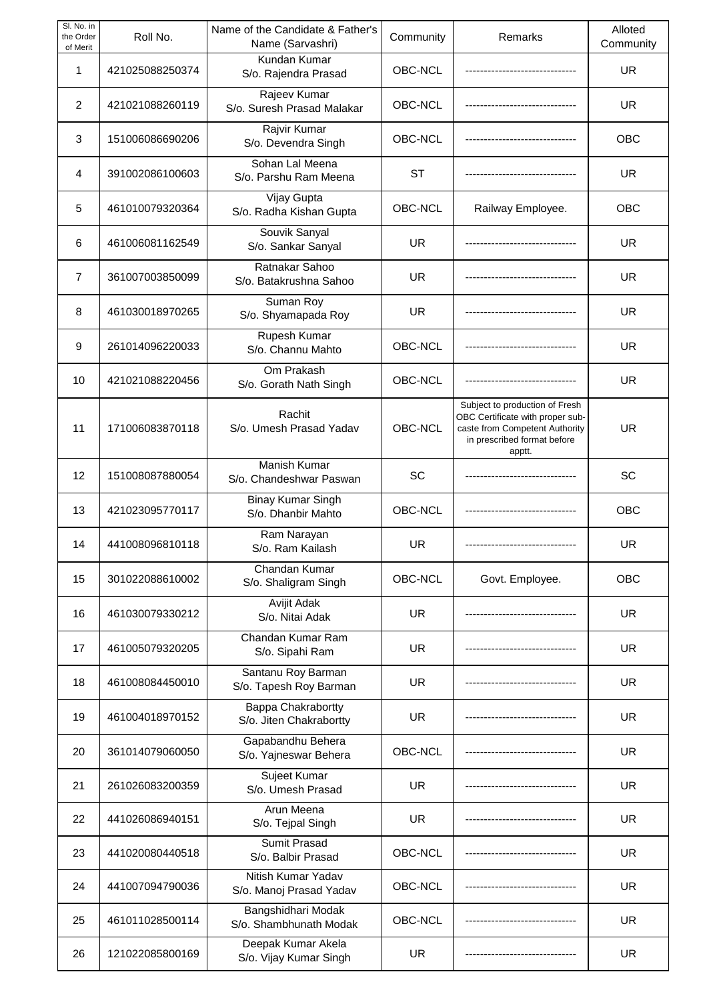| SI. No. in<br>the Order<br>of Merit | Roll No.        | Name of the Candidate & Father's<br>Name (Sarvashri) | Community | Remarks                                                                                                                                       | Alloted<br>Community |
|-------------------------------------|-----------------|------------------------------------------------------|-----------|-----------------------------------------------------------------------------------------------------------------------------------------------|----------------------|
| 1                                   | 421025088250374 | Kundan Kumar<br>S/o. Rajendra Prasad                 | OBC-NCL   |                                                                                                                                               | <b>UR</b>            |
| 2                                   | 421021088260119 | Rajeev Kumar<br>S/o. Suresh Prasad Malakar           | OBC-NCL   |                                                                                                                                               | <b>UR</b>            |
| 3                                   | 151006086690206 | Rajvir Kumar<br>S/o. Devendra Singh                  | OBC-NCL   |                                                                                                                                               | OBC                  |
| 4                                   | 391002086100603 | Sohan Lal Meena<br>S/o. Parshu Ram Meena             | ST        |                                                                                                                                               | UR.                  |
| 5                                   | 461010079320364 | Vijay Gupta<br>S/o. Radha Kishan Gupta               | OBC-NCL   | Railway Employee.                                                                                                                             | <b>OBC</b>           |
| 6                                   | 461006081162549 | Souvik Sanyal<br>S/o. Sankar Sanyal                  | <b>UR</b> |                                                                                                                                               | UR.                  |
| 7                                   | 361007003850099 | Ratnakar Sahoo<br>S/o. Batakrushna Sahoo             | <b>UR</b> |                                                                                                                                               | <b>UR</b>            |
| 8                                   | 461030018970265 | Suman Roy<br>S/o. Shyamapada Roy                     | <b>UR</b> |                                                                                                                                               | <b>UR</b>            |
| 9                                   | 261014096220033 | Rupesh Kumar<br>S/o. Channu Mahto                    | OBC-NCL   |                                                                                                                                               | <b>UR</b>            |
| 10                                  | 421021088220456 | Om Prakash<br>S/o. Gorath Nath Singh                 | OBC-NCL   |                                                                                                                                               | <b>UR</b>            |
| 11                                  | 171006083870118 | Rachit<br>S/o. Umesh Prasad Yadav                    | OBC-NCL   | Subject to production of Fresh<br>OBC Certificate with proper sub-<br>caste from Competent Authority<br>in prescribed format before<br>apptt. | <b>UR</b>            |
| 12                                  | 151008087880054 | Manish Kumar<br>S/o. Chandeshwar Paswan              | <b>SC</b> |                                                                                                                                               | SC                   |
| 13                                  | 421023095770117 | <b>Binay Kumar Singh</b><br>S/o. Dhanbir Mahto       | OBC-NCL   |                                                                                                                                               | OBC                  |
| 14                                  | 441008096810118 | Ram Narayan<br>S/o. Ram Kailash                      | UR        |                                                                                                                                               | <b>UR</b>            |
| 15                                  | 301022088610002 | Chandan Kumar<br>S/o. Shaligram Singh                | OBC-NCL   | Govt. Employee.                                                                                                                               | OBC                  |
| 16                                  | 461030079330212 | Avijit Adak<br>S/o. Nitai Adak                       | <b>UR</b> |                                                                                                                                               | <b>UR</b>            |
| 17                                  | 461005079320205 | Chandan Kumar Ram<br>S/o. Sipahi Ram                 | <b>UR</b> |                                                                                                                                               | <b>UR</b>            |
| 18                                  | 461008084450010 | Santanu Roy Barman<br>S/o. Tapesh Roy Barman         | <b>UR</b> |                                                                                                                                               | <b>UR</b>            |
| 19                                  | 461004018970152 | <b>Bappa Chakrabortty</b><br>S/o. Jiten Chakrabortty | <b>UR</b> |                                                                                                                                               | <b>UR</b>            |
| 20                                  | 361014079060050 | Gapabandhu Behera<br>S/o. Yajneswar Behera           | OBC-NCL   |                                                                                                                                               | <b>UR</b>            |
| 21                                  | 261026083200359 | Sujeet Kumar<br>S/o. Umesh Prasad                    | <b>UR</b> |                                                                                                                                               | <b>UR</b>            |
| 22                                  | 441026086940151 | Arun Meena<br>S/o. Tejpal Singh                      | <b>UR</b> |                                                                                                                                               | UR.                  |
| 23                                  | 441020080440518 | <b>Sumit Prasad</b><br>S/o. Balbir Prasad            | OBC-NCL   |                                                                                                                                               | <b>UR</b>            |
| 24                                  | 441007094790036 | Nitish Kumar Yadav<br>S/o. Manoj Prasad Yadav        | OBC-NCL   |                                                                                                                                               | UR.                  |
| 25                                  | 461011028500114 | Bangshidhari Modak<br>S/o. Shambhunath Modak         | OBC-NCL   |                                                                                                                                               | <b>UR</b>            |
| 26                                  | 121022085800169 | Deepak Kumar Akela<br>S/o. Vijay Kumar Singh         | <b>UR</b> |                                                                                                                                               | <b>UR</b>            |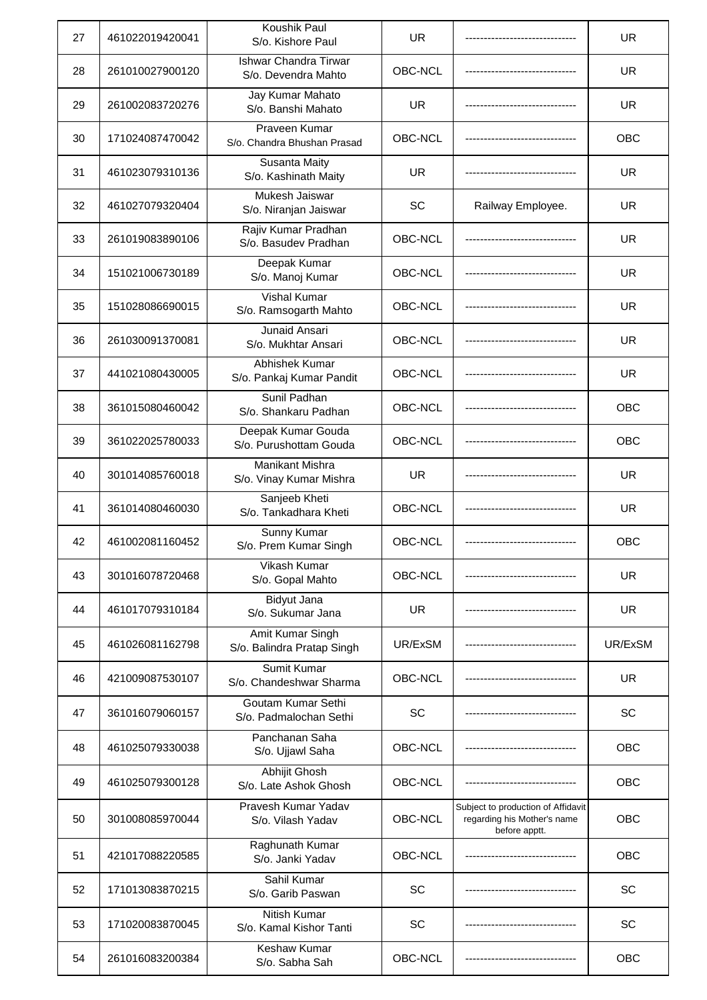| 27 | 461022019420041 | Koushik Paul<br>S/o. Kishore Paul                   | <b>UR</b> |                                                                                    | <b>UR</b>  |
|----|-----------------|-----------------------------------------------------|-----------|------------------------------------------------------------------------------------|------------|
| 28 | 261010027900120 | <b>Ishwar Chandra Tirwar</b><br>S/o. Devendra Mahto | OBC-NCL   |                                                                                    | UR         |
| 29 | 261002083720276 | Jay Kumar Mahato<br>S/o. Banshi Mahato              | <b>UR</b> |                                                                                    | <b>UR</b>  |
| 30 | 171024087470042 | Praveen Kumar<br>S/o. Chandra Bhushan Prasad        | OBC-NCL   |                                                                                    | <b>OBC</b> |
| 31 | 461023079310136 | Susanta Maity<br>S/o. Kashinath Maity               | <b>UR</b> |                                                                                    | <b>UR</b>  |
| 32 | 461027079320404 | Mukesh Jaiswar<br>S/o. Niranjan Jaiswar             | SC        | Railway Employee.                                                                  | <b>UR</b>  |
| 33 | 261019083890106 | Rajiv Kumar Pradhan<br>S/o. Basudev Pradhan         | OBC-NCL   |                                                                                    | <b>UR</b>  |
| 34 | 151021006730189 | Deepak Kumar<br>S/o. Manoj Kumar                    | OBC-NCL   |                                                                                    | <b>UR</b>  |
| 35 | 151028086690015 | <b>Vishal Kumar</b><br>S/o. Ramsogarth Mahto        | OBC-NCL   |                                                                                    | <b>UR</b>  |
| 36 | 261030091370081 | Junaid Ansari<br>S/o. Mukhtar Ansari                | OBC-NCL   |                                                                                    | <b>UR</b>  |
| 37 | 441021080430005 | Abhishek Kumar<br>S/o. Pankaj Kumar Pandit          | OBC-NCL   |                                                                                    | <b>UR</b>  |
| 38 | 361015080460042 | Sunil Padhan<br>S/o. Shankaru Padhan                | OBC-NCL   |                                                                                    | <b>OBC</b> |
| 39 | 361022025780033 | Deepak Kumar Gouda<br>S/o. Purushottam Gouda        | OBC-NCL   |                                                                                    | <b>OBC</b> |
| 40 | 301014085760018 | Manikant Mishra<br>S/o. Vinay Kumar Mishra          | <b>UR</b> |                                                                                    | <b>UR</b>  |
| 41 | 361014080460030 | Sanjeeb Kheti<br>S/o. Tankadhara Kheti              | OBC-NCL   |                                                                                    | <b>UR</b>  |
| 42 | 461002081160452 | <b>Sunny Kumar</b><br>S/o. Prem Kumar Singh         | OBC-NCL   |                                                                                    | OBC        |
| 43 | 301016078720468 | Vikash Kumar<br>S/o. Gopal Mahto                    | OBC-NCL   |                                                                                    | <b>UR</b>  |
| 44 | 461017079310184 | Bidyut Jana<br>S/o. Sukumar Jana                    | <b>UR</b> |                                                                                    | <b>UR</b>  |
| 45 | 461026081162798 | Amit Kumar Singh<br>S/o. Balindra Pratap Singh      | UR/ExSM   |                                                                                    | UR/ExSM    |
| 46 | 421009087530107 | Sumit Kumar<br>S/o. Chandeshwar Sharma              | OBC-NCL   |                                                                                    | <b>UR</b>  |
| 47 | 361016079060157 | Goutam Kumar Sethi<br>S/o. Padmalochan Sethi        | SC        |                                                                                    | SC         |
| 48 | 461025079330038 | Panchanan Saha<br>S/o. Ujjawl Saha                  | OBC-NCL   |                                                                                    | <b>OBC</b> |
| 49 | 461025079300128 | Abhijit Ghosh<br>S/o. Late Ashok Ghosh              | OBC-NCL   |                                                                                    | OBC        |
| 50 | 301008085970044 | Pravesh Kumar Yadav<br>S/o. Vilash Yadav            | OBC-NCL   | Subject to production of Affidavit<br>regarding his Mother's name<br>before apptt. | <b>OBC</b> |
| 51 | 421017088220585 | Raghunath Kumar<br>S/o. Janki Yadav                 | OBC-NCL   |                                                                                    | OBC        |
| 52 | 171013083870215 | Sahil Kumar<br>S/o. Garib Paswan                    | SC        |                                                                                    | <b>SC</b>  |
| 53 | 171020083870045 | Nitish Kumar<br>S/o. Kamal Kishor Tanti             | SC        |                                                                                    | SC         |
| 54 | 261016083200384 | <b>Keshaw Kumar</b><br>S/o. Sabha Sah               | OBC-NCL   |                                                                                    | OBC        |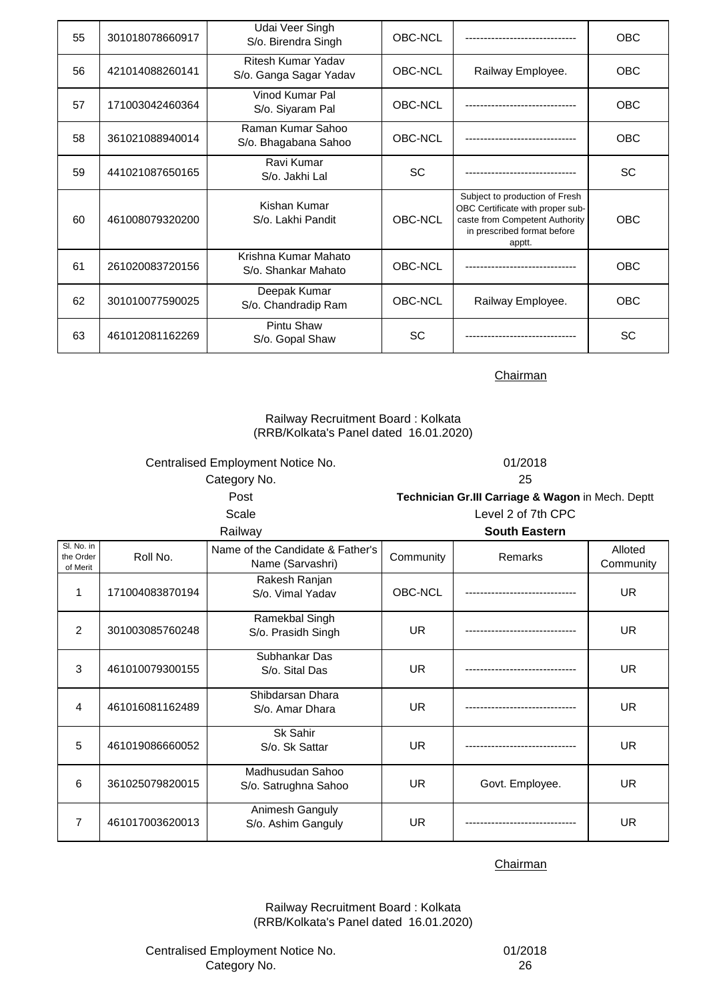| 55 | 301018078660917 | Udai Veer Singh<br>S/o. Birendra Singh       | OBC-NCL        |                                                                                                                                               | <b>OBC</b> |
|----|-----------------|----------------------------------------------|----------------|-----------------------------------------------------------------------------------------------------------------------------------------------|------------|
| 56 | 421014088260141 | Ritesh Kumar Yadav<br>S/o. Ganga Sagar Yadav | OBC-NCL        | Railway Employee.                                                                                                                             | <b>OBC</b> |
| 57 | 171003042460364 | Vinod Kumar Pal<br>S/o. Siyaram Pal          | OBC-NCL        |                                                                                                                                               | <b>OBC</b> |
| 58 | 361021088940014 | Raman Kumar Sahoo<br>S/o. Bhagabana Sahoo    | OBC-NCL        |                                                                                                                                               | <b>OBC</b> |
| 59 | 441021087650165 | Ravi Kumar<br>S/o. Jakhi Lal                 | <b>SC</b>      |                                                                                                                                               | <b>SC</b>  |
| 60 | 461008079320200 | Kishan Kumar<br>S/o. Lakhi Pandit            | OBC-NCL        | Subject to production of Fresh<br>OBC Certificate with proper sub-<br>caste from Competent Authority<br>in prescribed format before<br>apptt. | <b>OBC</b> |
| 61 | 261020083720156 | Krishna Kumar Mahato<br>S/o. Shankar Mahato  | <b>OBC-NCL</b> |                                                                                                                                               | <b>OBC</b> |
| 62 | 301010077590025 | Deepak Kumar<br>S/o. Chandradip Ram          | OBC-NCL        | Railway Employee.                                                                                                                             | <b>OBC</b> |
| 63 | 461012081162269 | Pintu Shaw<br>S/o. Gopal Shaw                | <b>SC</b>      |                                                                                                                                               | <b>SC</b>  |

# Railway Recruitment Board : Kolkata (RRB/Kolkata's Panel dated 16.01.2020)

Centralised Employment Notice No. 01/2018 Category No. 25

Scale Level 2 of 7th CPC Post **Technician Gr.III Carriage & Wagon** in Mech. Deptt

| Railway                             |                 |                                                      |           | <b>South Eastern</b> |                      |
|-------------------------------------|-----------------|------------------------------------------------------|-----------|----------------------|----------------------|
| Sl. No. in<br>the Order<br>of Merit | Roll No.        | Name of the Candidate & Father's<br>Name (Sarvashri) | Community | Remarks              | Alloted<br>Community |
| 1                                   | 171004083870194 | Rakesh Ranjan<br>S/o. Vimal Yadav                    | OBC-NCL   |                      | <b>UR</b>            |
| 2                                   | 301003085760248 | Ramekbal Singh<br>S/o. Prasidh Singh                 | <b>UR</b> |                      | <b>UR</b>            |
| 3                                   | 461010079300155 | Subhankar Das<br>S/o. Sital Das                      | <b>UR</b> |                      | <b>UR</b>            |
| 4                                   | 461016081162489 | Shibdarsan Dhara<br>S/o. Amar Dhara                  | <b>UR</b> |                      | <b>UR</b>            |
| 5                                   | 461019086660052 | Sk Sahir<br>S/o. Sk Sattar                           | <b>UR</b> |                      | <b>UR</b>            |
| 6                                   | 361025079820015 | Madhusudan Sahoo<br>S/o. Satrughna Sahoo             | <b>UR</b> | Govt. Employee.      | <b>UR</b>            |
| 7                                   | 461017003620013 | Animesh Ganguly<br>S/o. Ashim Ganguly                | UR.       |                      | UR.                  |

**Chairman** 

Railway Recruitment Board : Kolkata (RRB/Kolkata's Panel dated 16.01.2020)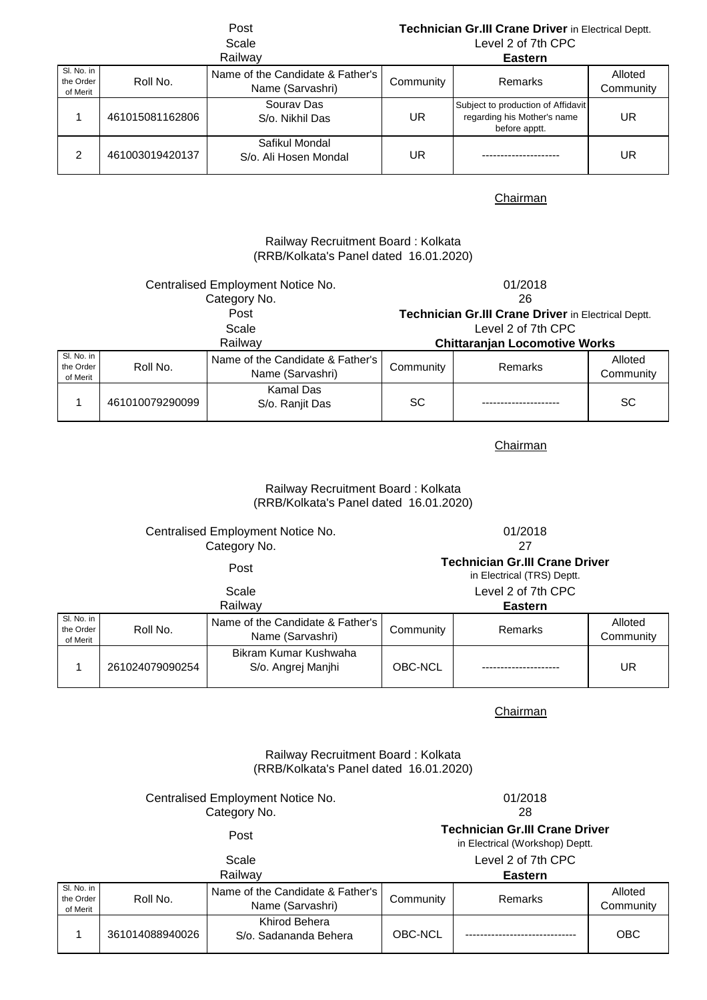# Post **Technician Gr.III Crane Driver** in Electrical Deptt. Scale Level 2 of 7th CPC

|                                     |                 | Railway                                              |           | <b>Eastern</b>                                                                     |                      |
|-------------------------------------|-----------------|------------------------------------------------------|-----------|------------------------------------------------------------------------------------|----------------------|
| SI. No. in<br>the Order<br>of Merit | Roll No.        | Name of the Candidate & Father's<br>Name (Sarvashri) | Community | Remarks                                                                            | Alloted<br>Community |
|                                     | 461015081162806 | Sourav Das<br>S/o. Nikhil Das                        | UR        | Subject to production of Affidavit<br>regarding his Mother's name<br>before apptt. | UR                   |
| 2                                   | 461003019420137 | Safikul Mondal<br>S/o. Ali Hosen Mondal              | UR        |                                                                                    | UR                   |

## **Chairman**

# (RRB/Kolkata's Panel dated 16.01.2020) Railway Recruitment Board : Kolkata

| Centralised Employment Notice No.   |                 |                                                      | 01/2018            |                                                     |                      |
|-------------------------------------|-----------------|------------------------------------------------------|--------------------|-----------------------------------------------------|----------------------|
|                                     |                 | Category No.                                         |                    | 26                                                  |                      |
|                                     |                 | Post                                                 |                    | Technician Gr.III Crane Driver in Electrical Deptt. |                      |
| Scale                               |                 |                                                      | Level 2 of 7th CPC |                                                     |                      |
| Railway                             |                 | <b>Chittaranjan Locomotive Works</b>                 |                    |                                                     |                      |
| SI. No. in<br>the Order<br>of Merit | Roll No.        | Name of the Candidate & Father's<br>Name (Sarvashri) | Community          | Remarks                                             | Alloted<br>Community |
|                                     | 461010079290099 | Kamal Das<br>S/o. Ranjit Das                         | <b>SC</b>          |                                                     | <b>SC</b>            |

# Chairman

# Railway Recruitment Board : Kolkata (RRB/Kolkata's Panel dated 16.01.2020)

|                                     | Centralised Employment Notice No.<br>Category No. |                                                                     | 01/2018<br>27      |         |                      |  |
|-------------------------------------|---------------------------------------------------|---------------------------------------------------------------------|--------------------|---------|----------------------|--|
| Post                                |                                                   | <b>Technician Gr.III Crane Driver</b><br>in Electrical (TRS) Deptt. |                    |         |                      |  |
| Scale                               |                                                   |                                                                     | Level 2 of 7th CPC |         |                      |  |
| Railway                             |                                                   |                                                                     | <b>Eastern</b>     |         |                      |  |
| Sl. No. in<br>the Order<br>of Merit | Roll No.                                          | Name of the Candidate & Father's<br>Name (Sarvashri)                | Community          | Remarks | Alloted<br>Community |  |
|                                     | 261024079090254                                   | Bikram Kumar Kushwaha<br>S/o. Angrej Manjhi                         | OBC-NCL            |         | UR                   |  |

## Chairman

# Railway Recruitment Board : Kolkata (RRB/Kolkata's Panel dated 16.01.2020)

# Centralised Employment Notice No. 01/2018<br>Category No. 28 Category No.

Post **Technician Gr.III Crane Driver** 

in Electrical (Workshop) Deptt.

# Scale Level 2 of 7th CPC

| Railwav                             |                 | <b>Eastern</b>                                       |           |         |                      |
|-------------------------------------|-----------------|------------------------------------------------------|-----------|---------|----------------------|
| Sl. No. in<br>the Order<br>of Merit | Roll No.        | Name of the Candidate & Father's<br>Name (Sarvashri) | Community | Remarks | Alloted<br>Community |
|                                     | 361014088940026 | Khirod Behera<br>S/o. Sadananda Behera               | OBC-NCL   |         | <b>OBC</b>           |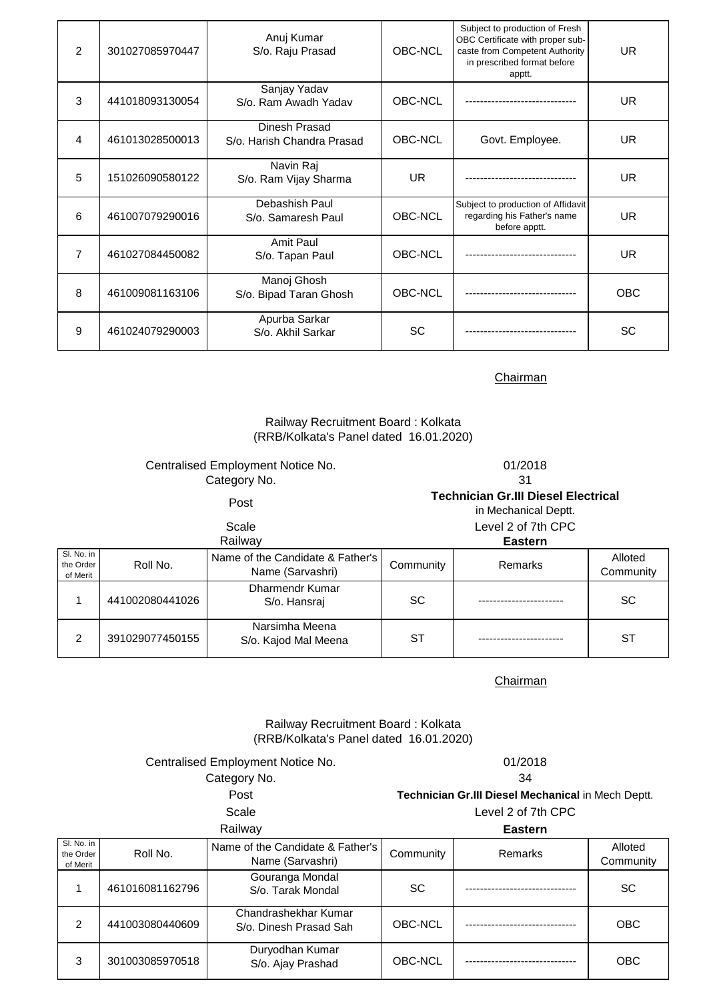| $\mathcal{P}$  | 301027085970447 | Anuj Kumar<br>S/o. Raju Prasad              | OBC-NCL   | Subject to production of Fresh<br>OBC Certificate with proper sub-<br>caste from Competent Authority<br>in prescribed format before<br>apptt. | <b>UR</b>  |
|----------------|-----------------|---------------------------------------------|-----------|-----------------------------------------------------------------------------------------------------------------------------------------------|------------|
| 3              | 441018093130054 | Sanjay Yadav<br>S/o. Ram Awadh Yadav        | OBC-NCL   |                                                                                                                                               | <b>UR</b>  |
| 4              | 461013028500013 | Dinesh Prasad<br>S/o. Harish Chandra Prasad | OBC-NCL   | Govt. Employee.                                                                                                                               | <b>UR</b>  |
| 5              | 151026090580122 | Navin Raj<br>S/o. Ram Vijay Sharma          | UR.       |                                                                                                                                               | <b>UR</b>  |
| 6              | 461007079290016 | Debashish Paul<br>S/o. Samaresh Paul        | OBC-NCL   | Subject to production of Affidavit<br>regarding his Father's name<br>before apptt.                                                            | <b>UR</b>  |
| $\overline{7}$ | 461027084450082 | Amit Paul<br>S/o. Tapan Paul                | OBC-NCL   |                                                                                                                                               | <b>UR</b>  |
| 8              | 461009081163106 | Manoj Ghosh<br>S/o. Bipad Taran Ghosh       | OBC-NCL   |                                                                                                                                               | <b>OBC</b> |
| 9              | 461024079290003 | Apurba Sarkar<br>S/o. Akhil Sarkar          | <b>SC</b> |                                                                                                                                               | SC         |

# Railway Recruitment Board : Kolkata (RRB/Kolkata's Panel dated 16.01.2020)

# Centralised Employment Notice No. 01/2018 Category No. 31

Post **Technician Gr.III Diesel Electrical** 

in Mechanical Deptt.

|                                     |                 | Scale                                                |           | Level 2 of 7th CPC |                      |
|-------------------------------------|-----------------|------------------------------------------------------|-----------|--------------------|----------------------|
|                                     |                 | Railway                                              |           | <b>Eastern</b>     |                      |
| SI. No. in<br>the Order<br>of Merit | Roll No.        | Name of the Candidate & Father's<br>Name (Sarvashri) | Community | <b>Remarks</b>     | Alloted<br>Community |
|                                     | 441002080441026 | <b>Dharmendr Kumar</b><br>S/o. Hansraj               | <b>SC</b> |                    | <b>SC</b>            |
| 2                                   | 391029077450155 | Narsimha Meena<br>S/o. Kajod Mal Meena               | SТ        |                    | ST                   |

**Chairman** 

# Railway Recruitment Board : Kolkata (RRB/Kolkata's Panel dated 16.01.2020)

Centralised Employment Notice No. 01/2018

Post Category No. 34

Scale Level 2 of 7th CPC **Technician Gr.III Diesel Mechanical** in Mech Deptt.

**Eastern**

| Railway                             |                 |                                                      | <b>Eastern</b> |                |                      |
|-------------------------------------|-----------------|------------------------------------------------------|----------------|----------------|----------------------|
| SI. No. in<br>the Order<br>of Merit | Roll No.        | Name of the Candidate & Father's<br>Name (Sarvashri) | Community      | <b>Remarks</b> | Alloted<br>Community |
|                                     | 461016081162796 | Gouranga Mondal<br>S/o. Tarak Mondal                 | <b>SC</b>      |                | <b>SC</b>            |
| 2                                   | 441003080440609 | Chandrashekhar Kumar<br>S/o. Dinesh Prasad Sah       | OBC-NCL        |                | <b>OBC</b>           |
| 3                                   | 301003085970518 | Duryodhan Kumar<br>S/o. Ajay Prashad                 | OBC-NCL        |                | <b>OBC</b>           |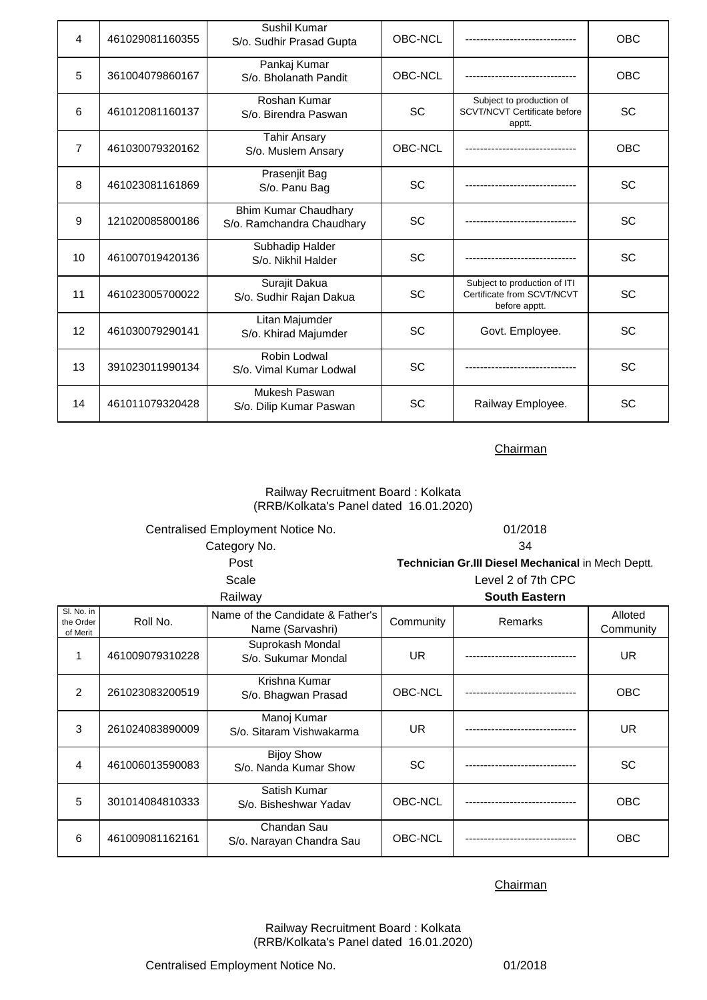| 4              | 461029081160355 | Sushil Kumar<br>S/o. Sudhir Prasad Gupta                 | OBC-NCL   |                                                                             | <b>OBC</b> |
|----------------|-----------------|----------------------------------------------------------|-----------|-----------------------------------------------------------------------------|------------|
| 5              | 361004079860167 | Pankaj Kumar<br>S/o. Bholanath Pandit                    | OBC-NCL   |                                                                             | <b>OBC</b> |
| 6              | 461012081160137 | Roshan Kumar<br>S/o. Birendra Paswan                     | <b>SC</b> | Subject to production of<br><b>SCVT/NCVT Certificate before</b><br>apptt.   | <b>SC</b>  |
| $\overline{7}$ | 461030079320162 | <b>Tahir Ansary</b><br>S/o. Muslem Ansary                | OBC-NCL   |                                                                             | OBC        |
| 8              | 461023081161869 | Prasenjit Bag<br>S/o. Panu Bag                           | <b>SC</b> |                                                                             | <b>SC</b>  |
| 9              | 121020085800186 | <b>Bhim Kumar Chaudhary</b><br>S/o. Ramchandra Chaudhary | SC        |                                                                             | <b>SC</b>  |
| 10             | 461007019420136 | Subhadip Halder<br>S/o. Nikhil Halder                    | SC        |                                                                             | <b>SC</b>  |
| 11             | 461023005700022 | Surajit Dakua<br>S/o. Sudhir Rajan Dakua                 | SC        | Subject to production of ITI<br>Certificate from SCVT/NCVT<br>before apptt. | <b>SC</b>  |
| 12             | 461030079290141 | Litan Majumder<br>S/o. Khirad Majumder                   | SC        | Govt. Employee.                                                             | <b>SC</b>  |
| 13             | 391023011990134 | Robin Lodwal<br>S/o. Vimal Kumar Lodwal                  | <b>SC</b> |                                                                             | SC         |
| 14             | 461011079320428 | Mukesh Paswan<br>S/o. Dilip Kumar Paswan                 | SC        | Railway Employee.                                                           | <b>SC</b>  |

# Railway Recruitment Board : Kolkata (RRB/Kolkata's Panel dated 16.01.2020)

| Centralised Employment Notice No. | 01/2018                                                   |
|-----------------------------------|-----------------------------------------------------------|
| Category No.                      | 34                                                        |
| Post                              | <b>Technician Gr.III Diesel Mechanical in Mech Deptt.</b> |
| Scale                             | Level 2 of 7th CPC                                        |
| Railway                           | <b>South Eastern</b>                                      |

| SI. No. in<br>the Order<br>of Merit | Roll No.        | Name of the Candidate & Father's<br>Name (Sarvashri) | Community | <b>Remarks</b> | Alloted<br>Community |
|-------------------------------------|-----------------|------------------------------------------------------|-----------|----------------|----------------------|
|                                     | 461009079310228 | Suprokash Mondal<br>S/o. Sukumar Mondal              | UR.       |                | UR.                  |
| 2                                   | 261023083200519 | Krishna Kumar<br>S/o. Bhagwan Prasad                 | OBC-NCL   |                | <b>OBC</b>           |
| 3                                   | 261024083890009 | Manoj Kumar<br>S/o. Sitaram Vishwakarma              | UR.       |                | UR.                  |
| 4                                   | 461006013590083 | <b>Bijoy Show</b><br>S/o. Nanda Kumar Show           | <b>SC</b> |                | <b>SC</b>            |
| 5                                   | 301014084810333 | Satish Kumar<br>S/o. Bisheshwar Yadav                | OBC-NCL   |                | <b>OBC</b>           |
| 6                                   | 461009081162161 | Chandan Sau<br>S/o. Narayan Chandra Sau              | OBC-NCL   |                | <b>OBC</b>           |

# **Chairman**

Railway Recruitment Board : Kolkata (RRB/Kolkata's Panel dated 16.01.2020)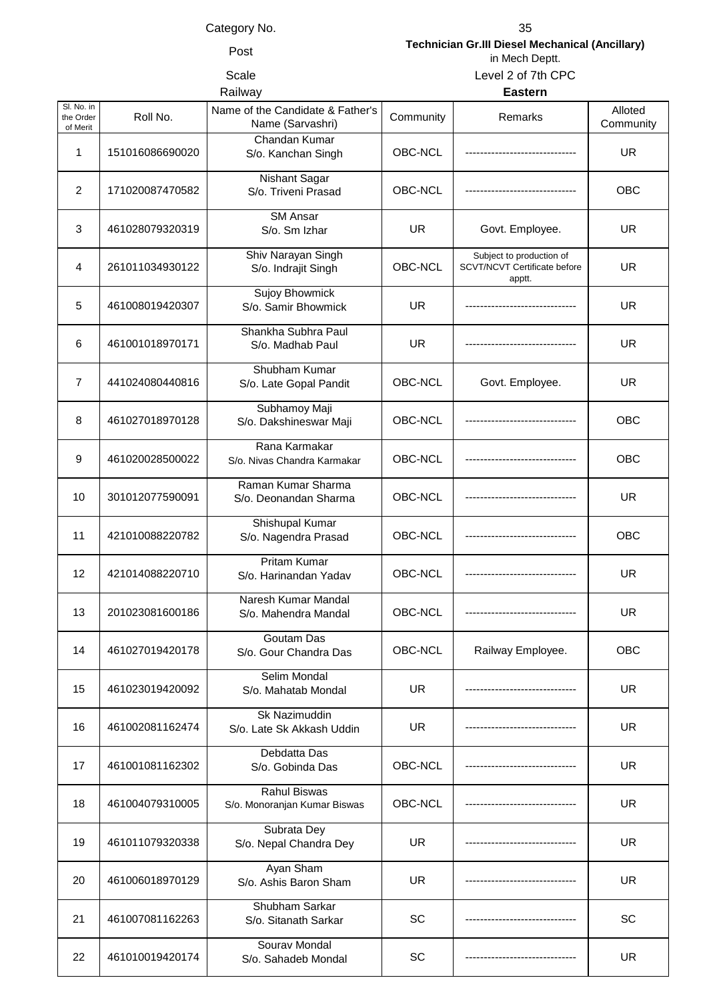Post **Technician Gr.III Diesel Mechanical (Ancillary)**  in Mech Deptt. Scale Level 2 of 7th CPC

# **Railway**

|  | r. | . . | r |  |
|--|----|-----|---|--|

| SI. No. in<br>the Order<br>of Merit | Roll No.        | Name of the Candidate & Father's<br>Name (Sarvashri) | Community      | Remarks                                                                   | Alloted<br>Community |
|-------------------------------------|-----------------|------------------------------------------------------|----------------|---------------------------------------------------------------------------|----------------------|
| 1                                   | 151016086690020 | Chandan Kumar<br>S/o. Kanchan Singh                  | OBC-NCL        |                                                                           | <b>UR</b>            |
| $\overline{2}$                      | 171020087470582 | Nishant Sagar<br>S/o. Triveni Prasad                 | OBC-NCL        |                                                                           | OBC                  |
| 3                                   | 461028079320319 | <b>SM</b> Ansar<br>S/o. Sm Izhar                     | UR             | Govt. Employee.                                                           | UR.                  |
| 4                                   | 261011034930122 | Shiv Narayan Singh<br>S/o. Indrajit Singh            | OBC-NCL        | Subject to production of<br><b>SCVT/NCVT Certificate before</b><br>apptt. | <b>UR</b>            |
| 5                                   | 461008019420307 | Sujoy Bhowmick<br>S/o. Samir Bhowmick                | <b>UR</b>      |                                                                           | <b>UR</b>            |
| 6                                   | 461001018970171 | Shankha Subhra Paul<br>S/o. Madhab Paul              | UR             |                                                                           | <b>UR</b>            |
| $\overline{7}$                      | 441024080440816 | Shubham Kumar<br>S/o. Late Gopal Pandit              | <b>OBC-NCL</b> | Govt. Employee.                                                           | <b>UR</b>            |
| 8                                   | 461027018970128 | Subhamoy Maji<br>S/o. Dakshineswar Maji              | OBC-NCL        |                                                                           | OBC                  |
| 9                                   | 461020028500022 | Rana Karmakar<br>S/o. Nivas Chandra Karmakar         | OBC-NCL        |                                                                           | <b>OBC</b>           |
| 10                                  | 301012077590091 | Raman Kumar Sharma<br>S/o. Deonandan Sharma          | OBC-NCL        |                                                                           | <b>UR</b>            |
| 11                                  | 421010088220782 | Shishupal Kumar<br>S/o. Nagendra Prasad              | OBC-NCL        |                                                                           | OBC                  |
| 12                                  | 421014088220710 | <b>Pritam Kumar</b><br>S/o. Harinandan Yadav         | OBC-NCL        |                                                                           | <b>UR</b>            |
| 13                                  | 201023081600186 | Naresh Kumar Mandal<br>S/o. Mahendra Mandal          | OBC-NCL        |                                                                           | UR.                  |
| 14                                  | 461027019420178 | Goutam Das<br>S/o. Gour Chandra Das                  | OBC-NCL        | Railway Employee.                                                         | <b>OBC</b>           |
| 15                                  | 461023019420092 | Selim Mondal<br>S/o. Mahatab Mondal                  | <b>UR</b>      |                                                                           | UR.                  |
| 16                                  | 461002081162474 | Sk Nazimuddin<br>S/o. Late Sk Akkash Uddin           | <b>UR</b>      |                                                                           | UR.                  |
| 17                                  | 461001081162302 | Debdatta Das<br>S/o. Gobinda Das                     | OBC-NCL        |                                                                           | <b>UR</b>            |
| 18                                  | 461004079310005 | <b>Rahul Biswas</b><br>S/o. Monoranjan Kumar Biswas  | OBC-NCL        |                                                                           | <b>UR</b>            |
| 19                                  | 461011079320338 | Subrata Dey<br>S/o. Nepal Chandra Dey                | <b>UR</b>      |                                                                           | UR.                  |
| 20                                  | 461006018970129 | Ayan Sham<br>S/o. Ashis Baron Sham                   | <b>UR</b>      |                                                                           | <b>UR</b>            |
| 21                                  | 461007081162263 | Shubham Sarkar<br>S/o. Sitanath Sarkar               | SC             |                                                                           | SC                   |
| 22                                  | 461010019420174 | Sourav Mondal<br>S/o. Sahadeb Mondal                 | SC             |                                                                           | <b>UR</b>            |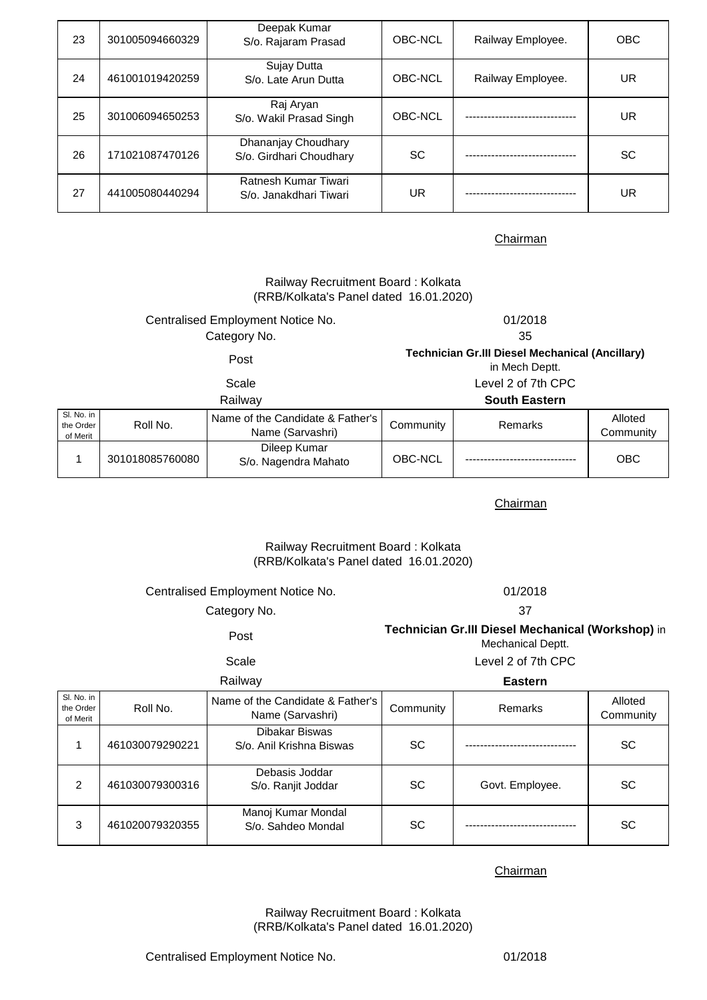| 23 | 301005094660329 | Deepak Kumar<br>S/o. Rajaram Prasad            | OBC-NCL   | Railway Employee.    | <b>OBC</b> |
|----|-----------------|------------------------------------------------|-----------|----------------------|------------|
| 24 | 461001019420259 | Sujay Dutta<br>S/o. Late Arun Dutta            | OBC-NCL   | Railway Employee.    | UR         |
| 25 | 301006094650253 | Raj Aryan<br>S/o. Wakil Prasad Singh           | OBC-NCL   | -------------------- | UR.        |
| 26 | 171021087470126 | Dhananjay Choudhary<br>S/o. Girdhari Choudhary | <b>SC</b> |                      | <b>SC</b>  |
| 27 | 441005080440294 | Ratnesh Kumar Tiwari<br>S/o. Janakdhari Tiwari | UR        |                      | UR         |

|                                     |                 | Railway Recruitment Board: Kolkata<br>(RRB/Kolkata's Panel dated 16.01.2020) |                                                                          |                      |                      |
|-------------------------------------|-----------------|------------------------------------------------------------------------------|--------------------------------------------------------------------------|----------------------|----------------------|
|                                     |                 | Centralised Employment Notice No.                                            | 01/2018                                                                  |                      |                      |
|                                     |                 | Category No.                                                                 |                                                                          | 35                   |                      |
| Post                                |                 |                                                                              | <b>Technician Gr.III Diesel Mechanical (Ancillary)</b><br>in Mech Deptt. |                      |                      |
|                                     |                 | Scale                                                                        | Level 2 of 7th CPC                                                       |                      |                      |
|                                     |                 | Railway                                                                      |                                                                          | <b>South Eastern</b> |                      |
| Sl. No. in<br>the Order<br>of Merit | Roll No.        | Name of the Candidate & Father's<br>Name (Sarvashri)                         | Community                                                                | Remarks              | Alloted<br>Community |
| 1                                   | 301018085760080 | Dileep Kumar<br>S/o. Nagendra Mahato                                         | OBC-NCL                                                                  |                      | <b>OBC</b>           |

Chairman

# (RRB/Kolkata's Panel dated 16.01.2020) Railway Recruitment Board : Kolkata

|             | Centralised Employment Notice No. | 01/2018                                                                |                |         |  |  |
|-------------|-----------------------------------|------------------------------------------------------------------------|----------------|---------|--|--|
|             | Category No.                      | 37                                                                     |                |         |  |  |
| Post        |                                   | Technician Gr.III Diesel Mechanical (Workshop) in<br>Mechanical Deptt. |                |         |  |  |
| Scale       |                                   | Level 2 of 7th CPC                                                     |                |         |  |  |
| Railway     |                                   |                                                                        | <b>Eastern</b> |         |  |  |
| $D = II N1$ | Name of the Candidate & Father's  | $O = max(1.1)$                                                         | Dama-ulis      | Alloted |  |  |

| SI. No. in<br>the Order<br>of Merit | Roll No.        | Name of the Candidate & Father's<br>Name (Sarvashri) | Community | Remarks         | Alloted<br>Community |
|-------------------------------------|-----------------|------------------------------------------------------|-----------|-----------------|----------------------|
|                                     | 461030079290221 | Dibakar Biswas<br>S/o. Anil Krishna Biswas           | <b>SC</b> |                 | <b>SC</b>            |
| 2                                   | 461030079300316 | Debasis Joddar<br>S/o. Ranjit Joddar                 | SC.       | Govt. Employee. | <b>SC</b>            |
| 3                                   | 461020079320355 | Manoj Kumar Mondal<br>S/o. Sahdeo Mondal             | <b>SC</b> |                 | <b>SC</b>            |

**Chairman** 

(RRB/Kolkata's Panel dated 16.01.2020) Railway Recruitment Board : Kolkata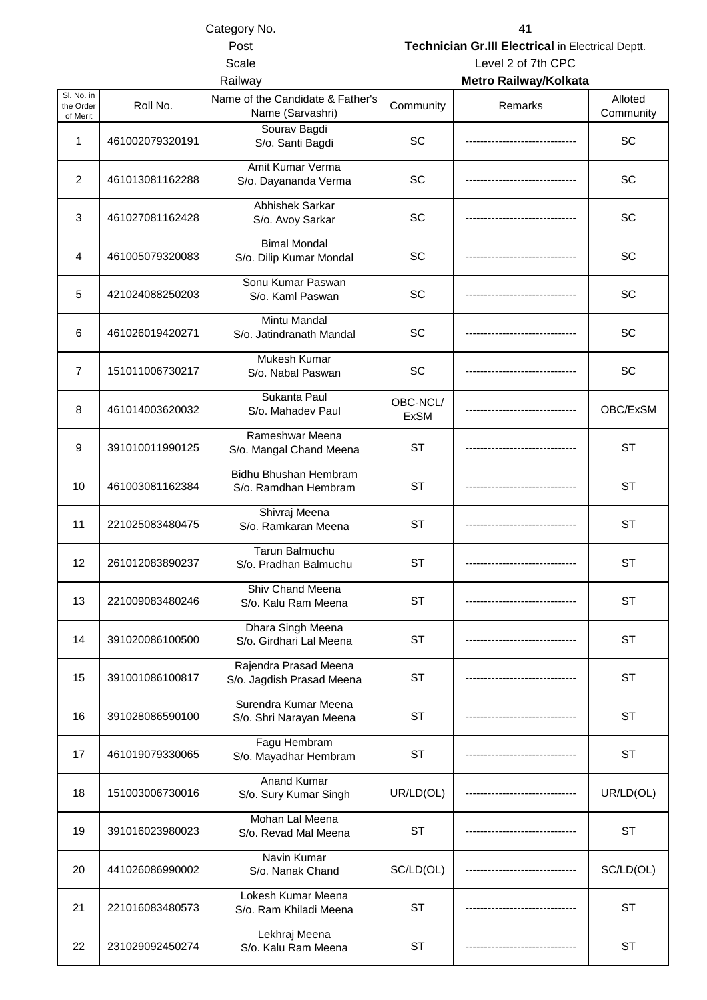Category No. 41

Post **Technician Gr.III Electrical** in Electrical Deptt.

Railway **Metro Railway/Kolkata** Scale Level 2 of 7th CPC

| SI. No. in<br>the Order<br>of Merit | Roll No.        | Name of the Candidate & Father's<br>Name (Sarvashri) | Community               | Remarks | Alloted<br>Community |
|-------------------------------------|-----------------|------------------------------------------------------|-------------------------|---------|----------------------|
| 1                                   | 461002079320191 | Sourav Bagdi<br>S/o. Santi Bagdi                     | <b>SC</b>               |         | SC                   |
| 2                                   | 461013081162288 | Amit Kumar Verma<br>S/o. Dayananda Verma             | SC                      |         | SC                   |
| 3                                   | 461027081162428 | Abhishek Sarkar<br>S/o. Avoy Sarkar                  | SC                      |         | SC                   |
| 4                                   | 461005079320083 | <b>Bimal Mondal</b><br>S/o. Dilip Kumar Mondal       | SC                      |         | SC                   |
| 5                                   | 421024088250203 | Sonu Kumar Paswan<br>S/o. Kaml Paswan                | SC                      |         | SC                   |
| 6                                   | 461026019420271 | Mintu Mandal<br>S/o. Jatindranath Mandal             | SC                      |         | SC                   |
| $\overline{7}$                      | 151011006730217 | Mukesh Kumar<br>S/o. Nabal Paswan                    | SC                      |         | SC                   |
| 8                                   | 461014003620032 | Sukanta Paul<br>S/o. Mahadev Paul                    | OBC-NCL/<br><b>ExSM</b> |         | OBC/ExSM             |
| 9                                   | 391010011990125 | Rameshwar Meena<br>S/o. Mangal Chand Meena           | <b>ST</b>               |         | <b>ST</b>            |
| 10                                  | 461003081162384 | Bidhu Bhushan Hembram<br>S/o. Ramdhan Hembram        | <b>ST</b>               |         | <b>ST</b>            |
| 11                                  | 221025083480475 | Shivraj Meena<br>S/o. Ramkaran Meena                 | <b>ST</b>               |         | <b>ST</b>            |
| 12                                  | 261012083890237 | <b>Tarun Balmuchu</b><br>S/o. Pradhan Balmuchu       | <b>ST</b>               |         | <b>ST</b>            |
| 13                                  | 221009083480246 | Shiv Chand Meena<br>S/o. Kalu Ram Meena              | <b>ST</b>               |         | <b>ST</b>            |
| 14                                  | 391020086100500 | Dhara Singh Meena<br>S/o. Girdhari Lal Meena         | <b>ST</b>               |         | <b>ST</b>            |
| 15                                  | 391001086100817 | Rajendra Prasad Meena<br>S/o. Jagdish Prasad Meena   | ST                      |         | <b>ST</b>            |
| 16                                  | 391028086590100 | Surendra Kumar Meena<br>S/o. Shri Narayan Meena      | <b>ST</b>               |         | <b>ST</b>            |
| 17                                  | 461019079330065 | Fagu Hembram<br>S/o. Mayadhar Hembram                | <b>ST</b>               |         | <b>ST</b>            |
| 18                                  | 151003006730016 | <b>Anand Kumar</b><br>S/o. Sury Kumar Singh          | UR/LD(OL)               |         | UR/LD(OL)            |
| 19                                  | 391016023980023 | Mohan Lal Meena<br>S/o. Revad Mal Meena              | ST                      |         | ST                   |
| 20                                  | 441026086990002 | Navin Kumar<br>S/o. Nanak Chand                      | SC/LD(OL)               |         | SC/LD(OL)            |
| 21                                  | 221016083480573 | Lokesh Kumar Meena<br>S/o. Ram Khiladi Meena         | <b>ST</b>               |         | ST                   |
| 22                                  | 231029092450274 | Lekhraj Meena<br>S/o. Kalu Ram Meena                 | <b>ST</b>               |         | <b>ST</b>            |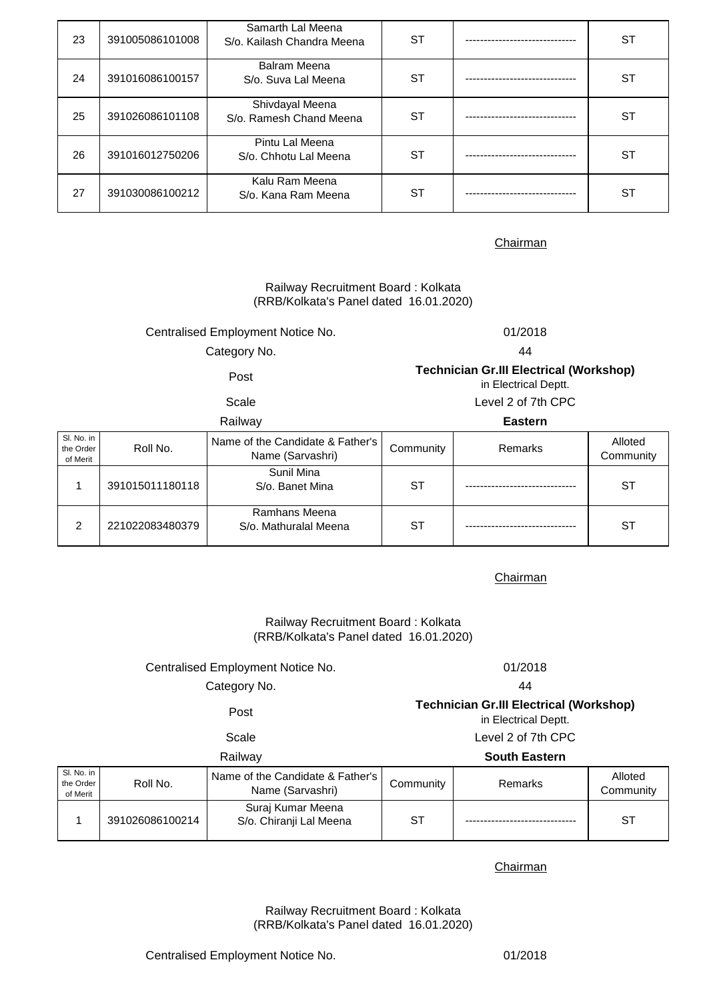| 23 | 391005086101008 | Samarth Lal Meena<br>S/o. Kailash Chandra Meena | ST | <b>ST</b> |
|----|-----------------|-------------------------------------------------|----|-----------|
| 24 | 391016086100157 | <b>Balram Meena</b><br>S/o. Suva Lal Meena      | ST | <b>ST</b> |
| 25 | 391026086101108 | Shivdayal Meena<br>S/o. Ramesh Chand Meena      | SТ | ST        |
| 26 | 391016012750206 | Pintu Lal Meena<br>S/o. Chhotu Lal Meena        | ST | ST        |
| 27 | 391030086100212 | Kalu Ram Meena<br>S/o. Kana Ram Meena           | ST | ST        |

# Railway Recruitment Board : Kolkata (RRB/Kolkata's Panel dated 16.01.2020)

# Centralised Employment Notice No. 01/2018

Category No. 44

Post **Technician Gr.III Electrical (Workshop)** 

in Electrical Deptt.

# Scale Level 2 of 7th CPC

|                                     |                 | Railway                                              |           | <b>Eastern</b> |                      |
|-------------------------------------|-----------------|------------------------------------------------------|-----------|----------------|----------------------|
| SI. No. in<br>the Order<br>of Merit | Roll No.        | Name of the Candidate & Father's<br>Name (Sarvashri) | Community | Remarks        | Alloted<br>Community |
|                                     | 391015011180118 | Sunil Mina<br>S/o. Banet Mina                        | SТ        |                | SТ                   |
| 2                                   | 221022083480379 | Ramhans Meena<br>S/o. Mathuralal Meena               | ST        |                | ST                   |

# **Chairman**

Railway Recruitment Board : Kolkata (RRB/Kolkata's Panel dated 16.01.2020)

# Centralised Employment Notice No. 01/2018

# Category No. 44

# Post **Technician Gr.III Electrical (Workshop)**  in Electrical Deptt.

# Scale Level 2 of 7th CPC

# Railway **South Eastern**

| SI. No. in<br>the Order<br>of Merit | Roll No.        | Name of the Candidate & Father's<br>Name (Sarvashri) | Community | Remarks | Alloted<br>Community |
|-------------------------------------|-----------------|------------------------------------------------------|-----------|---------|----------------------|
|                                     | 391026086100214 | Suraj Kumar Meena<br>S/o. Chiranji Lal Meena         | ST        |         | <b>ST</b>            |

# Chairman

(RRB/Kolkata's Panel dated 16.01.2020) Railway Recruitment Board : Kolkata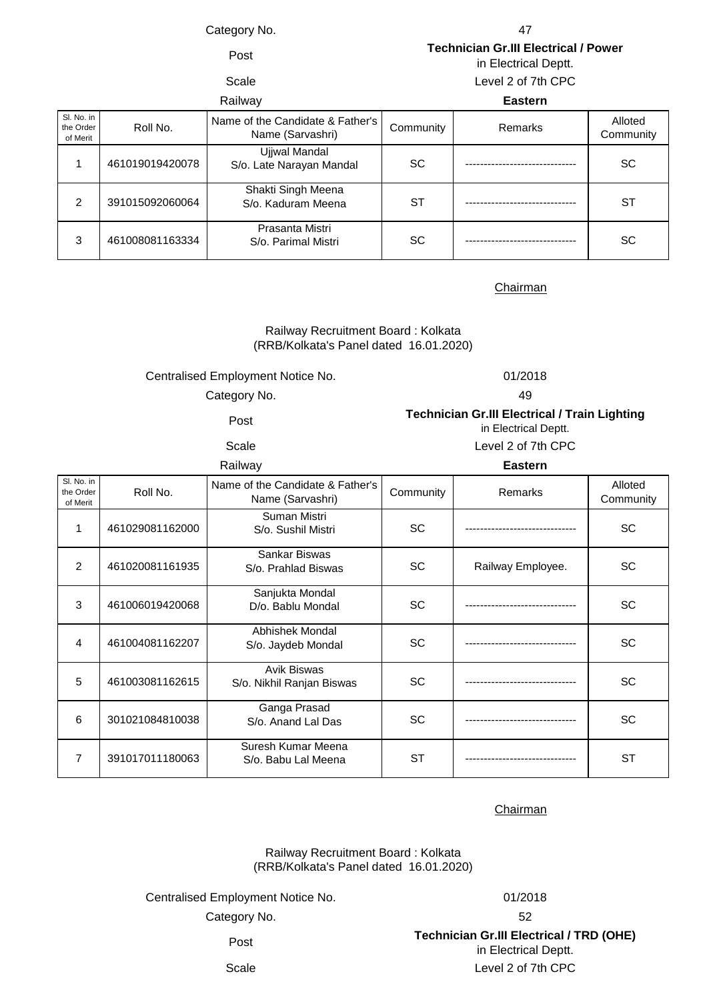Category No. 47

Post **Technician Gr.III Electrical / Power**  in Electrical Deptt.

# Scale Level 2 of 7th CPC

| Railway       |                         | <b>Eastern</b>  |                                                      |           |         |                      |
|---------------|-------------------------|-----------------|------------------------------------------------------|-----------|---------|----------------------|
| of Merit      | Sl. No. in<br>the Order | Roll No.        | Name of the Candidate & Father's<br>Name (Sarvashri) | Community | Remarks | Alloted<br>Community |
|               |                         | 461019019420078 | Ujjwal Mandal<br>S/o. Late Narayan Mandal            | <b>SC</b> |         | <b>SC</b>            |
| $\mathcal{P}$ |                         | 391015092060064 | Shakti Singh Meena<br>S/o. Kaduram Meena             | ST        |         | <b>ST</b>            |
| 3             |                         | 461008081163334 | Prasanta Mistri<br>S/o. Parimal Mistri               | <b>SC</b> |         | SC                   |

### **Chairman**

# (RRB/Kolkata's Panel dated 16.01.2020) Railway Recruitment Board : Kolkata

## Centralised Employment Notice No. 01/2018

Post **Technician Gr.III Electrical / Train Lighting**  Category No. 49

| cale |  |
|------|--|

in Electrical Deptt. Level 2 of 7th CPC

Railway **Eastern**

| Sl. No. in<br>the Order<br>of Merit | Roll No.        | Name of the Candidate & Father's<br>Name (Sarvashri) | Community | <b>Remarks</b>    | Alloted<br>Community |
|-------------------------------------|-----------------|------------------------------------------------------|-----------|-------------------|----------------------|
| 1                                   | 461029081162000 | Suman Mistri<br>S/o. Sushil Mistri                   | <b>SC</b> |                   | SC                   |
| 2                                   | 461020081161935 | Sankar Biswas<br>S/o. Prahlad Biswas                 | <b>SC</b> | Railway Employee. | <b>SC</b>            |
| 3                                   | 461006019420068 | Sanjukta Mondal<br>D/o. Bablu Mondal                 | <b>SC</b> |                   | <b>SC</b>            |
| 4                                   | 461004081162207 | Abhishek Mondal<br>S/o. Jaydeb Mondal                | <b>SC</b> |                   | <b>SC</b>            |
| 5                                   | 461003081162615 | <b>Avik Biswas</b><br>S/o. Nikhil Ranjan Biswas      | <b>SC</b> |                   | <b>SC</b>            |
| 6                                   | 301021084810038 | Ganga Prasad<br>S/o. Anand Lal Das                   | <b>SC</b> |                   | <b>SC</b>            |
| 7                                   | 391017011180063 | Suresh Kumar Meena<br>S/o. Babu Lal Meena            | <b>ST</b> |                   | <b>ST</b>            |

Chairman

Railway Recruitment Board : Kolkata (RRB/Kolkata's Panel dated 16.01.2020)

Centralised Employment Notice No. 01/2018

Category No.

52 Post **Technician Gr.III Electrical / TRD (OHE)**  in Electrical Deptt. Scale Level 2 of 7th CPC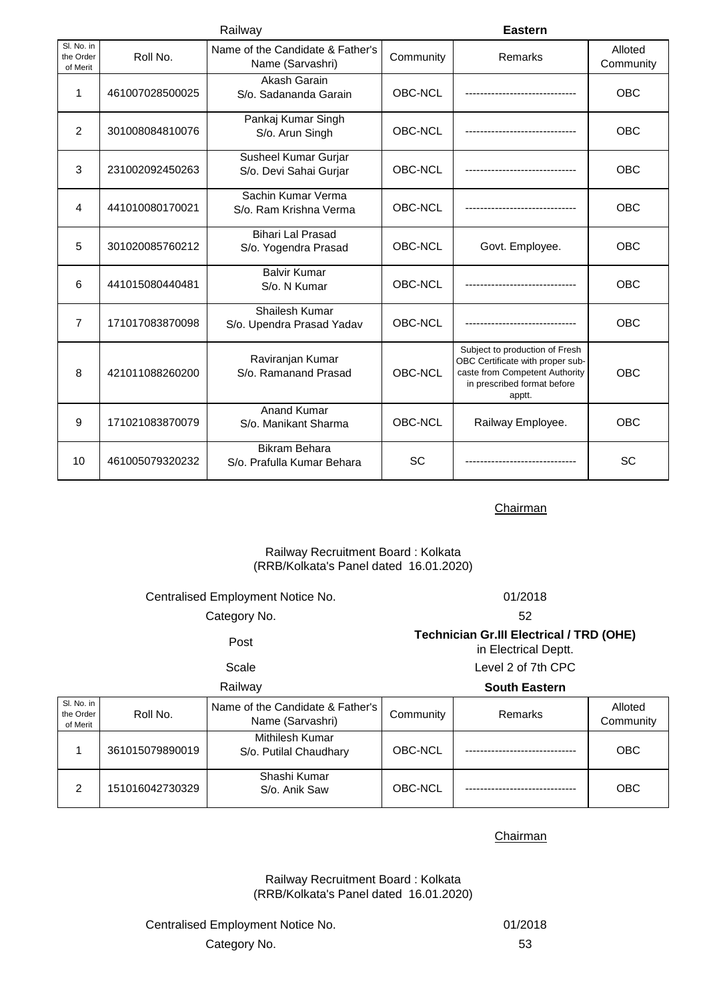| Railway                             |                 |                                                      | <b>Eastern</b> |                                                                                                                                               |                      |
|-------------------------------------|-----------------|------------------------------------------------------|----------------|-----------------------------------------------------------------------------------------------------------------------------------------------|----------------------|
| Sl. No. in<br>the Order<br>of Merit | Roll No.        | Name of the Candidate & Father's<br>Name (Sarvashri) | Community      | Remarks                                                                                                                                       | Alloted<br>Community |
| 1                                   | 461007028500025 | Akash Garain<br>S/o. Sadananda Garain                | OBC-NCL        |                                                                                                                                               | OBC                  |
| 2                                   | 301008084810076 | Pankaj Kumar Singh<br>S/o. Arun Singh                | OBC-NCL        |                                                                                                                                               | <b>OBC</b>           |
| 3                                   | 231002092450263 | Susheel Kumar Gurjar<br>S/o. Devi Sahai Gurjar       | OBC-NCL        |                                                                                                                                               | OBC                  |
| 4                                   | 441010080170021 | Sachin Kumar Verma<br>S/o. Ram Krishna Verma         | OBC-NCL        |                                                                                                                                               | OBC                  |
| 5                                   | 301020085760212 | <b>Bihari Lal Prasad</b><br>S/o. Yogendra Prasad     | OBC-NCL        | Govt. Employee.                                                                                                                               | <b>OBC</b>           |
| 6                                   | 441015080440481 | <b>Balvir Kumar</b><br>S/o. N Kumar                  | OBC-NCL        |                                                                                                                                               | OBC                  |
| 7                                   | 171017083870098 | Shailesh Kumar<br>S/o. Upendra Prasad Yadav          | OBC-NCL        |                                                                                                                                               | <b>OBC</b>           |
| 8                                   | 421011088260200 | Raviranjan Kumar<br>S/o. Ramanand Prasad             | OBC-NCL        | Subject to production of Fresh<br>OBC Certificate with proper sub-<br>caste from Competent Authority<br>in prescribed format before<br>apptt. | <b>OBC</b>           |
| 9                                   | 171021083870079 | <b>Anand Kumar</b><br>S/o. Manikant Sharma           | OBC-NCL        | Railway Employee.                                                                                                                             | OBC                  |
| 10                                  | 461005079320232 | <b>Bikram Behara</b><br>S/o. Prafulla Kumar Behara   | <b>SC</b>      |                                                                                                                                               | SC                   |

# Railway Recruitment Board : Kolkata (RRB/Kolkata's Panel dated 16.01.2020)

| Centralised Employment Notice No.   |                 |                                                      | 01/2018                                                                 |                      |                      |  |
|-------------------------------------|-----------------|------------------------------------------------------|-------------------------------------------------------------------------|----------------------|----------------------|--|
|                                     | Category No.    |                                                      |                                                                         | 52                   |                      |  |
| Post<br>Scale                       |                 |                                                      | <b>Technician Gr.III Electrical / TRD (OHE)</b><br>in Electrical Deptt. |                      |                      |  |
|                                     |                 |                                                      |                                                                         | Level 2 of 7th CPC   |                      |  |
|                                     |                 | Railway                                              |                                                                         | <b>South Eastern</b> |                      |  |
| Sl. No. in<br>the Order<br>of Merit | Roll No.        | Name of the Candidate & Father's<br>Name (Sarvashri) | Community                                                               | Remarks              | Alloted<br>Community |  |
| 1                                   | 361015079890019 | Mithilesh Kumar<br>S/o. Putilal Chaudhary            | OBC-NCL                                                                 |                      | <b>OBC</b>           |  |
| $\overline{2}$                      | 151016042730329 | Shashi Kumar<br>S/o. Anik Saw                        | OBC-NCL                                                                 |                      | <b>OBC</b>           |  |

**Chairman** 

Railway Recruitment Board : Kolkata (RRB/Kolkata's Panel dated 16.01.2020)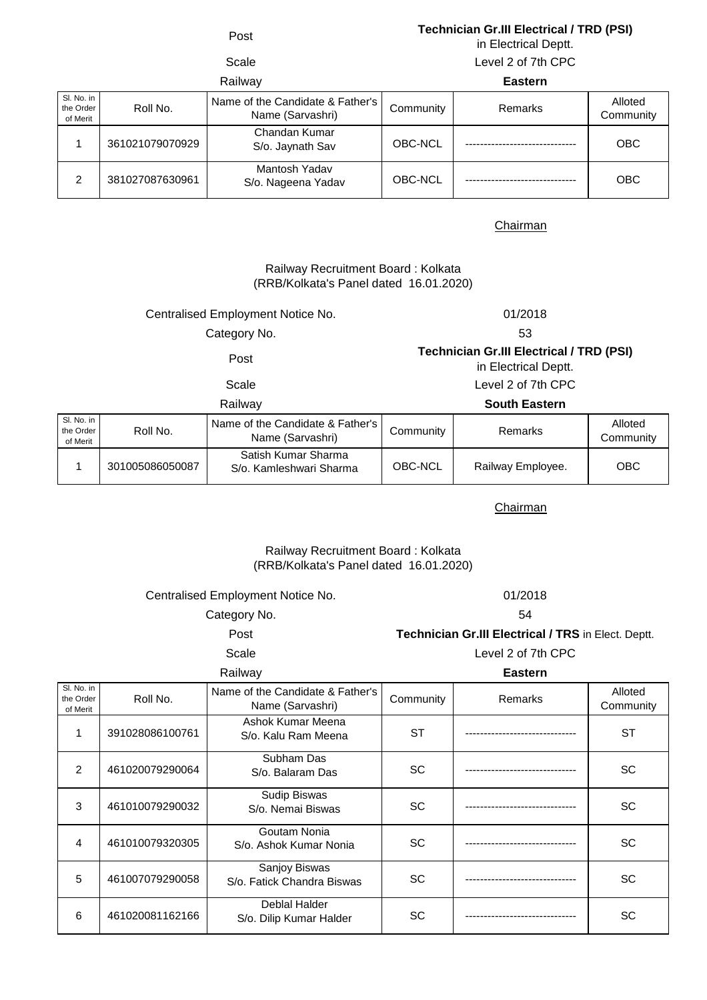# Post **Technician Gr.III Electrical / TRD (PSI)**

in Electrical Deptt.

Scale Level 2 of 7th CPC

| Railway                             |                 |                                                      | <b>Eastern</b> |         |                      |
|-------------------------------------|-----------------|------------------------------------------------------|----------------|---------|----------------------|
| SI. No. in<br>the Order<br>of Merit | Roll No.        | Name of the Candidate & Father's<br>Name (Sarvashri) | Community      | Remarks | Alloted<br>Community |
|                                     | 361021079070929 | Chandan Kumar<br>S/o. Jaynath Sav                    | OBC-NCL        |         | <b>OBC</b>           |
| ≘                                   | 381027087630961 | Mantosh Yadav<br>S/o. Nageena Yadav                  | OBC-NCL        |         | <b>OBC</b>           |

# Chairman

# (RRB/Kolkata's Panel dated 16.01.2020) Railway Recruitment Board : Kolkata

# Centralised Employment Notice No. 01/2018

Category No. 53

# Post **Technician Gr.III Electrical / TRD (PSI)**

in Electrical Deptt.

Scale Level 2 of 7th CPC

# Railway **South Eastern**

| SI. No. in            |                 |                                                        |           |                   |                      |
|-----------------------|-----------------|--------------------------------------------------------|-----------|-------------------|----------------------|
| the Order<br>of Merit | Roll No.        | Name of the Candidate & Father's  <br>Name (Sarvashri) | Community | Remarks           | Alloted<br>Community |
|                       | 301005086050087 | Satish Kumar Sharma<br>S/o. Kamleshwari Sharma         | OBC-NCL   | Railway Employee. | ОВС                  |

**Chairman** 

## Railway Recruitment Board : Kolkata (RRB/Kolkata's Panel dated 16.01.2020)

Centralised Employment Notice No. 01/2018

Category No. 54

Post **Technician Gr.III Electrical / TRS** in Elect. Deptt.

Scale Level 2 of 7th CPC Railway **Eastern**

| SI. No. in<br>the Order<br>of Merit | Roll No.        | Name of the Candidate & Father's<br>Name (Sarvashri) | Community | Remarks | Alloted<br>Community |
|-------------------------------------|-----------------|------------------------------------------------------|-----------|---------|----------------------|
|                                     | 391028086100761 | Ashok Kumar Meena<br>S/o. Kalu Ram Meena             | <b>ST</b> |         | <b>ST</b>            |
| $\mathfrak{p}$                      | 461020079290064 | Subham Das<br>S/o. Balaram Das                       | <b>SC</b> |         | <b>SC</b>            |
| 3                                   | 461010079290032 | Sudip Biswas<br>S/o. Nemai Biswas                    | <b>SC</b> |         | <b>SC</b>            |
| 4                                   | 461010079320305 | Goutam Nonia<br>S/o. Ashok Kumar Nonia               | <b>SC</b> |         | <b>SC</b>            |
| 5                                   | 461007079290058 | Sanjoy Biswas<br>S/o. Fatick Chandra Biswas          | <b>SC</b> |         | <b>SC</b>            |
| 6                                   | 461020081162166 | Deblal Halder<br>S/o. Dilip Kumar Halder             | <b>SC</b> |         | SC                   |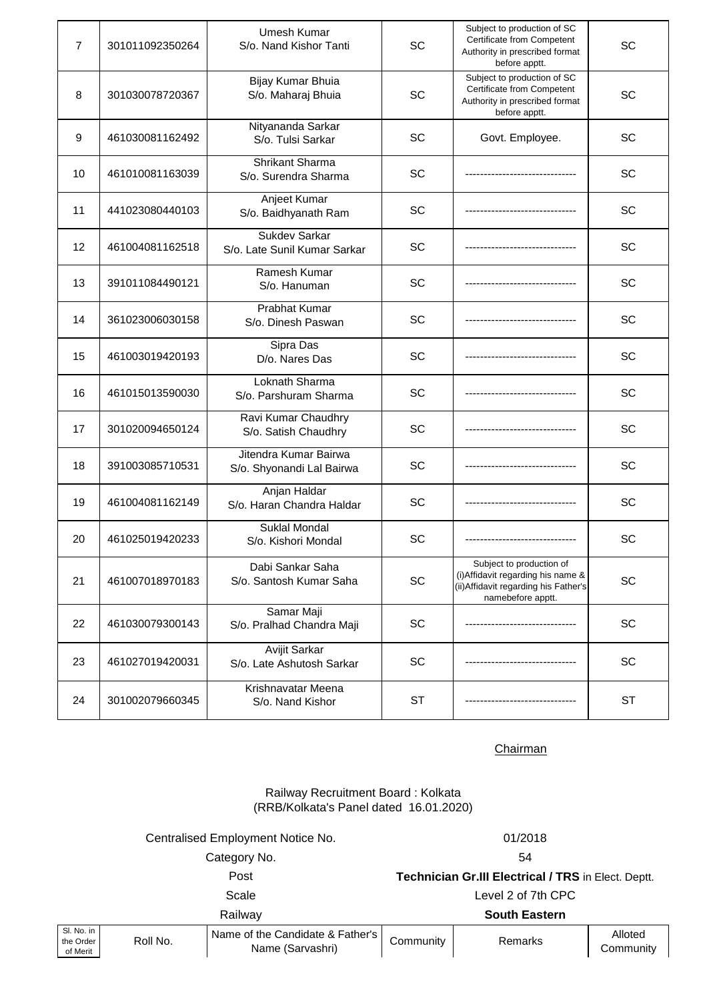| $\overline{7}$ | 301011092350264 | Umesh Kumar<br>S/o. Nand Kishor Tanti                | SC        | Subject to production of SC<br>Certificate from Competent<br>Authority in prescribed format<br>before apptt.                 | SC        |
|----------------|-----------------|------------------------------------------------------|-----------|------------------------------------------------------------------------------------------------------------------------------|-----------|
| 8              | 301030078720367 | Bijay Kumar Bhuia<br>S/o. Maharaj Bhuia              | SC        | Subject to production of SC<br>Certificate from Competent<br>Authority in prescribed format<br>before apptt.                 | SC        |
| 9              | 461030081162492 | Nityananda Sarkar<br>S/o. Tulsi Sarkar               | SC        | Govt. Employee.                                                                                                              | SC        |
| 10             | 461010081163039 | Shrikant Sharma<br>S/o. Surendra Sharma              | SC        |                                                                                                                              | SC        |
| 11             | 441023080440103 | Anjeet Kumar<br>S/o. Baidhyanath Ram                 | SC        |                                                                                                                              | SC        |
| 12             | 461004081162518 | <b>Sukdev Sarkar</b><br>S/o. Late Sunil Kumar Sarkar | SC        |                                                                                                                              | SC        |
| 13             | 391011084490121 | Ramesh Kumar<br>S/o. Hanuman                         | SC        |                                                                                                                              | SC        |
| 14             | 361023006030158 | Prabhat Kumar<br>S/o. Dinesh Paswan                  | SC        |                                                                                                                              | SC        |
| 15             | 461003019420193 | Sipra Das<br>D/o. Nares Das                          | SC        |                                                                                                                              | SC        |
| 16             | 461015013590030 | Loknath Sharma<br>S/o. Parshuram Sharma              | SC        |                                                                                                                              | SC        |
| 17             | 301020094650124 | Ravi Kumar Chaudhry<br>S/o. Satish Chaudhry          | SC        |                                                                                                                              | SC        |
| 18             | 391003085710531 | Jitendra Kumar Bairwa<br>S/o. Shyonandi Lal Bairwa   | SC        |                                                                                                                              | SC        |
| 19             | 461004081162149 | Anjan Haldar<br>S/o. Haran Chandra Haldar            | SC        |                                                                                                                              | SC        |
| 20             | 461025019420233 | <b>Suklal Mondal</b><br>S/o. Kishori Mondal          | SC        |                                                                                                                              | SC        |
| 21             | 461007018970183 | Dabi Sankar Saha<br>S/o. Santosh Kumar Saha          | <b>SC</b> | Subject to production of<br>(i) Affidavit regarding his name &<br>(ii) Affidavit regarding his Father's<br>namebefore apptt. | SC        |
| 22             | 461030079300143 | Samar Maji<br>S/o. Pralhad Chandra Maji              | SC        |                                                                                                                              | SC        |
| 23             | 461027019420031 | Avijit Sarkar<br>S/o. Late Ashutosh Sarkar           | SC        |                                                                                                                              | SC        |
| 24             | 301002079660345 | Krishnavatar Meena<br>S/o. Nand Kishor               | ST        |                                                                                                                              | <b>ST</b> |

Railway Recruitment Board : Kolkata (RRB/Kolkata's Panel dated 16.01.2020)

Centralised Employment Notice No. 01/2018

Category No. 54

Post **Technician Gr.III Electrical / TRS** in Elect. Deptt. Scale Level 2 of 7th CPC

|                                     |          | Railwav                                              |           | <b>South Eastern</b> |                      |
|-------------------------------------|----------|------------------------------------------------------|-----------|----------------------|----------------------|
| Sl. No. in<br>the Order<br>of Merit | Roll No. | Name of the Candidate & Father's<br>Name (Sarvashri) | Community | Remarks              | Alloted<br>Community |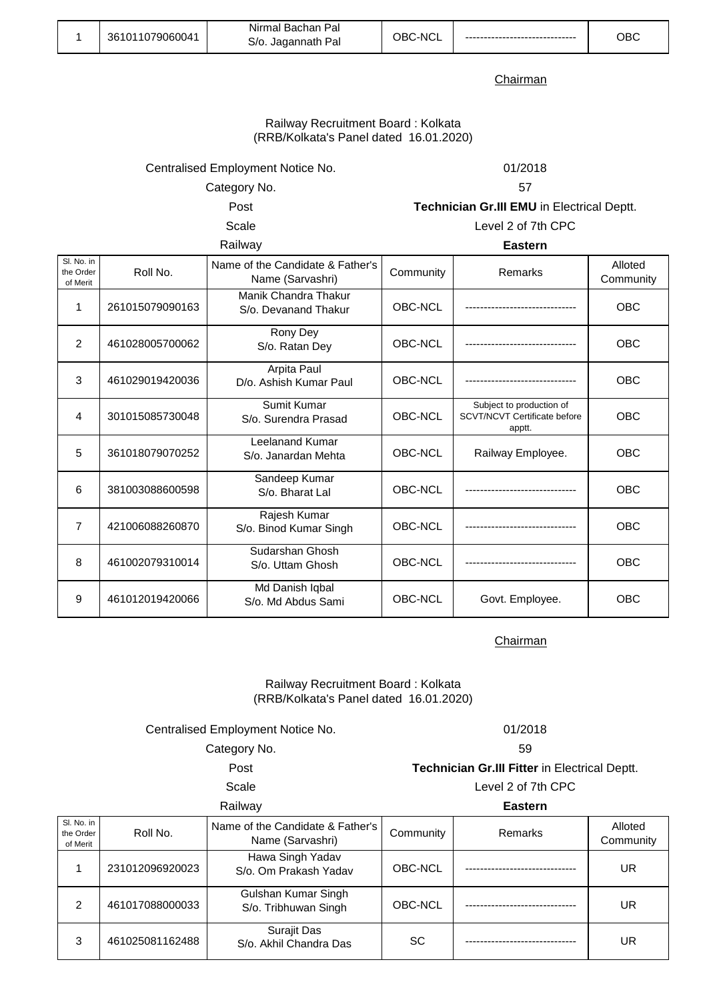|  | 361011079060041 | Nirmal Bachan Pal<br>S/o. Jagannath Pal | OBC-NCL | --------- | DВC |
|--|-----------------|-----------------------------------------|---------|-----------|-----|
|--|-----------------|-----------------------------------------|---------|-----------|-----|

### Railway Recruitment Board : Kolkata (RRB/Kolkata's Panel dated 16.01.2020)

Centralised Employment Notice No. 01/2018

Category No. 57

Post **Technician Gr.III EMU** in Electrical Deptt.

Scale Level 2 of 7th CPC

Railway **Eastern**

| Sl. No. in<br>the Order<br>of Merit | Roll No.        | Name of the Candidate & Father's<br>Name (Sarvashri) | Community | Remarks                                                                   | Alloted<br>Community |
|-------------------------------------|-----------------|------------------------------------------------------|-----------|---------------------------------------------------------------------------|----------------------|
| 1                                   | 261015079090163 | Manik Chandra Thakur<br>S/o. Devanand Thakur         | OBC-NCL   |                                                                           | <b>OBC</b>           |
| $\overline{2}$                      | 461028005700062 | Rony Dey<br>S/o. Ratan Dey                           | OBC-NCL   |                                                                           | OBC                  |
| 3                                   | 461029019420036 | Arpita Paul<br>D/o. Ashish Kumar Paul                | OBC-NCL   |                                                                           | OBC                  |
| 4                                   | 301015085730048 | Sumit Kumar<br>S/o. Surendra Prasad                  | OBC-NCL   | Subject to production of<br><b>SCVT/NCVT Certificate before</b><br>apptt. | OBC                  |
| 5                                   | 361018079070252 | Leelanand Kumar<br>S/o. Janardan Mehta               | OBC-NCL   | Railway Employee.                                                         | OBC                  |
| 6                                   | 381003088600598 | Sandeep Kumar<br>S/o. Bharat Lal                     | OBC-NCL   |                                                                           | <b>OBC</b>           |
| $\overline{7}$                      | 421006088260870 | Rajesh Kumar<br>S/o. Binod Kumar Singh               | OBC-NCL   |                                                                           | <b>OBC</b>           |
| 8                                   | 461002079310014 | Sudarshan Ghosh<br>S/o. Uttam Ghosh                  | OBC-NCL   |                                                                           | OBC                  |
| 9                                   | 461012019420066 | Md Danish Iqbal<br>S/o. Md Abdus Sami                | OBC-NCL   | Govt. Employee.                                                           | OBC                  |

**Chairman** 

# Railway Recruitment Board : Kolkata (RRB/Kolkata's Panel dated 16.01.2020)

# Centralised Employment Notice No. 01/2018

Category No. 59

Post **Technician Gr.III Fitter** in Electrical Deptt.

Scale Level 2 of 7th CPC

Railway **Eastern**

| SI. No. in<br>the Order<br>of Merit | Roll No.        | Name of the Candidate & Father's<br>Name (Sarvashri) | Community | Remarks | Alloted<br>Community |
|-------------------------------------|-----------------|------------------------------------------------------|-----------|---------|----------------------|
|                                     | 231012096920023 | Hawa Singh Yadav<br>S/o. Om Prakash Yadav            | OBC-NCL   |         | UR                   |
| 2                                   | 461017088000033 | Gulshan Kumar Singh<br>S/o. Tribhuwan Singh          | OBC-NCL   |         | UR                   |
| 3                                   | 461025081162488 | Surajit Das<br>S/o. Akhil Chandra Das                | <b>SC</b> |         | UR                   |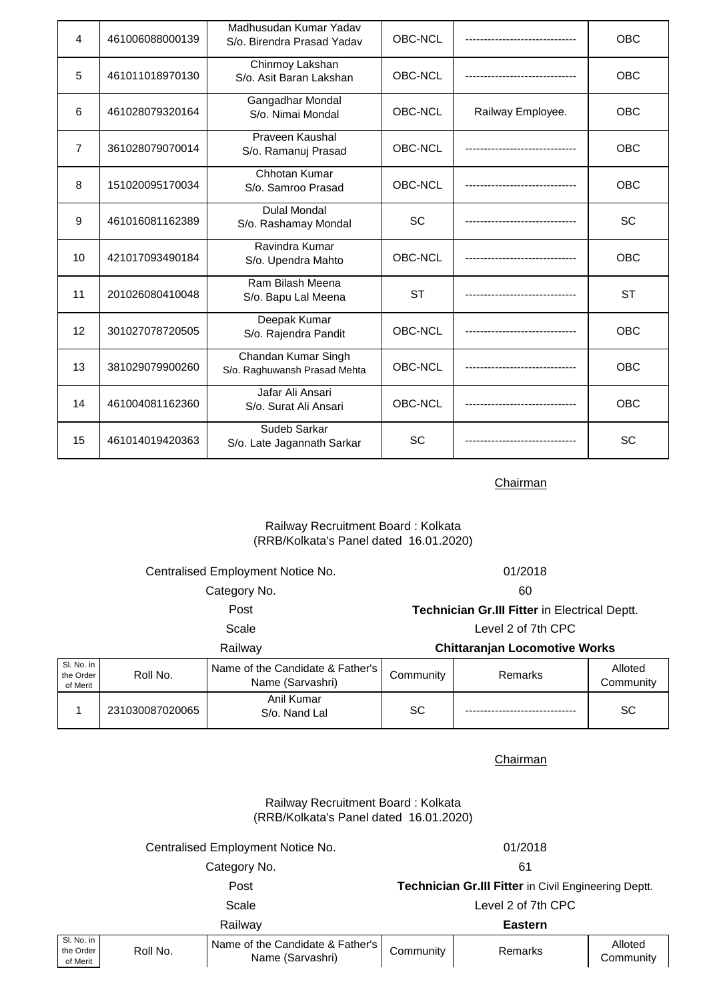| $\overline{4}$ | 461006088000139 | Madhusudan Kumar Yadav<br>S/o. Birendra Prasad Yadav | <b>OBC-NCL</b> |                   | <b>OBC</b> |
|----------------|-----------------|------------------------------------------------------|----------------|-------------------|------------|
| 5              | 461011018970130 | Chinmoy Lakshan<br>S/o. Asit Baran Lakshan           | OBC-NCL        |                   | OBC        |
| 6              | 461028079320164 | Gangadhar Mondal<br>S/o. Nimai Mondal                | OBC-NCL        | Railway Employee. | <b>OBC</b> |
| $\overline{7}$ | 361028079070014 | Praveen Kaushal<br>S/o. Ramanuj Prasad               | OBC-NCL        |                   | OBC        |
| 8              | 151020095170034 | Chhotan Kumar<br>S/o. Samroo Prasad                  | OBC-NCL        |                   | <b>OBC</b> |
| 9              | 461016081162389 | <b>Dulal Mondal</b><br>S/o. Rashamay Mondal          | <b>SC</b>      |                   | SC         |
| 10             | 421017093490184 | Ravindra Kumar<br>S/o. Upendra Mahto                 | OBC-NCL        |                   | <b>OBC</b> |
| 11             | 201026080410048 | Ram Bilash Meena<br>S/o. Bapu Lal Meena              | <b>ST</b>      |                   | <b>ST</b>  |
| 12             | 301027078720505 | Deepak Kumar<br>S/o. Rajendra Pandit                 | OBC-NCL        |                   | <b>OBC</b> |
| 13             | 381029079900260 | Chandan Kumar Singh<br>S/o. Raghuwansh Prasad Mehta  | OBC-NCL        |                   | <b>OBC</b> |
| 14             | 461004081162360 | Jafar Ali Ansari<br>S/o. Surat Ali Ansari            | OBC-NCL        |                   | <b>OBC</b> |
| 15             | 461014019420363 | Sudeb Sarkar<br>S/o. Late Jagannath Sarkar           | <b>SC</b>      |                   | SC         |

# Railway Recruitment Board : Kolkata (RRB/Kolkata's Panel dated 16.01.2020)

|                                     | Centralised Employment Notice No.<br>Category No.<br>Post<br>Scale<br>Railway |                                                      |           | 01/2018<br>60<br>Technician Gr.III Fitter in Electrical Deptt.<br>Level 2 of 7th CPC |                      |  |
|-------------------------------------|-------------------------------------------------------------------------------|------------------------------------------------------|-----------|--------------------------------------------------------------------------------------|----------------------|--|
|                                     |                                                                               |                                                      |           |                                                                                      |                      |  |
|                                     |                                                                               |                                                      |           |                                                                                      |                      |  |
|                                     |                                                                               |                                                      |           |                                                                                      |                      |  |
|                                     |                                                                               |                                                      |           | <b>Chittaranjan Locomotive Works</b>                                                 |                      |  |
| SI. No. in<br>the Order<br>of Merit | Roll No.                                                                      | Name of the Candidate & Father's<br>Name (Sarvashri) | Community | Remarks                                                                              | Alloted<br>Community |  |
|                                     | 231030087020065                                                               | Anil Kumar<br>S/o. Nand Lal                          | SC        |                                                                                      | SC                   |  |

**Chairman** 

Railway Recruitment Board : Kolkata (RRB/Kolkata's Panel dated 16.01.2020)

|                                                 | Centralised Employment Notice No.                    | 01/2018                                                     |         |                      |
|-------------------------------------------------|------------------------------------------------------|-------------------------------------------------------------|---------|----------------------|
|                                                 | Category No.                                         | 61                                                          |         |                      |
|                                                 | Post                                                 | <b>Technician Gr.III Fitter in Civil Engineering Deptt.</b> |         |                      |
|                                                 | Scale                                                | Level 2 of 7th CPC                                          |         |                      |
|                                                 | Railway                                              | <b>Eastern</b>                                              |         |                      |
| SI. No. in<br>Roll No.<br>the Order<br>of Merit | Name of the Candidate & Father's<br>Name (Sarvashri) | Community                                                   | Remarks | Alloted<br>Community |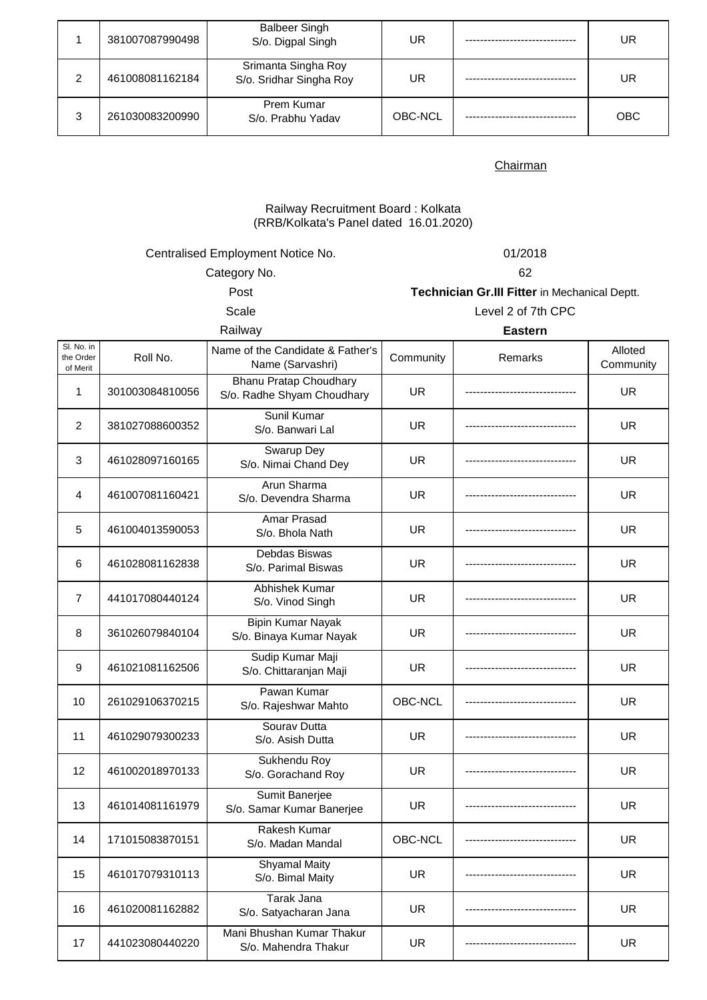|   | 381007087990498 | <b>Balbeer Singh</b><br>S/o. Digpal Singh      | UR      | UR  |
|---|-----------------|------------------------------------------------|---------|-----|
| 2 | 461008081162184 | Srimanta Singha Roy<br>S/o. Sridhar Singha Roy | UR      | UR  |
| 3 | 261030083200990 | Prem Kumar<br>S/o. Prabhu Yadav                | OBC-NCL | OBC |

# Railway Recruitment Board : Kolkata (RRB/Kolkata's Panel dated 16.01.2020)

# Centralised Employment Notice No. 01/2018

Category No. 62

# Post **Technician Gr.III Fitter** in Mechanical Deptt. Scale Level 2 of 7th CPC

Railway

 $\overline{\phantom{a}}$ 

| SI. No. in<br>the Order<br>of Merit | Roll No.        | Name of the Candidate & Father's<br>Name (Sarvashri)        | Community | Remarks | Alloted<br>Community |
|-------------------------------------|-----------------|-------------------------------------------------------------|-----------|---------|----------------------|
| 1                                   | 301003084810056 | <b>Bhanu Pratap Choudhary</b><br>S/o. Radhe Shyam Choudhary | <b>UR</b> |         | UR.                  |
| $\overline{2}$                      | 381027088600352 | Sunil Kumar<br>S/o. Banwari Lal                             | <b>UR</b> |         | <b>UR</b>            |
| 3                                   | 461028097160165 | Swarup Dey<br>S/o. Nimai Chand Dey                          | <b>UR</b> |         | <b>UR</b>            |
| 4                                   | 461007081160421 | Arun Sharma<br>S/o. Devendra Sharma                         | UR        |         | <b>UR</b>            |
| 5                                   | 461004013590053 | <b>Amar Prasad</b><br>S/o. Bhola Nath                       | <b>UR</b> |         | <b>UR</b>            |
| 6                                   | 461028081162838 | Debdas Biswas<br>S/o. Parimal Biswas                        | UR        |         | <b>UR</b>            |
| 7                                   | 441017080440124 | Abhishek Kumar<br>S/o. Vinod Singh                          | UR.       |         | <b>UR</b>            |
| 8                                   | 361026079840104 | <b>Bipin Kumar Nayak</b><br>S/o. Binaya Kumar Nayak         | <b>UR</b> |         | <b>UR</b>            |
| 9                                   | 461021081162506 | Sudip Kumar Maji<br>S/o. Chittaranjan Maji                  | <b>UR</b> |         | <b>UR</b>            |
| 10                                  | 261029106370215 | Pawan Kumar<br>S/o. Rajeshwar Mahto                         | OBC-NCL   |         | <b>UR</b>            |
| 11                                  | 461029079300233 | Sourav Dutta<br>S/o. Asish Dutta                            | <b>UR</b> |         | <b>UR</b>            |
| 12                                  | 461002018970133 | Sukhendu Roy<br>S/o. Gorachand Roy                          | <b>UR</b> |         | <b>UR</b>            |
| 13                                  | 461014081161979 | Sumit Banerjee<br>S/o. Samar Kumar Banerjee                 | <b>UR</b> |         | <b>UR</b>            |
| 14                                  | 171015083870151 | Rakesh Kumar<br>S/o. Madan Mandal                           | OBC-NCL   |         | <b>UR</b>            |
| 15                                  | 461017079310113 | <b>Shyamal Maity</b><br>S/o. Bimal Maity                    | <b>UR</b> |         | <b>UR</b>            |
| 16                                  | 461020081162882 | Tarak Jana<br>S/o. Satyacharan Jana                         | <b>UR</b> |         | <b>UR</b>            |
| 17                                  | 441023080440220 | Mani Bhushan Kumar Thakur<br>S/o. Mahendra Thakur           | <b>UR</b> |         | <b>UR</b>            |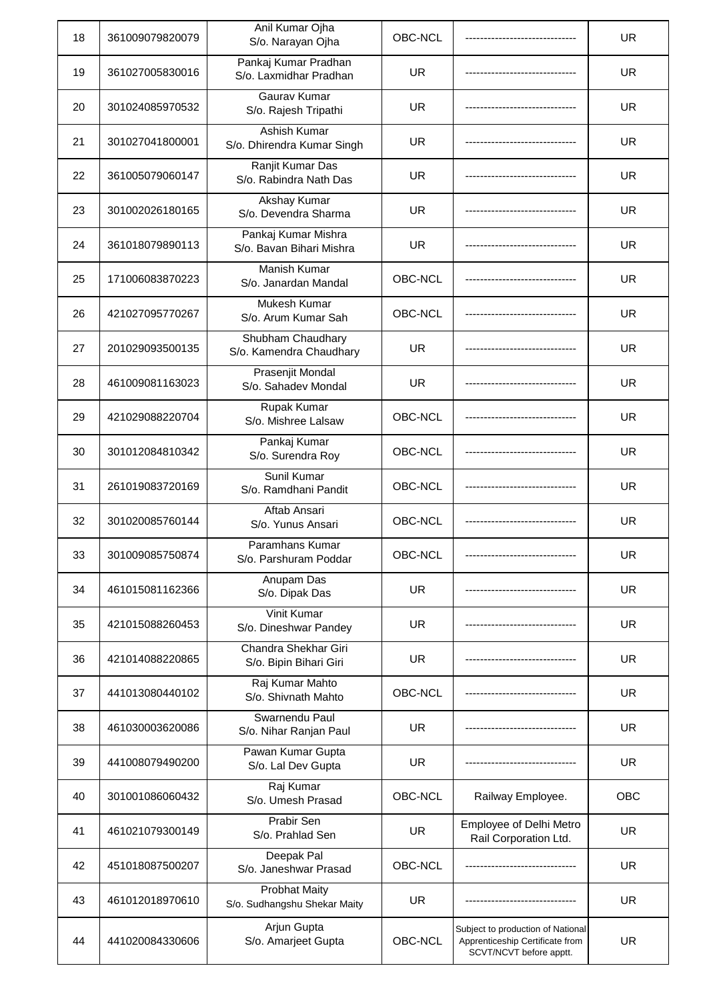| 18 | 361009079820079 | Anil Kumar Ojha<br>S/o. Narayan Ojha                 | OBC-NCL   |                                                                                                 | <b>UR</b> |
|----|-----------------|------------------------------------------------------|-----------|-------------------------------------------------------------------------------------------------|-----------|
| 19 | 361027005830016 | Pankaj Kumar Pradhan<br>S/o. Laxmidhar Pradhan       | <b>UR</b> |                                                                                                 | UR.       |
| 20 | 301024085970532 | Gaurav Kumar<br>S/o. Rajesh Tripathi                 | <b>UR</b> |                                                                                                 | <b>UR</b> |
| 21 | 301027041800001 | Ashish Kumar<br>S/o. Dhirendra Kumar Singh           | <b>UR</b> |                                                                                                 | <b>UR</b> |
| 22 | 361005079060147 | Ranjit Kumar Das<br>S/o. Rabindra Nath Das           | <b>UR</b> |                                                                                                 | <b>UR</b> |
| 23 | 301002026180165 | Akshay Kumar<br>S/o. Devendra Sharma                 | <b>UR</b> |                                                                                                 | UR.       |
| 24 | 361018079890113 | Pankaj Kumar Mishra<br>S/o. Bavan Bihari Mishra      | <b>UR</b> |                                                                                                 | <b>UR</b> |
| 25 | 171006083870223 | <b>Manish Kumar</b><br>S/o. Janardan Mandal          | OBC-NCL   |                                                                                                 | <b>UR</b> |
| 26 | 421027095770267 | Mukesh Kumar<br>S/o. Arum Kumar Sah                  | OBC-NCL   |                                                                                                 | <b>UR</b> |
| 27 | 201029093500135 | Shubham Chaudhary<br>S/o. Kamendra Chaudhary         | <b>UR</b> |                                                                                                 | <b>UR</b> |
| 28 | 461009081163023 | Prasenjit Mondal<br>S/o. Sahadev Mondal              | <b>UR</b> |                                                                                                 | <b>UR</b> |
| 29 | 421029088220704 | Rupak Kumar<br>S/o. Mishree Lalsaw                   | OBC-NCL   |                                                                                                 | <b>UR</b> |
| 30 | 301012084810342 | Pankaj Kumar<br>S/o. Surendra Roy                    | OBC-NCL   |                                                                                                 | UR.       |
| 31 | 261019083720169 | Sunil Kumar<br>S/o. Ramdhani Pandit                  | OBC-NCL   |                                                                                                 | <b>UR</b> |
| 32 | 301020085760144 | Aftab Ansari<br>S/o. Yunus Ansari                    | OBC-NCL   |                                                                                                 | <b>UR</b> |
| 33 | 301009085750874 | Paramhans Kumar<br>S/o. Parshuram Poddar             | OBC-NCL   |                                                                                                 | UR        |
| 34 | 461015081162366 | Anupam Das<br>S/o. Dipak Das                         | <b>UR</b> |                                                                                                 | <b>UR</b> |
| 35 | 421015088260453 | Vinit Kumar<br>S/o. Dineshwar Pandey                 | <b>UR</b> |                                                                                                 | <b>UR</b> |
| 36 | 421014088220865 | Chandra Shekhar Giri<br>S/o. Bipin Bihari Giri       | <b>UR</b> |                                                                                                 | UR.       |
| 37 | 441013080440102 | Raj Kumar Mahto<br>S/o. Shivnath Mahto               | OBC-NCL   |                                                                                                 | <b>UR</b> |
| 38 | 461030003620086 | Swarnendu Paul<br>S/o. Nihar Ranjan Paul             | <b>UR</b> |                                                                                                 | <b>UR</b> |
| 39 | 441008079490200 | Pawan Kumar Gupta<br>S/o. Lal Dev Gupta              | <b>UR</b> |                                                                                                 | UR.       |
| 40 | 301001086060432 | Raj Kumar<br>S/o. Umesh Prasad                       | OBC-NCL   | Railway Employee.                                                                               | OBC       |
| 41 | 461021079300149 | Prabir Sen<br>S/o. Prahlad Sen                       | <b>UR</b> | Employee of Delhi Metro<br>Rail Corporation Ltd.                                                | UR.       |
| 42 | 451018087500207 | Deepak Pal<br>S/o. Janeshwar Prasad                  | OBC-NCL   |                                                                                                 | <b>UR</b> |
| 43 | 461012018970610 | <b>Probhat Maity</b><br>S/o. Sudhangshu Shekar Maity | <b>UR</b> |                                                                                                 | UR.       |
| 44 | 441020084330606 | Arjun Gupta<br>S/o. Amarjeet Gupta                   | OBC-NCL   | Subject to production of National<br>Apprenticeship Certificate from<br>SCVT/NCVT before apptt. | <b>UR</b> |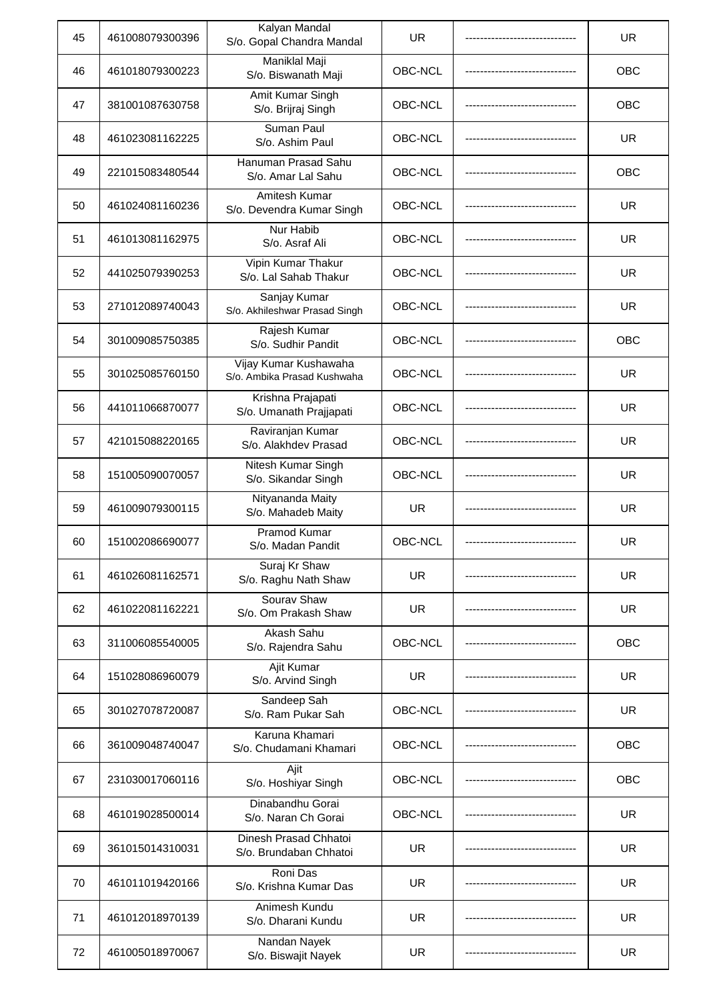| 45 | 461008079300396 | Kalyan Mandal<br>S/o. Gopal Chandra Mandal           | <b>UR</b> | <b>UR</b>  |
|----|-----------------|------------------------------------------------------|-----------|------------|
| 46 | 461018079300223 | Maniklal Maji<br>S/o. Biswanath Maji                 | OBC-NCL   | <b>OBC</b> |
| 47 | 381001087630758 | Amit Kumar Singh<br>S/o. Brijraj Singh               | OBC-NCL   | OBC        |
| 48 | 461023081162225 | Suman Paul<br>S/o. Ashim Paul                        | OBC-NCL   | <b>UR</b>  |
| 49 | 221015083480544 | Hanuman Prasad Sahu<br>S/o. Amar Lal Sahu            | OBC-NCL   | OBC        |
| 50 | 461024081160236 | Amitesh Kumar<br>S/o. Devendra Kumar Singh           | OBC-NCL   | UR.        |
| 51 | 461013081162975 | Nur Habib<br>S/o. Asraf Ali                          | OBC-NCL   | <b>UR</b>  |
| 52 | 441025079390253 | Vipin Kumar Thakur<br>S/o. Lal Sahab Thakur          | OBC-NCL   | <b>UR</b>  |
| 53 | 271012089740043 | Sanjay Kumar<br>S/o. Akhileshwar Prasad Singh        | OBC-NCL   | <b>UR</b>  |
| 54 | 301009085750385 | Rajesh Kumar<br>S/o. Sudhir Pandit                   | OBC-NCL   | <b>OBC</b> |
| 55 | 301025085760150 | Vijay Kumar Kushawaha<br>S/o. Ambika Prasad Kushwaha | OBC-NCL   | <b>UR</b>  |
| 56 | 441011066870077 | Krishna Prajapati<br>S/o. Umanath Prajjapati         | OBC-NCL   | <b>UR</b>  |
| 57 | 421015088220165 | Raviranjan Kumar<br>S/o. Alakhdev Prasad             | OBC-NCL   | <b>UR</b>  |
| 58 | 151005090070057 | Nitesh Kumar Singh<br>S/o. Sikandar Singh            | OBC-NCL   | <b>UR</b>  |
| 59 | 461009079300115 | Nityananda Maity<br>S/o. Mahadeb Maity               | UR.       | <b>UR</b>  |
| 60 | 151002086690077 | <b>Pramod Kumar</b><br>S/o. Madan Pandit             | OBC-NCL   | UR         |
| 61 | 461026081162571 | Suraj Kr Shaw<br>S/o. Raghu Nath Shaw                | <b>UR</b> | <b>UR</b>  |
| 62 | 461022081162221 | Sourav Shaw<br>S/o. Om Prakash Shaw                  | <b>UR</b> | <b>UR</b>  |
| 63 | 311006085540005 | Akash Sahu<br>S/o. Rajendra Sahu                     | OBC-NCL   | <b>OBC</b> |
| 64 | 151028086960079 | Ajit Kumar<br>S/o. Arvind Singh                      | <b>UR</b> | <b>UR</b>  |
| 65 | 301027078720087 | Sandeep Sah<br>S/o. Ram Pukar Sah                    | OBC-NCL   | <b>UR</b>  |
| 66 | 361009048740047 | Karuna Khamari<br>S/o. Chudamani Khamari             | OBC-NCL   | OBC        |
| 67 | 231030017060116 | Ajit<br>S/o. Hoshiyar Singh                          | OBC-NCL   | OBC        |
| 68 | 461019028500014 | Dinabandhu Gorai<br>S/o. Naran Ch Gorai              | OBC-NCL   | <b>UR</b>  |
| 69 | 361015014310031 | Dinesh Prasad Chhatoi<br>S/o. Brundaban Chhatoi      | <b>UR</b> | <b>UR</b>  |
| 70 | 461011019420166 | Roni Das<br>S/o. Krishna Kumar Das                   | <b>UR</b> | <b>UR</b>  |
| 71 | 461012018970139 | Animesh Kundu<br>S/o. Dharani Kundu                  | <b>UR</b> | <b>UR</b>  |
| 72 | 461005018970067 | Nandan Nayek<br>S/o. Biswajit Nayek                  | <b>UR</b> | <b>UR</b>  |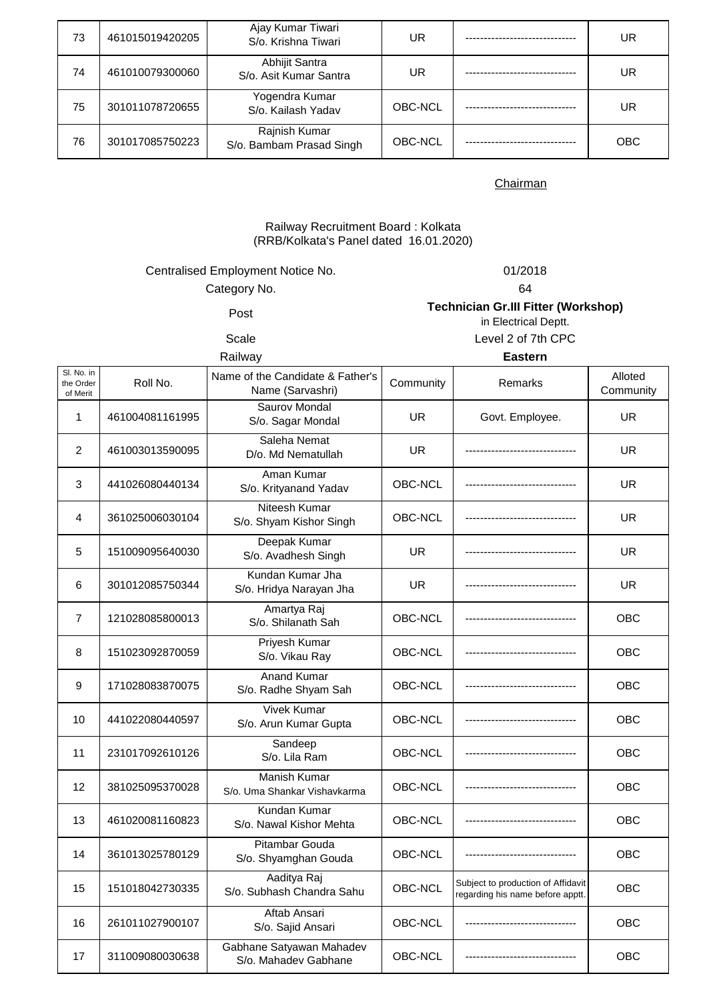| 73 | 461015019420205 | Ajay Kumar Tiwari<br>S/o. Krishna Tiwari  | UR      | UR         |
|----|-----------------|-------------------------------------------|---------|------------|
| 74 | 461010079300060 | Abhijit Santra<br>S/o. Asit Kumar Santra  | UR      | UR         |
| 75 | 301011078720655 | Yogendra Kumar<br>S/o. Kailash Yadav      | OBC-NCL | UR         |
| 76 | 301017085750223 | Rajnish Kumar<br>S/o. Bambam Prasad Singh | OBC-NCL | <b>OBC</b> |

## Railway Recruitment Board : Kolkata (RRB/Kolkata's Panel dated 16.01.2020)

# Centralised Employment Notice No. 01/2018

Category No. 64

Post **Technician Gr.III Fitter (Workshop)**  in Electrical Deptt.

Scale Level 2 of 7th CPC

| Railway                             |                 |                                                      | <b>Eastern</b> |                                                                        |                      |
|-------------------------------------|-----------------|------------------------------------------------------|----------------|------------------------------------------------------------------------|----------------------|
| Sl. No. in<br>the Order<br>of Merit | Roll No.        | Name of the Candidate & Father's<br>Name (Sarvashri) | Community      | Remarks                                                                | Alloted<br>Community |
| $\mathbf{1}$                        | 461004081161995 | Saurov Mondal<br>S/o. Sagar Mondal                   | UR.            | Govt. Employee.                                                        | UR.                  |
| 2                                   | 461003013590095 | Saleha Nemat<br>D/o. Md Nematullah                   | UR.            |                                                                        | <b>UR</b>            |
| 3                                   | 441026080440134 | Aman Kumar<br>S/o. Krityanand Yadav                  | <b>OBC-NCL</b> |                                                                        | <b>UR</b>            |
| 4                                   | 361025006030104 | Niteesh Kumar<br>S/o. Shyam Kishor Singh             | <b>OBC-NCL</b> |                                                                        | <b>UR</b>            |
| 5                                   | 151009095640030 | Deepak Kumar<br>S/o. Avadhesh Singh                  | UR             |                                                                        | <b>UR</b>            |
| 6                                   | 301012085750344 | Kundan Kumar Jha<br>S/o. Hridya Narayan Jha          | UR             |                                                                        | <b>UR</b>            |
| $\overline{7}$                      | 121028085800013 | Amartya Raj<br>S/o. Shilanath Sah                    | OBC-NCL        |                                                                        | <b>OBC</b>           |
| 8                                   | 151023092870059 | <b>Priyesh Kumar</b><br>S/o. Vikau Ray               | OBC-NCL        |                                                                        | OBC                  |
| 9                                   | 171028083870075 | <b>Anand Kumar</b><br>S/o. Radhe Shyam Sah           | OBC-NCL        |                                                                        | OBC                  |
| 10                                  | 441022080440597 | <b>Vivek Kumar</b><br>S/o. Arun Kumar Gupta          | OBC-NCL        |                                                                        | <b>OBC</b>           |
| 11                                  | 231017092610126 | Sandeep<br>S/o. Lila Ram                             | OBC-NCL        |                                                                        | OBC                  |
| 12                                  | 381025095370028 | <b>Manish Kumar</b><br>S/o. Uma Shankar Vishavkarma  | <b>OBC-NCL</b> |                                                                        | <b>OBC</b>           |
| 13                                  | 461020081160823 | Kundan Kumar<br>S/o. Nawal Kishor Mehta              | OBC-NCL        |                                                                        | <b>OBC</b>           |
| 14                                  | 361013025780129 | Pitambar Gouda<br>S/o. Shyamghan Gouda               | OBC-NCL        |                                                                        | OBC                  |
| 15                                  | 151018042730335 | Aaditya Raj<br>S/o. Subhash Chandra Sahu             | OBC-NCL        | Subject to production of Affidavit<br>regarding his name before apptt. | <b>OBC</b>           |
| 16                                  | 261011027900107 | Aftab Ansari<br>S/o. Sajid Ansari                    | OBC-NCL        |                                                                        | <b>OBC</b>           |
| 17                                  | 311009080030638 | Gabhane Satyawan Mahadev<br>S/o. Mahadev Gabhane     | OBC-NCL        | ----------------------------                                           | OBC                  |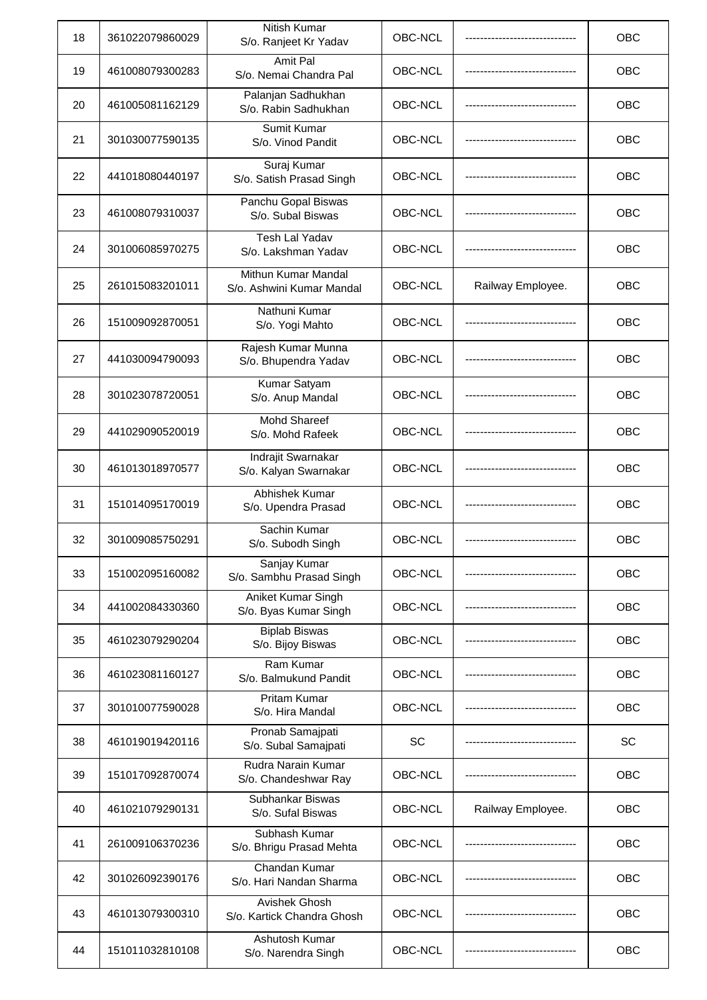| 18 | 361022079860029 | Nitish Kumar<br>S/o. Ranjeet Kr Yadav            | OBC-NCL   |                   | OBC        |
|----|-----------------|--------------------------------------------------|-----------|-------------------|------------|
| 19 | 461008079300283 | Amit Pal<br>S/o. Nemai Chandra Pal               | OBC-NCL   |                   | <b>OBC</b> |
| 20 | 461005081162129 | Palanjan Sadhukhan<br>S/o. Rabin Sadhukhan       | OBC-NCL   |                   | OBC        |
| 21 | 301030077590135 | Sumit Kumar<br>S/o. Vinod Pandit                 | OBC-NCL   |                   | OBC        |
| 22 | 441018080440197 | Suraj Kumar<br>S/o. Satish Prasad Singh          | OBC-NCL   |                   | OBC        |
| 23 | 461008079310037 | Panchu Gopal Biswas<br>S/o. Subal Biswas         | OBC-NCL   |                   | OBC        |
| 24 | 301006085970275 | Tesh Lal Yadav<br>S/o. Lakshman Yadav            | OBC-NCL   |                   | OBC        |
| 25 | 261015083201011 | Mithun Kumar Mandal<br>S/o. Ashwini Kumar Mandal | OBC-NCL   | Railway Employee. | OBC        |
| 26 | 151009092870051 | Nathuni Kumar<br>S/o. Yogi Mahto                 | OBC-NCL   |                   | OBC        |
| 27 | 441030094790093 | Rajesh Kumar Munna<br>S/o. Bhupendra Yadav       | OBC-NCL   |                   | OBC        |
| 28 | 301023078720051 | Kumar Satyam<br>S/o. Anup Mandal                 | OBC-NCL   |                   | <b>OBC</b> |
| 29 | 441029090520019 | <b>Mohd Shareef</b><br>S/o. Mohd Rafeek          | OBC-NCL   |                   | OBC        |
| 30 | 461013018970577 | Indrajit Swarnakar<br>S/o. Kalyan Swarnakar      | OBC-NCL   |                   | OBC        |
| 31 | 151014095170019 | Abhishek Kumar<br>S/o. Upendra Prasad            | OBC-NCL   |                   | <b>OBC</b> |
| 32 | 301009085750291 | Sachin Kumar<br>S/o. Subodh Singh                | OBC-NCL   |                   | OBC        |
| 33 | 151002095160082 | Sanjay Kumar<br>S/o. Sambhu Prasad Singh         | OBC-NCL   |                   | OBC        |
| 34 | 441002084330360 | Aniket Kumar Singh<br>S/o. Byas Kumar Singh      | OBC-NCL   |                   | OBC        |
| 35 | 461023079290204 | <b>Biplab Biswas</b><br>S/o. Bijoy Biswas        | OBC-NCL   |                   | OBC        |
| 36 | 461023081160127 | Ram Kumar<br>S/o. Balmukund Pandit               | OBC-NCL   |                   | OBC        |
| 37 | 301010077590028 | <b>Pritam Kumar</b><br>S/o. Hira Mandal          | OBC-NCL   |                   | OBC        |
| 38 | 461019019420116 | Pronab Samajpati<br>S/o. Subal Samajpati         | <b>SC</b> |                   | SC         |
| 39 | 151017092870074 | Rudra Narain Kumar<br>S/o. Chandeshwar Ray       | OBC-NCL   |                   | <b>OBC</b> |
| 40 | 461021079290131 | Subhankar Biswas<br>S/o. Sufal Biswas            | OBC-NCL   | Railway Employee. | <b>OBC</b> |
| 41 | 261009106370236 | Subhash Kumar<br>S/o. Bhrigu Prasad Mehta        | OBC-NCL   |                   | OBC        |
| 42 | 301026092390176 | Chandan Kumar<br>S/o. Hari Nandan Sharma         | OBC-NCL   |                   | OBC        |
| 43 | 461013079300310 | Avishek Ghosh<br>S/o. Kartick Chandra Ghosh      | OBC-NCL   |                   | OBC        |
| 44 | 151011032810108 | Ashutosh Kumar<br>S/o. Narendra Singh            | OBC-NCL   |                   | OBC        |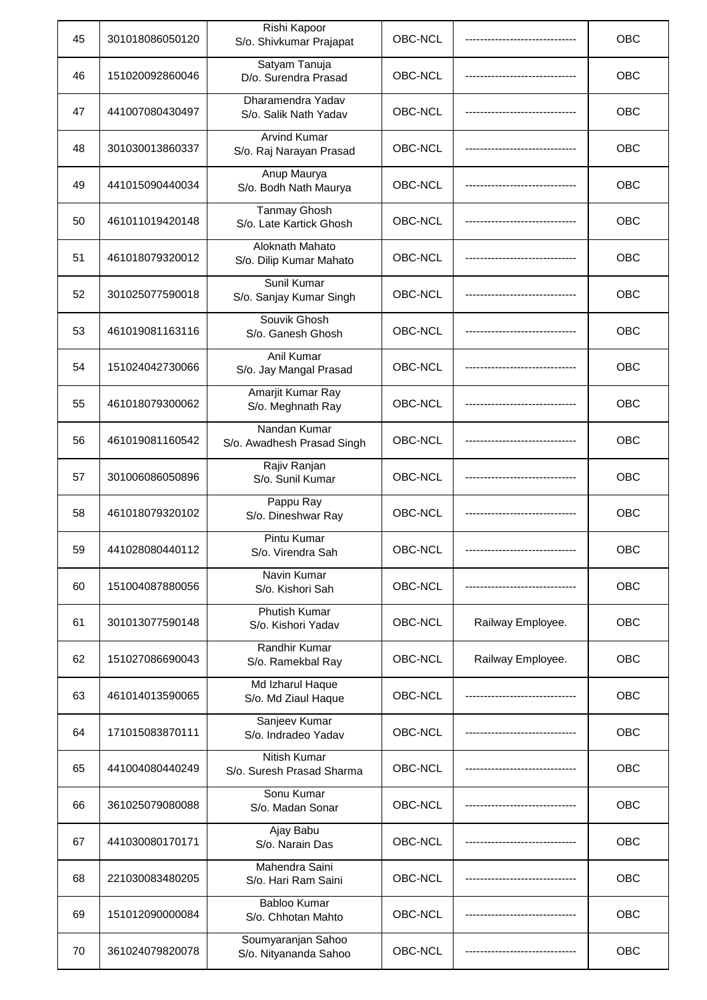| 45 | 301018086050120 | Rishi Kapoor<br>S/o. Shivkumar Prajapat        | OBC-NCL |                            | OBC        |
|----|-----------------|------------------------------------------------|---------|----------------------------|------------|
| 46 | 151020092860046 | Satyam Tanuja<br>D/o. Surendra Prasad          | OBC-NCL |                            | OBC        |
| 47 | 441007080430497 | Dharamendra Yadav<br>S/o. Salik Nath Yadav     | OBC-NCL |                            | <b>OBC</b> |
| 48 | 301030013860337 | <b>Arvind Kumar</b><br>S/o. Raj Narayan Prasad | OBC-NCL |                            | OBC        |
| 49 | 441015090440034 | Anup Maurya<br>S/o. Bodh Nath Maurya           | OBC-NCL |                            | OBC        |
| 50 | 461011019420148 | <b>Tanmay Ghosh</b><br>S/o. Late Kartick Ghosh | OBC-NCL |                            | OBC        |
| 51 | 461018079320012 | Aloknath Mahato<br>S/o. Dilip Kumar Mahato     | OBC-NCL |                            | OBC        |
| 52 | 301025077590018 | Sunil Kumar<br>S/o. Sanjay Kumar Singh         | OBC-NCL |                            | OBC        |
| 53 | 461019081163116 | Souvik Ghosh<br>S/o. Ganesh Ghosh              | OBC-NCL |                            | OBC        |
| 54 | 151024042730066 | Anil Kumar<br>S/o. Jay Mangal Prasad           | OBC-NCL |                            | OBC        |
| 55 | 461018079300062 | Amarjit Kumar Ray<br>S/o. Meghnath Ray         | OBC-NCL |                            | <b>OBC</b> |
| 56 | 461019081160542 | Nandan Kumar<br>S/o. Awadhesh Prasad Singh     | OBC-NCL |                            | OBC        |
| 57 | 301006086050896 | Rajiv Ranjan<br>S/o. Sunil Kumar               | OBC-NCL |                            | OBC        |
| 58 | 461018079320102 | Pappu Ray<br>S/o. Dineshwar Ray                | OBC-NCL |                            | OBC        |
| 59 | 441028080440112 | Pintu Kumar<br>S/o. Virendra Sah               | OBC-NCL | -------------------------- | OBC        |
| 60 | 151004087880056 | Navin Kumar<br>S/o. Kishori Sah                | OBC-NCL |                            | OBC        |
| 61 | 301013077590148 | Phutish Kumar<br>S/o. Kishori Yadav            | OBC-NCL | Railway Employee.          | OBC        |
| 62 | 151027086690043 | <b>Randhir Kumar</b><br>S/o. Ramekbal Ray      | OBC-NCL | Railway Employee.          | <b>OBC</b> |
| 63 | 461014013590065 | Md Izharul Haque<br>S/o. Md Ziaul Haque        | OBC-NCL |                            | OBC        |
| 64 | 171015083870111 | Sanjeev Kumar<br>S/o. Indradeo Yadav           | OBC-NCL |                            | OBC        |
| 65 | 441004080440249 | Nitish Kumar<br>S/o. Suresh Prasad Sharma      | OBC-NCL |                            | OBC        |
| 66 | 361025079080088 | Sonu Kumar<br>S/o. Madan Sonar                 | OBC-NCL |                            | <b>OBC</b> |
| 67 | 441030080170171 | Ajay Babu<br>S/o. Narain Das                   | OBC-NCL |                            | OBC        |
| 68 | 221030083480205 | Mahendra Saini<br>S/o. Hari Ram Saini          | OBC-NCL |                            | OBC        |
| 69 | 151012090000084 | <b>Babloo Kumar</b><br>S/o. Chhotan Mahto      | OBC-NCL |                            | OBC        |
| 70 | 361024079820078 | Soumyaranjan Sahoo<br>S/o. Nityananda Sahoo    | OBC-NCL |                            | OBC        |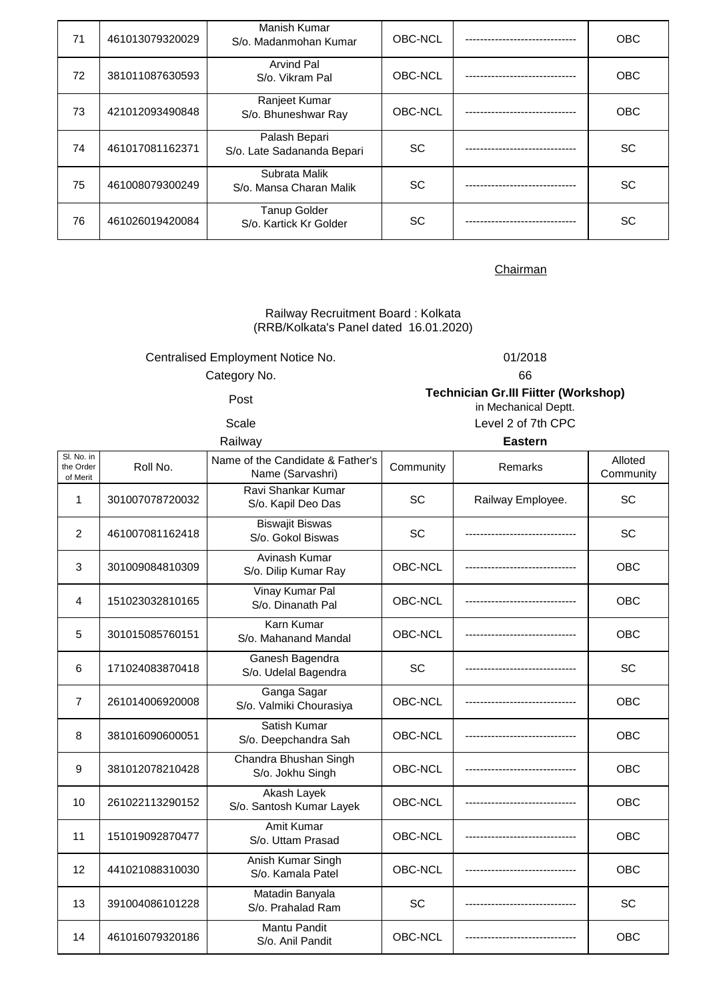| 71 | 461013079320029 | Manish Kumar<br>S/o. Madanmohan Kumar         | OBC-NCL   | <b>OBC</b> |
|----|-----------------|-----------------------------------------------|-----------|------------|
| 72 | 381011087630593 | <b>Arvind Pal</b><br>S/o. Vikram Pal          | OBC-NCL   | <b>OBC</b> |
| 73 | 421012093490848 | Ranjeet Kumar<br>S/o. Bhuneshwar Ray          | OBC-NCL   | <b>OBC</b> |
| 74 | 461017081162371 | Palash Bepari<br>S/o. Late Sadananda Bepari   | <b>SC</b> | <b>SC</b>  |
| 75 | 461008079300249 | Subrata Malik<br>S/o. Mansa Charan Malik      | SC.       | <b>SC</b>  |
| 76 | 461026019420084 | <b>Tanup Golder</b><br>S/o. Kartick Kr Golder | <b>SC</b> | SC         |

Railway Recruitment Board : Kolkata (RRB/Kolkata's Panel dated 16.01.2020)

Centralised Employment Notice No. 01/2018

Category No. 66

Post **Technician Gr.III Fiitter (Workshop)** 

Railway **Eastern**

in Mechanical Deptt. Scale Level 2 of 7th CPC

| SI. No. in<br>the Order | Roll No.        | Name of the Candidate & Father's            | Community      | Remarks           | Alloted    |
|-------------------------|-----------------|---------------------------------------------|----------------|-------------------|------------|
| of Merit                |                 | Name (Sarvashri)                            |                |                   | Community  |
| 1                       | 301007078720032 | Ravi Shankar Kumar<br>S/o. Kapil Deo Das    | SC             | Railway Employee. | SC         |
| 2                       | 461007081162418 | <b>Biswajit Biswas</b><br>S/o. Gokol Biswas | SC             |                   | SC         |
| 3                       | 301009084810309 | Avinash Kumar<br>S/o. Dilip Kumar Ray       | <b>OBC-NCL</b> |                   | <b>OBC</b> |
| 4                       | 151023032810165 | Vinay Kumar Pal<br>S/o. Dinanath Pal        | OBC-NCL        |                   | OBC        |
| 5                       | 301015085760151 | Karn Kumar<br>S/o. Mahanand Mandal          | OBC-NCL        |                   | <b>OBC</b> |
| 6                       | 171024083870418 | Ganesh Bagendra<br>S/o. Udelal Bagendra     | SC             |                   | SC         |
| $\overline{7}$          | 261014006920008 | Ganga Sagar<br>S/o. Valmiki Chourasiya      | OBC-NCL        |                   | <b>OBC</b> |
| 8                       | 381016090600051 | Satish Kumar<br>S/o. Deepchandra Sah        | OBC-NCL        |                   | <b>OBC</b> |
| 9                       | 381012078210428 | Chandra Bhushan Singh<br>S/o. Jokhu Singh   | OBC-NCL        |                   | <b>OBC</b> |
| 10                      | 261022113290152 | Akash Layek<br>S/o. Santosh Kumar Layek     | OBC-NCL        |                   | OBC        |
| 11                      | 151019092870477 | <b>Amit Kumar</b><br>S/o. Uttam Prasad      | OBC-NCL        |                   | <b>OBC</b> |
| 12                      | 441021088310030 | Anish Kumar Singh<br>S/o. Kamala Patel      | OBC-NCL        |                   | <b>OBC</b> |
| 13                      | 391004086101228 | Matadin Banyala<br>S/o. Prahalad Ram        | SC             |                   | SC         |
| 14                      | 461016079320186 | Mantu Pandit<br>S/o. Anil Pandit            | OBC-NCL        |                   | <b>OBC</b> |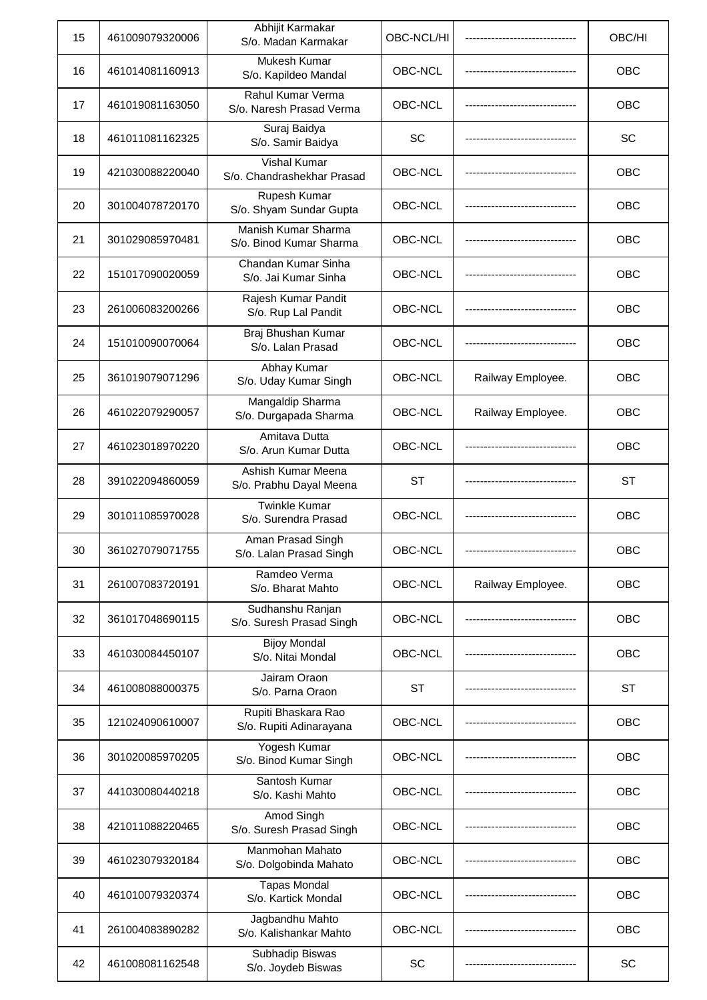| 15 | 461009079320006 | Abhijit Karmakar<br>S/o. Madan Karmakar           | OBC-NCL/HI |                   | OBC/HI     |
|----|-----------------|---------------------------------------------------|------------|-------------------|------------|
| 16 | 461014081160913 | Mukesh Kumar<br>S/o. Kapildeo Mandal              | OBC-NCL    |                   | <b>OBC</b> |
| 17 | 461019081163050 | Rahul Kumar Verma<br>S/o. Naresh Prasad Verma     | OBC-NCL    |                   | OBC        |
| 18 | 461011081162325 | Suraj Baidya<br>S/o. Samir Baidya                 | SC         |                   | SC         |
| 19 | 421030088220040 | <b>Vishal Kumar</b><br>S/o. Chandrashekhar Prasad | OBC-NCL    |                   | OBC        |
| 20 | 301004078720170 | Rupesh Kumar<br>S/o. Shyam Sundar Gupta           | OBC-NCL    |                   | OBC        |
| 21 | 301029085970481 | Manish Kumar Sharma<br>S/o. Binod Kumar Sharma    | OBC-NCL    |                   | OBC        |
| 22 | 151017090020059 | Chandan Kumar Sinha<br>S/o. Jai Kumar Sinha       | OBC-NCL    |                   | OBC        |
| 23 | 261006083200266 | Rajesh Kumar Pandit<br>S/o. Rup Lal Pandit        | OBC-NCL    |                   | <b>OBC</b> |
| 24 | 151010090070064 | Braj Bhushan Kumar<br>S/o. Lalan Prasad           | OBC-NCL    |                   | OBC        |
| 25 | 361019079071296 | Abhay Kumar<br>S/o. Uday Kumar Singh              | OBC-NCL    | Railway Employee. | OBC        |
| 26 | 461022079290057 | Mangaldip Sharma<br>S/o. Durgapada Sharma         | OBC-NCL    | Railway Employee. | OBC        |
| 27 | 461023018970220 | Amitava Dutta<br>S/o. Arun Kumar Dutta            | OBC-NCL    |                   | OBC        |
| 28 | 391022094860059 | Ashish Kumar Meena<br>S/o. Prabhu Dayal Meena     | <b>ST</b>  |                   | ST         |
| 29 | 301011085970028 | <b>Twinkle Kumar</b><br>S/o. Surendra Prasad      | OBC-NCL    |                   | OBC        |
| 30 | 361027079071755 | Aman Prasad Singh<br>S/o. Lalan Prasad Singh      | OBC-NCL    |                   | <b>OBC</b> |
| 31 | 261007083720191 | Ramdeo Verma<br>S/o. Bharat Mahto                 | OBC-NCL    | Railway Employee. | <b>OBC</b> |
| 32 | 361017048690115 | Sudhanshu Ranjan<br>S/o. Suresh Prasad Singh      | OBC-NCL    |                   | OBC        |
| 33 | 461030084450107 | <b>Bijoy Mondal</b><br>S/o. Nitai Mondal          | OBC-NCL    |                   | OBC        |
| 34 | 461008088000375 | Jairam Oraon<br>S/o. Parna Oraon                  | <b>ST</b>  |                   | ST         |
| 35 | 121024090610007 | Rupiti Bhaskara Rao<br>S/o. Rupiti Adinarayana    | OBC-NCL    |                   | OBC        |
| 36 | 301020085970205 | Yogesh Kumar<br>S/o. Binod Kumar Singh            | OBC-NCL    |                   | OBC        |
| 37 | 441030080440218 | Santosh Kumar<br>S/o. Kashi Mahto                 | OBC-NCL    |                   | OBC        |
| 38 | 421011088220465 | Amod Singh<br>S/o. Suresh Prasad Singh            | OBC-NCL    |                   | OBC        |
| 39 | 461023079320184 | Manmohan Mahato<br>S/o. Dolgobinda Mahato         | OBC-NCL    |                   | <b>OBC</b> |
| 40 | 461010079320374 | <b>Tapas Mondal</b><br>S/o. Kartick Mondal        | OBC-NCL    |                   | OBC        |
| 41 | 261004083890282 | Jagbandhu Mahto<br>S/o. Kalishankar Mahto         | OBC-NCL    |                   | <b>OBC</b> |
| 42 | 461008081162548 | Subhadip Biswas<br>S/o. Joydeb Biswas             | SC         |                   | SC         |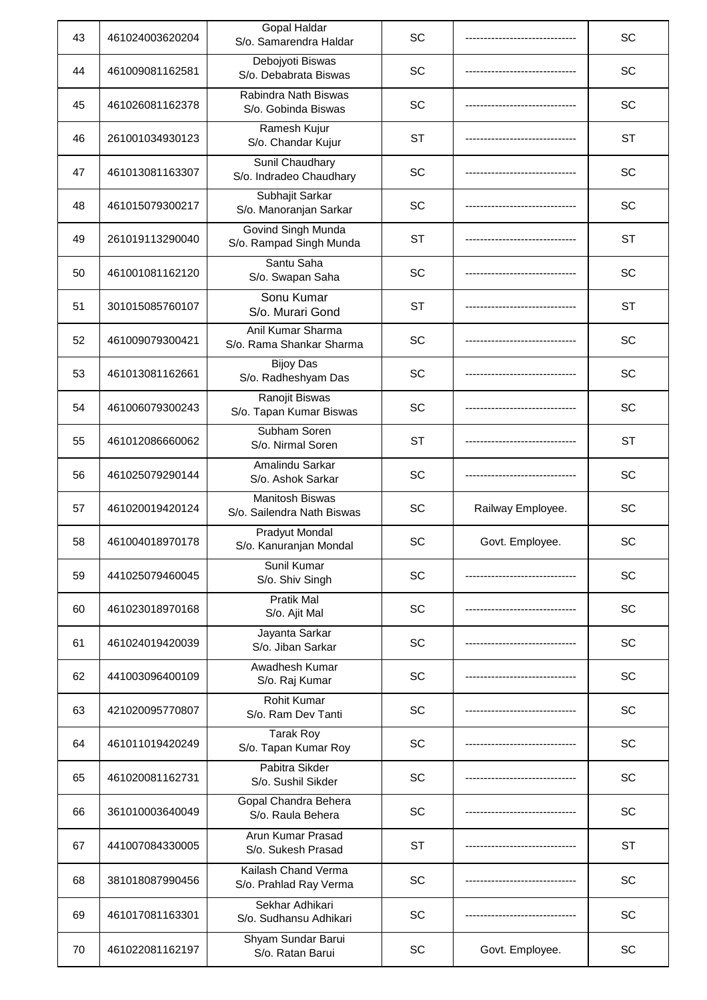| 43 | 461024003620204 | Gopal Haldar<br>S/o. Samarendra Haldar               | SC        |                   | SC        |
|----|-----------------|------------------------------------------------------|-----------|-------------------|-----------|
| 44 | 461009081162581 | Debojyoti Biswas<br>S/o. Debabrata Biswas            | SC        |                   | SC        |
| 45 | 461026081162378 | Rabindra Nath Biswas<br>S/o. Gobinda Biswas          | SC        |                   | SC        |
| 46 | 261001034930123 | Ramesh Kujur<br>S/o. Chandar Kujur                   | <b>ST</b> |                   | <b>ST</b> |
| 47 | 461013081163307 | Sunil Chaudhary<br>S/o. Indradeo Chaudhary           | SC        |                   | SC        |
| 48 | 461015079300217 | Subhajit Sarkar<br>S/o. Manoranjan Sarkar            | SC        |                   | SC        |
| 49 | 261019113290040 | Govind Singh Munda<br>S/o. Rampad Singh Munda        | <b>ST</b> |                   | <b>ST</b> |
| 50 | 461001081162120 | Santu Saha<br>S/o. Swapan Saha                       | SC        |                   | SC        |
| 51 | 301015085760107 | Sonu Kumar<br>S/o. Murari Gond                       | <b>ST</b> |                   | <b>ST</b> |
| 52 | 461009079300421 | Anil Kumar Sharma<br>S/o. Rama Shankar Sharma        | SC        |                   | SC        |
| 53 | 461013081162661 | <b>Bijoy Das</b><br>S/o. Radheshyam Das              | SC        |                   | SC        |
| 54 | 461006079300243 | Ranojit Biswas<br>S/o. Tapan Kumar Biswas            | <b>SC</b> |                   | SC        |
| 55 | 461012086660062 | Subham Soren<br>S/o. Nirmal Soren                    | <b>ST</b> |                   | <b>ST</b> |
| 56 | 461025079290144 | Amalindu Sarkar<br>S/o. Ashok Sarkar                 | SC        |                   | SC        |
| 57 | 461020019420124 | <b>Manitosh Biswas</b><br>S/o. Sailendra Nath Biswas | SC        | Railway Employee. | SC        |
| 58 | 461004018970178 | Pradyut Mondal<br>S/o. Kanuranjan Mondal             | SC        | Govt. Employee.   | SC        |
| 59 | 441025079460045 | Sunil Kumar<br>S/o. Shiv Singh                       | SC        |                   | SC        |
| 60 | 461023018970168 | <b>Pratik Mal</b><br>S/o. Ajit Mal                   | SC        |                   | SC        |
| 61 | 461024019420039 | Jayanta Sarkar<br>S/o. Jiban Sarkar                  | SC        |                   | SC        |
| 62 | 441003096400109 | Awadhesh Kumar<br>S/o. Raj Kumar                     | SC        |                   | SC        |
| 63 | 421020095770807 | Rohit Kumar<br>S/o. Ram Dev Tanti                    | SC        |                   | SC        |
| 64 | 461011019420249 | <b>Tarak Roy</b><br>S/o. Tapan Kumar Roy             | SC        |                   | SC        |
| 65 | 461020081162731 | Pabitra Sikder<br>S/o. Sushil Sikder                 | SC        |                   | SC        |
| 66 | 361010003640049 | Gopal Chandra Behera<br>S/o. Raula Behera            | SC        |                   | <b>SC</b> |
| 67 | 441007084330005 | Arun Kumar Prasad<br>S/o. Sukesh Prasad              | <b>ST</b> |                   | <b>ST</b> |
| 68 | 381018087990456 | Kailash Chand Verma<br>S/o. Prahlad Ray Verma        | SC        |                   | SC        |
| 69 | 461017081163301 | Sekhar Adhikari<br>S/o. Sudhansu Adhikari            | SC        |                   | SC        |
| 70 | 461022081162197 | Shyam Sundar Barui<br>S/o. Ratan Barui               | <b>SC</b> | Govt. Employee.   | SC        |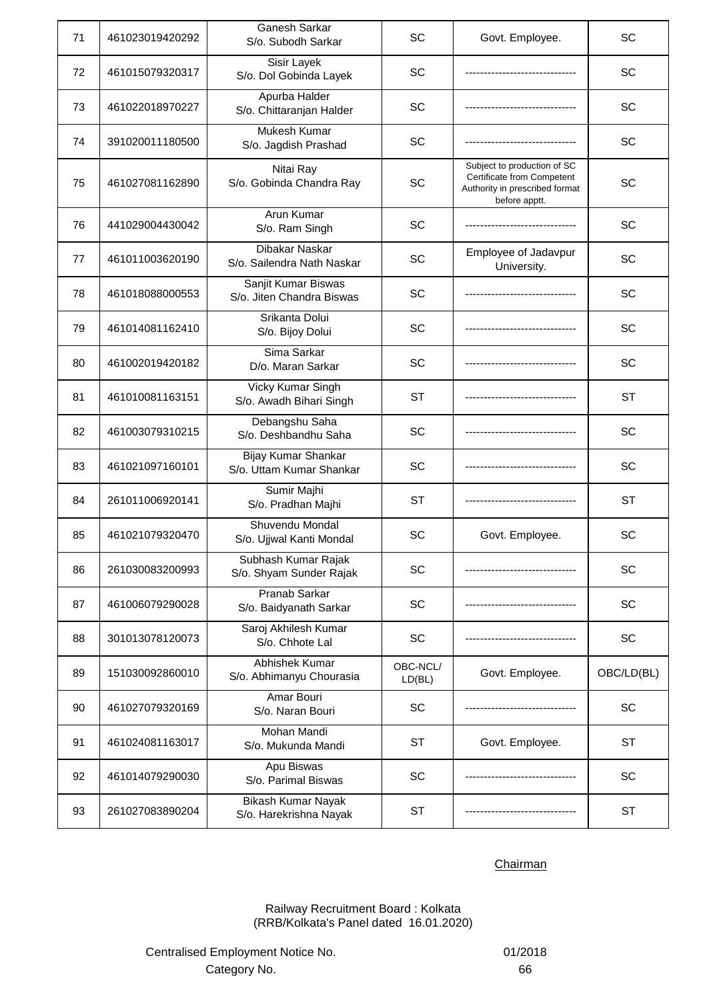| 71 | 461023019420292 | Ganesh Sarkar<br>S/o. Subodh Sarkar              | SC                 | Govt. Employee.                                                                                              | SC         |
|----|-----------------|--------------------------------------------------|--------------------|--------------------------------------------------------------------------------------------------------------|------------|
| 72 | 461015079320317 | Sisir Layek<br>S/o. Dol Gobinda Layek            | SC                 |                                                                                                              | SC         |
| 73 | 461022018970227 | Apurba Halder<br>S/o. Chittaranjan Halder        | SC                 |                                                                                                              | SC         |
| 74 | 391020011180500 | Mukesh Kumar<br>S/o. Jagdish Prashad             | SC                 |                                                                                                              | SC         |
| 75 | 461027081162890 | Nitai Ray<br>S/o. Gobinda Chandra Ray            | SC                 | Subject to production of SC<br>Certificate from Competent<br>Authority in prescribed format<br>before apptt. | SC         |
| 76 | 441029004430042 | Arun Kumar<br>S/o. Ram Singh                     | SC                 |                                                                                                              | SC         |
| 77 | 461011003620190 | Dibakar Naskar<br>S/o. Sailendra Nath Naskar     | SC                 | Employee of Jadavpur<br>University.                                                                          | SC         |
| 78 | 461018088000553 | Sanjit Kumar Biswas<br>S/o. Jiten Chandra Biswas | SC                 |                                                                                                              | SC         |
| 79 | 461014081162410 | Srikanta Dolui<br>S/o. Bijoy Dolui               | SC                 |                                                                                                              | SC         |
| 80 | 461002019420182 | Sima Sarkar<br>D/o. Maran Sarkar                 | SC                 |                                                                                                              | SC         |
| 81 | 461010081163151 | Vicky Kumar Singh<br>S/o. Awadh Bihari Singh     | <b>ST</b>          |                                                                                                              | <b>ST</b>  |
| 82 | 461003079310215 | Debangshu Saha<br>S/o. Deshbandhu Saha           | SC                 |                                                                                                              | SC         |
| 83 | 461021097160101 | Bijay Kumar Shankar<br>S/o. Uttam Kumar Shankar  | SC                 |                                                                                                              | SC         |
| 84 | 261011006920141 | Sumir Majhi<br>S/o. Pradhan Majhi                | <b>ST</b>          |                                                                                                              | <b>ST</b>  |
| 85 | 461021079320470 | Shuvendu Mondal<br>S/o. Ujjwal Kanti Mondal      | SC                 | Govt. Employee.                                                                                              | SC         |
| 86 | 261030083200993 | Subhash Kumar Rajak<br>S/o. Shyam Sunder Rajak   | <b>SC</b>          |                                                                                                              | <b>SC</b>  |
| 87 | 461006079290028 | Pranab Sarkar<br>S/o. Baidyanath Sarkar          | SC                 |                                                                                                              | SC         |
| 88 | 301013078120073 | Saroj Akhilesh Kumar<br>S/o. Chhote Lal          | SC                 |                                                                                                              | SC         |
| 89 | 151030092860010 | Abhishek Kumar<br>S/o. Abhimanyu Chourasia       | OBC-NCL/<br>LD(BL) | Govt. Employee.                                                                                              | OBC/LD(BL) |
| 90 | 461027079320169 | Amar Bouri<br>S/o. Naran Bouri                   | SC                 |                                                                                                              | SC         |
| 91 | 461024081163017 | Mohan Mandi<br>S/o. Mukunda Mandi                | ST                 | Govt. Employee.                                                                                              | ST         |
| 92 | 461014079290030 | Apu Biswas<br>S/o. Parimal Biswas                | SC                 |                                                                                                              | SC         |
| 93 | 261027083890204 | Bikash Kumar Nayak<br>S/o. Harekrishna Nayak     | <b>ST</b>          |                                                                                                              | <b>ST</b>  |

Railway Recruitment Board : Kolkata (RRB/Kolkata's Panel dated 16.01.2020)

Centralised Employment Notice No. 01/2018 Category No. 66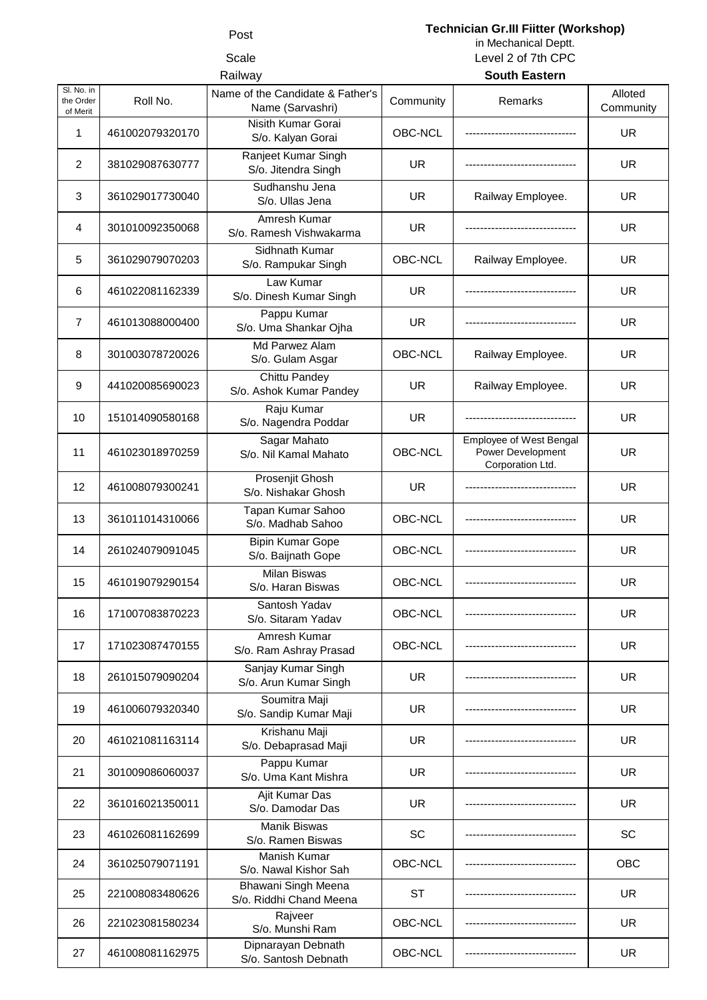# Post **Technician Gr.III Fiitter (Workshop)**

Scale Level 2 of 7th CPC in Mechanical Deptt.

| Railway                             |                 |                                                      | <b>South Eastern</b> |                                                                         |                      |
|-------------------------------------|-----------------|------------------------------------------------------|----------------------|-------------------------------------------------------------------------|----------------------|
| SI. No. in<br>the Order<br>of Merit | Roll No.        | Name of the Candidate & Father's<br>Name (Sarvashri) | Community            | Remarks                                                                 | Alloted<br>Community |
| 1                                   | 461002079320170 | Nisith Kumar Gorai<br>S/o. Kalyan Gorai              | OBC-NCL              |                                                                         | <b>UR</b>            |
| 2                                   | 381029087630777 | Ranjeet Kumar Singh<br>S/o. Jitendra Singh           | <b>UR</b>            |                                                                         | <b>UR</b>            |
| 3                                   | 361029017730040 | Sudhanshu Jena<br>S/o. Ullas Jena                    | <b>UR</b>            | Railway Employee.                                                       | UR.                  |
| 4                                   | 301010092350068 | Amresh Kumar<br>S/o. Ramesh Vishwakarma              | <b>UR</b>            |                                                                         | UR.                  |
| 5                                   | 361029079070203 | Sidhnath Kumar<br>S/o. Rampukar Singh                | OBC-NCL              | Railway Employee.                                                       | <b>UR</b>            |
| 6                                   | 461022081162339 | Law Kumar<br>S/o. Dinesh Kumar Singh                 | <b>UR</b>            |                                                                         | <b>UR</b>            |
| $\overline{7}$                      | 461013088000400 | Pappu Kumar<br>S/o. Uma Shankar Ojha                 | <b>UR</b>            |                                                                         | <b>UR</b>            |
| 8                                   | 301003078720026 | Md Parwez Alam<br>S/o. Gulam Asgar                   | OBC-NCL              | Railway Employee.                                                       | UR.                  |
| 9                                   | 441020085690023 | Chittu Pandey<br>S/o. Ashok Kumar Pandey             | <b>UR</b>            | Railway Employee.                                                       | <b>UR</b>            |
| 10                                  | 151014090580168 | Raju Kumar<br>S/o. Nagendra Poddar                   | <b>UR</b>            | ---------------------                                                   | <b>UR</b>            |
| 11                                  | 461023018970259 | Sagar Mahato<br>S/o. Nil Kamal Mahato                | OBC-NCL              | <b>Employee of West Bengal</b><br>Power Development<br>Corporation Ltd. | <b>UR</b>            |
| 12                                  | 461008079300241 | Prosenjit Ghosh<br>S/o. Nishakar Ghosh               | <b>UR</b>            |                                                                         | <b>UR</b>            |
| 13                                  | 361011014310066 | Tapan Kumar Sahoo<br>S/o. Madhab Sahoo               | OBC-NCL              |                                                                         | UR.                  |
| 14                                  | 261024079091045 | <b>Bipin Kumar Gope</b><br>S/o. Baijnath Gope        | OBC-NCL              |                                                                         | <b>UR</b>            |
| 15                                  | 461019079290154 | <b>Milan Biswas</b><br>S/o. Haran Biswas             | OBC-NCL              |                                                                         | UR.                  |
| 16                                  | 171007083870223 | Santosh Yadav<br>S/o. Sitaram Yadav                  | OBC-NCL              |                                                                         | <b>UR</b>            |
| 17                                  | 171023087470155 | Amresh Kumar<br>S/o. Ram Ashray Prasad               | OBC-NCL              |                                                                         | <b>UR</b>            |
| 18                                  | 261015079090204 | Sanjay Kumar Singh<br>S/o. Arun Kumar Singh          | <b>UR</b>            |                                                                         | <b>UR</b>            |
| 19                                  | 461006079320340 | Soumitra Maji<br>S/o. Sandip Kumar Maji              | <b>UR</b>            |                                                                         | UR.                  |
| 20                                  | 461021081163114 | Krishanu Maji<br>S/o. Debaprasad Maji                | <b>UR</b>            |                                                                         | <b>UR</b>            |
| 21                                  | 301009086060037 | Pappu Kumar<br>S/o. Uma Kant Mishra                  | <b>UR</b>            |                                                                         | <b>UR</b>            |
| 22                                  | 361016021350011 | Ajit Kumar Das<br>S/o. Damodar Das                   | <b>UR</b>            |                                                                         | <b>UR</b>            |
| 23                                  | 461026081162699 | <b>Manik Biswas</b><br>S/o. Ramen Biswas             | SC                   |                                                                         | SC                   |
| 24                                  | 361025079071191 | Manish Kumar<br>S/o. Nawal Kishor Sah                | OBC-NCL              |                                                                         | <b>OBC</b>           |
| 25                                  | 221008083480626 | Bhawani Singh Meena<br>S/o. Riddhi Chand Meena       | ST                   |                                                                         | UR.                  |
| 26                                  | 221023081580234 | Rajveer<br>S/o. Munshi Ram                           | OBC-NCL              |                                                                         | UR.                  |
| 27                                  | 461008081162975 | Dipnarayan Debnath<br>S/o. Santosh Debnath           | OBC-NCL              |                                                                         | <b>UR</b>            |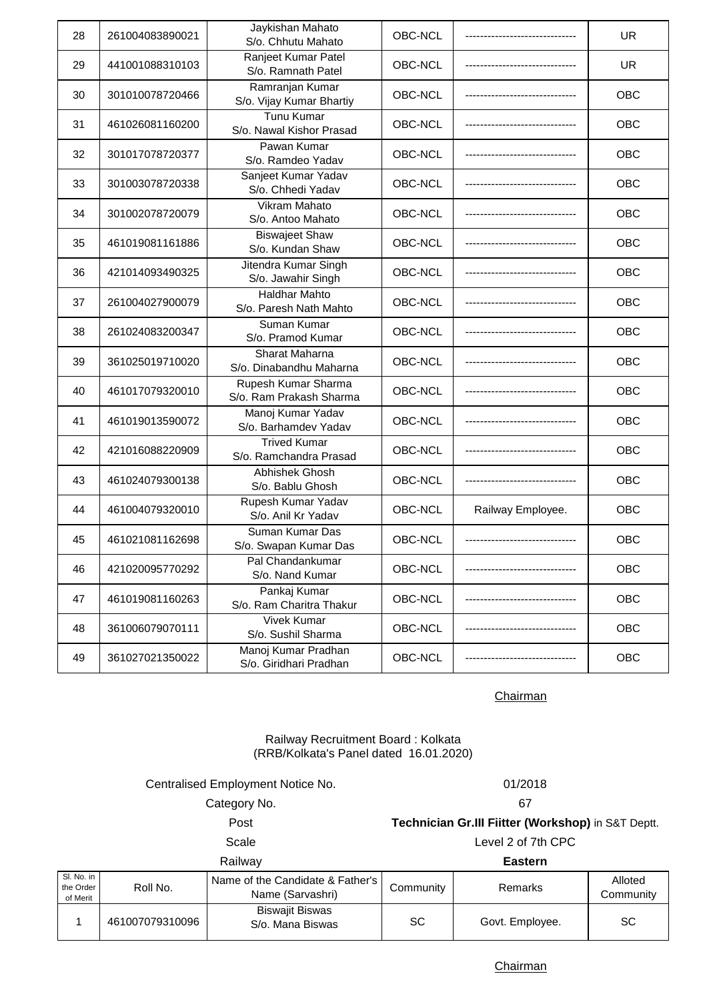| 28 | 261004083890021 | Jaykishan Mahato<br>S/o. Chhutu Mahato         | OBC-NCL |                   | <b>UR</b>  |
|----|-----------------|------------------------------------------------|---------|-------------------|------------|
| 29 | 441001088310103 | Ranjeet Kumar Patel<br>S/o. Ramnath Patel      | OBC-NCL |                   | <b>UR</b>  |
| 30 | 301010078720466 | Ramranjan Kumar<br>S/o. Vijay Kumar Bhartiy    | OBC-NCL |                   | OBC        |
| 31 | 461026081160200 | <b>Tunu Kumar</b><br>S/o. Nawal Kishor Prasad  | OBC-NCL |                   | OBC        |
| 32 | 301017078720377 | Pawan Kumar<br>S/o. Ramdeo Yadav               | OBC-NCL |                   | OBC        |
| 33 | 301003078720338 | Sanjeet Kumar Yadav<br>S/o. Chhedi Yadav       | OBC-NCL |                   | OBC        |
| 34 | 301002078720079 | <b>Vikram Mahato</b><br>S/o. Antoo Mahato      | OBC-NCL |                   | <b>OBC</b> |
| 35 | 461019081161886 | <b>Biswajeet Shaw</b><br>S/o. Kundan Shaw      | OBC-NCL |                   | <b>OBC</b> |
| 36 | 421014093490325 | Jitendra Kumar Singh<br>S/o. Jawahir Singh     | OBC-NCL |                   | OBC        |
| 37 | 261004027900079 | <b>Haldhar Mahto</b><br>S/o. Paresh Nath Mahto | OBC-NCL |                   | OBC        |
| 38 | 261024083200347 | Suman Kumar<br>S/o. Pramod Kumar               | OBC-NCL |                   | OBC        |
| 39 | 361025019710020 | Sharat Maharna<br>S/o. Dinabandhu Maharna      | OBC-NCL |                   | OBC        |
| 40 | 461017079320010 | Rupesh Kumar Sharma<br>S/o. Ram Prakash Sharma | OBC-NCL |                   | OBC        |
| 41 | 461019013590072 | Manoj Kumar Yadav<br>S/o. Barhamdev Yadav      | OBC-NCL |                   | OBC        |
| 42 | 421016088220909 | <b>Trived Kumar</b><br>S/o. Ramchandra Prasad  | OBC-NCL |                   | OBC        |
| 43 | 461024079300138 | Abhishek Ghosh<br>S/o. Bablu Ghosh             | OBC-NCL |                   | OBC        |
| 44 | 461004079320010 | Rupesh Kumar Yadav<br>S/o. Anil Kr Yadav       | OBC-NCL | Railway Employee. | OBC        |
| 45 | 461021081162698 | Suman Kumar Das<br>S/o. Swapan Kumar Das       | OBC-NCL |                   | <b>OBC</b> |
| 46 | 421020095770292 | Pal Chandankumar<br>S/o. Nand Kumar            | OBC-NCL |                   | OBC        |
| 47 | 461019081160263 | Pankaj Kumar<br>S/o. Ram Charitra Thakur       | OBC-NCL |                   | OBC        |
| 48 | 361006079070111 | <b>Vivek Kumar</b><br>S/o. Sushil Sharma       | OBC-NCL |                   | OBC        |
| 49 | 361027021350022 | Manoj Kumar Pradhan<br>S/o. Giridhari Pradhan  | OBC-NCL |                   | OBC        |

# Railway Recruitment Board : Kolkata (RRB/Kolkata's Panel dated 16.01.2020)

Centralised Employment Notice No. 01/2018

Category No. 67

Post **Technician Gr.III Fiitter (Workshop)** in S&T Deptt. Scale Level 2 of 7th CPC

Railway **Eastern**

| Sl. No. in<br>the Order<br>of Merit | Roll No.        | Name of the Candidate & Father's<br>Name (Sarvashri) | Community | <b>Remarks</b>  | Alloted<br>Communitv |
|-------------------------------------|-----------------|------------------------------------------------------|-----------|-----------------|----------------------|
|                                     | 461007079310096 | <b>Biswajit Biswas</b><br>S/o. Mana Biswas           | SC        | Govt. Employee. | SC                   |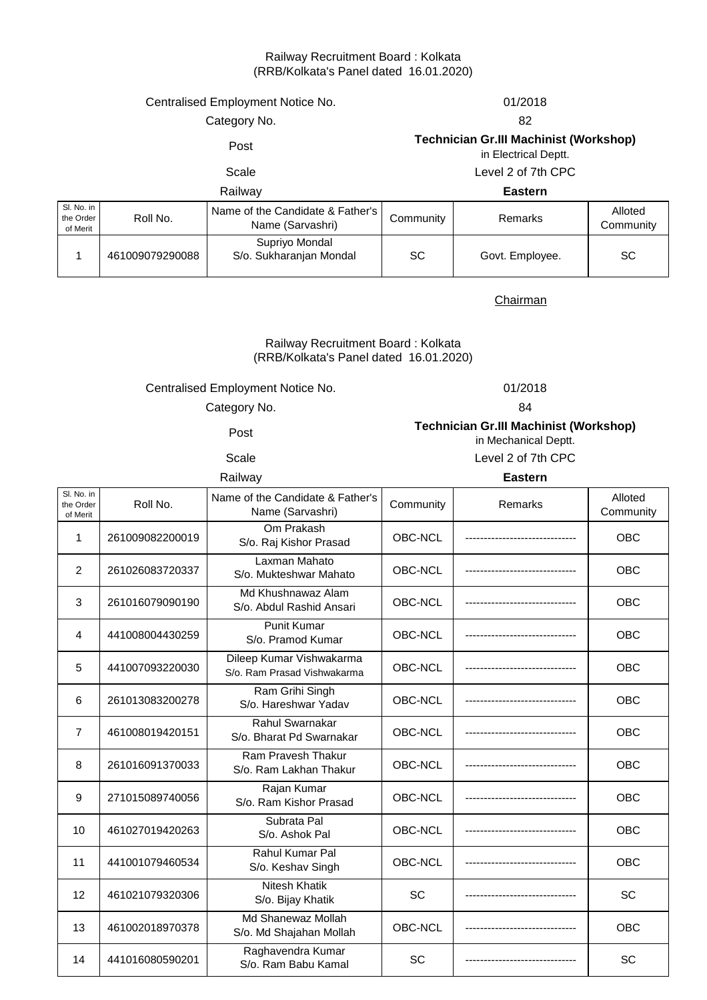### Railway Recruitment Board : Kolkata (RRB/Kolkata's Panel dated 16.01.2020)

Centralised Employment Notice No. 01/2018

# Category No. 682

# Post **Technician Gr.III Machinist (Workshop)**

in Electrical Deptt.

Scale Level 2 of 7th CPC

# Railway **Eastern**

| SI, No. in<br>the Order<br>of Merit | Roll No.        | Name of the Candidate & Father's<br>Name (Sarvashri) | Community | Remarks         | Alloted<br>Community |
|-------------------------------------|-----------------|------------------------------------------------------|-----------|-----------------|----------------------|
|                                     | 461009079290088 | Supriyo Mondal<br>S/o. Sukharanjan Mondal            | SC        | Govt. Employee. | <b>SC</b>            |

**Chairman** 

### (RRB/Kolkata's Panel dated 16.01.2020) Railway Recruitment Board : Kolkata

Centralised Employment Notice No.

01/2018

Category No. 64

Post

# **Technician Gr.III Machinist (Workshop)**

in Mechanical Deptt.

Scale Level 2 of 7th CPC

### Railway **Eastern**

| Sl. No. in<br>the Order<br>of Merit | Roll No.        | Name of the Candidate & Father's<br>Name (Sarvashri)    | Community | Remarks | Alloted<br>Community |
|-------------------------------------|-----------------|---------------------------------------------------------|-----------|---------|----------------------|
| 1                                   | 261009082200019 | Om Prakash<br>S/o. Raj Kishor Prasad                    | OBC-NCL   |         | <b>OBC</b>           |
| $\overline{2}$                      | 261026083720337 | Laxman Mahato<br>S/o. Mukteshwar Mahato                 | OBC-NCL   |         | <b>OBC</b>           |
| 3                                   | 261016079090190 | Md Khushnawaz Alam<br>S/o. Abdul Rashid Ansari          | OBC-NCL   |         | <b>OBC</b>           |
| 4                                   | 441008004430259 | <b>Punit Kumar</b><br>S/o. Pramod Kumar                 | OBC-NCL   |         | <b>OBC</b>           |
| 5                                   | 441007093220030 | Dileep Kumar Vishwakarma<br>S/o. Ram Prasad Vishwakarma | OBC-NCL   |         | <b>OBC</b>           |
| 6                                   | 261013083200278 | Ram Grihi Singh<br>S/o. Hareshwar Yadav                 | OBC-NCL   |         | <b>OBC</b>           |
| $\overline{7}$                      | 461008019420151 | Rahul Swarnakar<br>S/o. Bharat Pd Swarnakar             | OBC-NCL   |         | <b>OBC</b>           |
| 8                                   | 261016091370033 | Ram Pravesh Thakur<br>S/o. Ram Lakhan Thakur            | OBC-NCL   |         | <b>OBC</b>           |
| 9                                   | 271015089740056 | Rajan Kumar<br>S/o. Ram Kishor Prasad                   | OBC-NCL   |         | OBC                  |
| 10                                  | 461027019420263 | Subrata Pal<br>S/o. Ashok Pal                           | OBC-NCL   |         | <b>OBC</b>           |
| 11                                  | 441001079460534 | Rahul Kumar Pal<br>S/o. Keshav Singh                    | OBC-NCL   |         | OBC                  |
| 12                                  | 461021079320306 | <b>Nitesh Khatik</b><br>S/o. Bijay Khatik               | SC        |         | SC                   |
| 13                                  | 461002018970378 | Md Shanewaz Mollah<br>S/o. Md Shajahan Mollah           | OBC-NCL   |         | <b>OBC</b>           |
| 14                                  | 441016080590201 | Raghavendra Kumar<br>S/o. Ram Babu Kamal                | SC        |         | SC                   |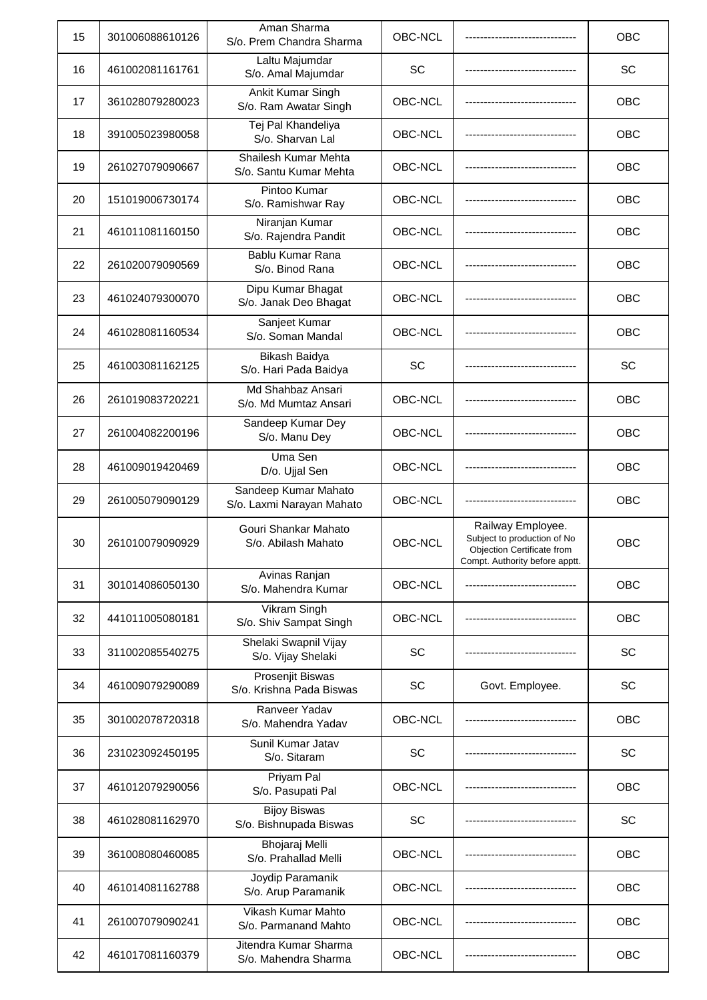| 15 | 301006088610126 | Aman Sharma<br>S/o. Prem Chandra Sharma             | OBC-NCL   |                                                                                                                  | <b>OBC</b> |
|----|-----------------|-----------------------------------------------------|-----------|------------------------------------------------------------------------------------------------------------------|------------|
| 16 | 461002081161761 | Laltu Majumdar<br>S/o. Amal Majumdar                | SC        |                                                                                                                  | SC         |
| 17 | 361028079280023 | Ankit Kumar Singh<br>S/o. Ram Awatar Singh          | OBC-NCL   |                                                                                                                  | OBC        |
| 18 | 391005023980058 | Tej Pal Khandeliya<br>S/o. Sharvan Lal              | OBC-NCL   |                                                                                                                  | OBC        |
| 19 | 261027079090667 | Shailesh Kumar Mehta<br>S/o. Santu Kumar Mehta      | OBC-NCL   |                                                                                                                  | OBC        |
| 20 | 151019006730174 | Pintoo Kumar<br>S/o. Ramishwar Ray                  | OBC-NCL   |                                                                                                                  | OBC        |
| 21 | 461011081160150 | Niranjan Kumar<br>S/o. Rajendra Pandit              | OBC-NCL   |                                                                                                                  | OBC        |
| 22 | 261020079090569 | Bablu Kumar Rana<br>S/o. Binod Rana                 | OBC-NCL   |                                                                                                                  | OBC        |
| 23 | 461024079300070 | Dipu Kumar Bhagat<br>S/o. Janak Deo Bhagat          | OBC-NCL   |                                                                                                                  | <b>OBC</b> |
| 24 | 461028081160534 | Sanjeet Kumar<br>S/o. Soman Mandal                  | OBC-NCL   |                                                                                                                  | <b>OBC</b> |
| 25 | 461003081162125 | Bikash Baidya<br>S/o. Hari Pada Baidya              | SC        |                                                                                                                  | SC         |
| 26 | 261019083720221 | Md Shahbaz Ansari<br>S/o. Md Mumtaz Ansari          | OBC-NCL   |                                                                                                                  | OBC        |
| 27 | 261004082200196 | Sandeep Kumar Dey<br>S/o. Manu Dey                  | OBC-NCL   |                                                                                                                  | OBC        |
| 28 | 461009019420469 | Uma Sen<br>D/o. Ujjal Sen                           | OBC-NCL   |                                                                                                                  | OBC        |
| 29 | 261005079090129 | Sandeep Kumar Mahato<br>S/o. Laxmi Narayan Mahato   | OBC-NCL   |                                                                                                                  | OBC        |
| 30 | 261010079090929 | Gouri Shankar Mahato<br>S/o. Abilash Mahato         | OBC-NCL   | Railway Employee.<br>Subject to production of No<br>Objection Certificate from<br>Compt. Authority before apptt. | OBC        |
| 31 | 301014086050130 | Avinas Ranjan<br>S/o. Mahendra Kumar                | OBC-NCL   |                                                                                                                  | <b>OBC</b> |
| 32 | 441011005080181 | Vikram Singh<br>S/o. Shiv Sampat Singh              | OBC-NCL   |                                                                                                                  | OBC        |
| 33 | 311002085540275 | Shelaki Swapnil Vijay<br>S/o. Vijay Shelaki         | SC        |                                                                                                                  | SC         |
| 34 | 461009079290089 | <b>Prosenjit Biswas</b><br>S/o. Krishna Pada Biswas | SC        | Govt. Employee.                                                                                                  | SC         |
| 35 | 301002078720318 | Ranveer Yadav<br>S/o. Mahendra Yadav                | OBC-NCL   |                                                                                                                  | OBC        |
| 36 | 231023092450195 | Sunil Kumar Jatav<br>S/o. Sitaram                   | SC        |                                                                                                                  | SC         |
| 37 | 461012079290056 | Priyam Pal<br>S/o. Pasupati Pal                     | OBC-NCL   |                                                                                                                  | OBC        |
| 38 | 461028081162970 | <b>Bijoy Biswas</b><br>S/o. Bishnupada Biswas       | <b>SC</b> |                                                                                                                  | SC         |
| 39 | 361008080460085 | Bhojaraj Melli<br>S/o. Prahallad Melli              | OBC-NCL   |                                                                                                                  | OBC        |
| 40 | 461014081162788 | Joydip Paramanik<br>S/o. Arup Paramanik             | OBC-NCL   |                                                                                                                  | OBC        |
| 41 | 261007079090241 | Vikash Kumar Mahto<br>S/o. Parmanand Mahto          | OBC-NCL   |                                                                                                                  | OBC        |
| 42 | 461017081160379 | Jitendra Kumar Sharma<br>S/o. Mahendra Sharma       | OBC-NCL   |                                                                                                                  | OBC        |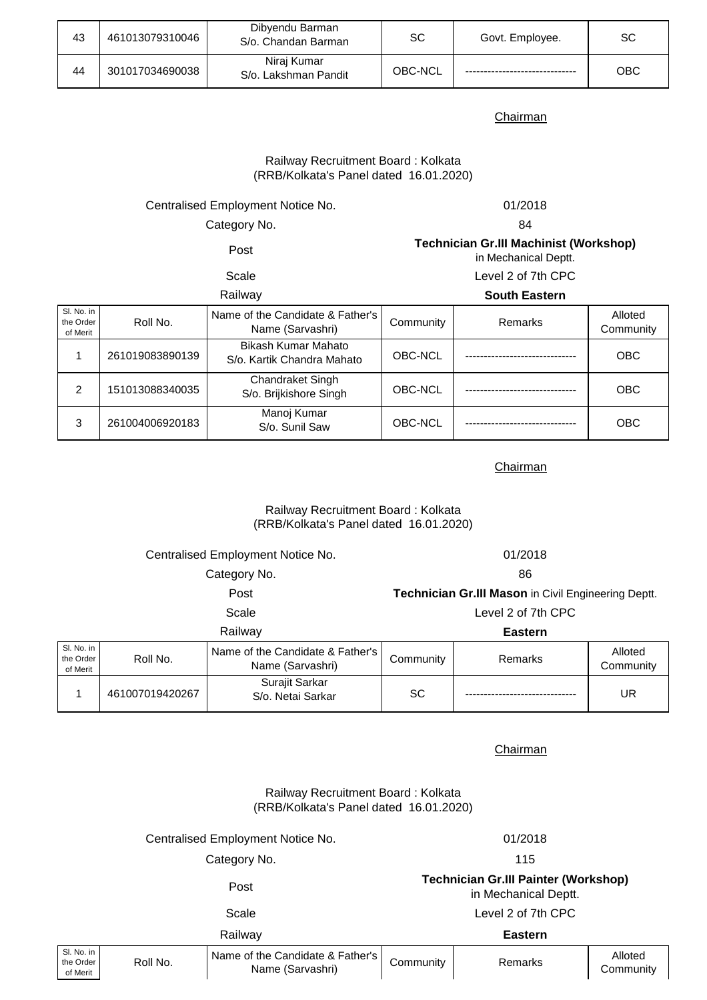| 43 | 461013079310046 | Dibyendu Barman<br>S/o. Chandan Barman | SC      | Govt. Employee. | SC  |
|----|-----------------|----------------------------------------|---------|-----------------|-----|
| 44 | 301017034690038 | Nirai Kumar<br>S/o. Lakshman Pandit    | OBC-NCL |                 | ОВС |

# (RRB/Kolkata's Panel dated 16.01.2020) Railway Recruitment Board : Kolkata

# Centralised Employment Notice No. 01/2018

Category No. 64

**Technician Gr.III Machinist (Workshop)** 

Post

### Scale

| in Mechanical Deptt. |  |  |  |  |
|----------------------|--|--|--|--|
| Level 2 of 7th CPC   |  |  |  |  |

| Railway                             |                 |                                                      | <b>South Eastern</b> |                |                      |
|-------------------------------------|-----------------|------------------------------------------------------|----------------------|----------------|----------------------|
| SI. No. in<br>the Order<br>of Merit | Roll No.        | Name of the Candidate & Father's<br>Name (Sarvashri) | Community            | <b>Remarks</b> | Alloted<br>Community |
|                                     | 261019083890139 | Bikash Kumar Mahato<br>S/o. Kartik Chandra Mahato    | OBC-NCL              |                | <b>OBC</b>           |
| 2                                   | 151013088340035 | Chandraket Singh<br>S/o. Brijkishore Singh           | OBC-NCL              |                | <b>OBC</b>           |
| 3                                   | 261004006920183 | Manoj Kumar<br>S/o. Sunil Saw                        | OBC-NCL              |                | <b>OBC</b>           |

# Chairman

## Railway Recruitment Board : Kolkata (RRB/Kolkata's Panel dated 16.01.2020)

# Centralised Employment Notice No. 01/2018

Category No. 686

| $\sim$<br>۰.<br>۰, |
|--------------------|
|--------------------|

Scale Level 2 of 7th CPC **Technician Gr.III Mason** in Civil Engineering Deptt.

# Railway **Eastern**

| SI. No. in<br>the Order<br>of Merit | Roll No.        | Name of the Candidate & Father's<br>Name (Sarvashri) | Community | Remarks | Alloted<br>Community |
|-------------------------------------|-----------------|------------------------------------------------------|-----------|---------|----------------------|
|                                     | 461007019420267 | Surajit Sarkar<br>S/o. Netai Sarkar                  | SC        |         | UR.                  |

Chairman

Railway Recruitment Board : Kolkata (RRB/Kolkata's Panel dated 16.01.2020)

# Centralised Employment Notice No. 01/2018

Category No. 2008 2012 115

# Post **Technician Gr.III Painter (Workshop)**  in Mechanical Deptt.

|                                     | Scale    |                                                      | Level 2 of 7th CPC |         |                      |
|-------------------------------------|----------|------------------------------------------------------|--------------------|---------|----------------------|
| Railwav                             |          |                                                      | <b>Eastern</b>     |         |                      |
| Sl. No. in<br>the Order<br>of Merit | Roll No. | Name of the Candidate & Father's<br>Name (Sarvashri) | Community          | Remarks | Alloted<br>Community |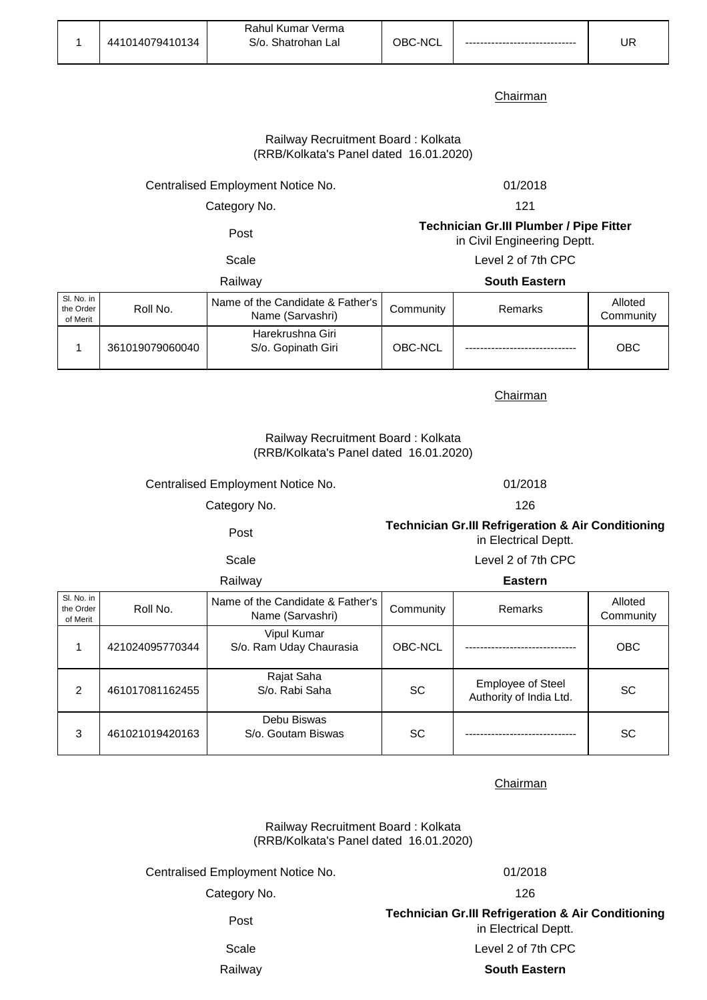|                 | Rahul Kumar Verma                |               |                          |    |
|-----------------|----------------------------------|---------------|--------------------------|----|
| 441014079410134 | $S/\alpha$ .<br>Shatrohan<br>∟al | `-NCL<br>าR∩- | ------------------------ | UR |

# Railway Recruitment Board : Kolkata (RRB/Kolkata's Panel dated 16.01.2020)

Centralised Employment Notice No. 01/2018

Category No.

121

Post **Technician Gr.III Plumber / Pipe Fitter**  in Civil Engineering Deptt.

Scale Level 2 of 7th CPC

Railway **South Eastern**

| Sl. No. in<br>the Order<br>of Merit | Roll No.        | Name of the Candidate & Father's<br>Name (Sarvashri) | Community | Remarks | Alloted<br>Community |
|-------------------------------------|-----------------|------------------------------------------------------|-----------|---------|----------------------|
|                                     | 361019079060040 | Harekrushna Giri<br>S/o. Gopinath Giri               | OBC-NCL   |         | OBC                  |

**Chairman** 

## (RRB/Kolkata's Panel dated 16.01.2020) Railway Recruitment Board : Kolkata

Centralised Employment Notice No. 01/2018

Category No. 226

Post **Technician Gr.III Refrigeration & Air Conditioning**  in Electrical Deptt.

Scale Level 2 of 7th CPC

Railway **Eastern**

| 114111144                           |                 |                                                      | ------    |                                                     |                      |  |
|-------------------------------------|-----------------|------------------------------------------------------|-----------|-----------------------------------------------------|----------------------|--|
| SI. No. in<br>the Order<br>of Merit | Roll No.        | Name of the Candidate & Father's<br>Name (Sarvashri) | Community | <b>Remarks</b>                                      | Alloted<br>Community |  |
|                                     | 421024095770344 | Vipul Kumar<br>S/o. Ram Uday Chaurasia               | OBC-NCL   |                                                     | <b>OBC</b>           |  |
| 2                                   | 461017081162455 | Rajat Saha<br>S/o. Rabi Saha                         | SC        | <b>Employee of Steel</b><br>Authority of India Ltd. | <b>SC</b>            |  |
| 3                                   | 461021019420163 | Debu Biswas<br>S/o. Goutam Biswas                    | <b>SC</b> |                                                     | <b>SC</b>            |  |

**Chairman** 

Railway Recruitment Board : Kolkata (RRB/Kolkata's Panel dated 16.01.2020)

Centralised Employment Notice No. 01/2018

Category No. 226

in Electrical Deptt.

Post **Technician Gr.III Refrigeration & Air Conditioning** 

Scale Level 2 of 7th CPC

Railway **South Eastern**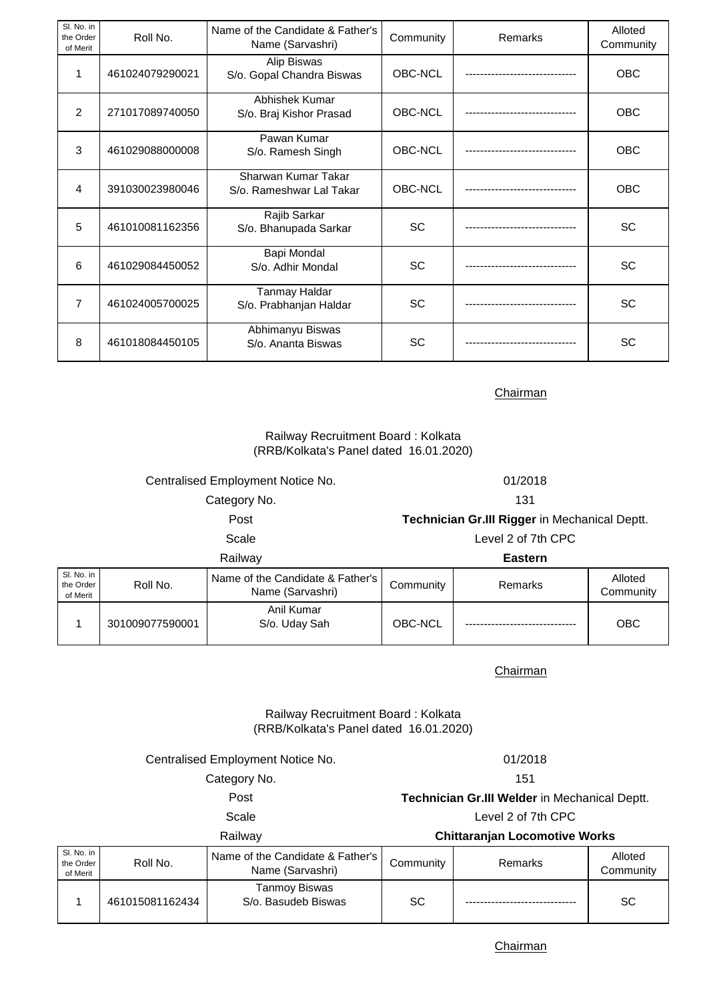| Sl. No. in<br>the Order<br>of Merit | Roll No.        | Name of the Candidate & Father's<br>Name (Sarvashri) | Community | Remarks | Alloted<br>Community |
|-------------------------------------|-----------------|------------------------------------------------------|-----------|---------|----------------------|
| 1                                   | 461024079290021 | Alip Biswas<br>S/o. Gopal Chandra Biswas             | OBC-NCL   |         | <b>OBC</b>           |
| 2                                   | 271017089740050 | Abhishek Kumar<br>S/o. Braj Kishor Prasad            | OBC-NCL   |         | OBC                  |
| 3                                   | 461029088000008 | Pawan Kumar<br>S/o. Ramesh Singh                     | OBC-NCL   |         | <b>OBC</b>           |
| 4                                   | 391030023980046 | Sharwan Kumar Takar<br>S/o. Rameshwar Lal Takar      | OBC-NCL   |         | <b>OBC</b>           |
| 5                                   | 461010081162356 | Rajib Sarkar<br>S/o. Bhanupada Sarkar                | <b>SC</b> |         | SC                   |
| 6                                   | 461029084450052 | Bapi Mondal<br>S/o. Adhir Mondal                     | <b>SC</b> |         | <b>SC</b>            |
| 7                                   | 461024005700025 | Tanmay Haldar<br>S/o. Prabhanjan Haldar              | <b>SC</b> |         | <b>SC</b>            |
| 8                                   | 461018084450105 | Abhimanyu Biswas<br>S/o. Ananta Biswas               | SC        |         | SC                   |

# Railway Recruitment Board : Kolkata (RRB/Kolkata's Panel dated 16.01.2020)

Roll No. Name of the Candidate & Father's Community Remarks Remarks Removement Communi Community Anil Kumar Scale Level 2 of 7th CPC Railway **Eastern** Category No. 131 Post **Technician Gr.III Rigger** in Mechanical Deptt. Centralised Employment Notice No. 01/2018

Sl. No. in the Order of Merit

1 301009077590001

Chairman

S/o. Uday Sah OBC-NCL ------------------------------ OBC

# Railway Recruitment Board : Kolkata (RRB/Kolkata's Panel dated 16.01.2020)

| Railway                           | <b>Chittaranjan Locomotive Works</b>          |  |  |
|-----------------------------------|-----------------------------------------------|--|--|
| Scale                             | Level 2 of 7th CPC                            |  |  |
| Post                              | Technician Gr.III Welder in Mechanical Deptt. |  |  |
| Category No.                      | 151                                           |  |  |
| Centralised Employment Notice No. | 01/2018                                       |  |  |

| SI. No. in<br>the Order<br>of Merit | Roll No.        | Name of the Candidate & Father's<br>Name (Sarvashri) | Community | Remarks | Alloted<br>Community |
|-------------------------------------|-----------------|------------------------------------------------------|-----------|---------|----------------------|
|                                     | 461015081162434 | Tanmoy Biswas<br>S/o. Basudeb Biswas                 | SC        |         | SC                   |

**Chairman**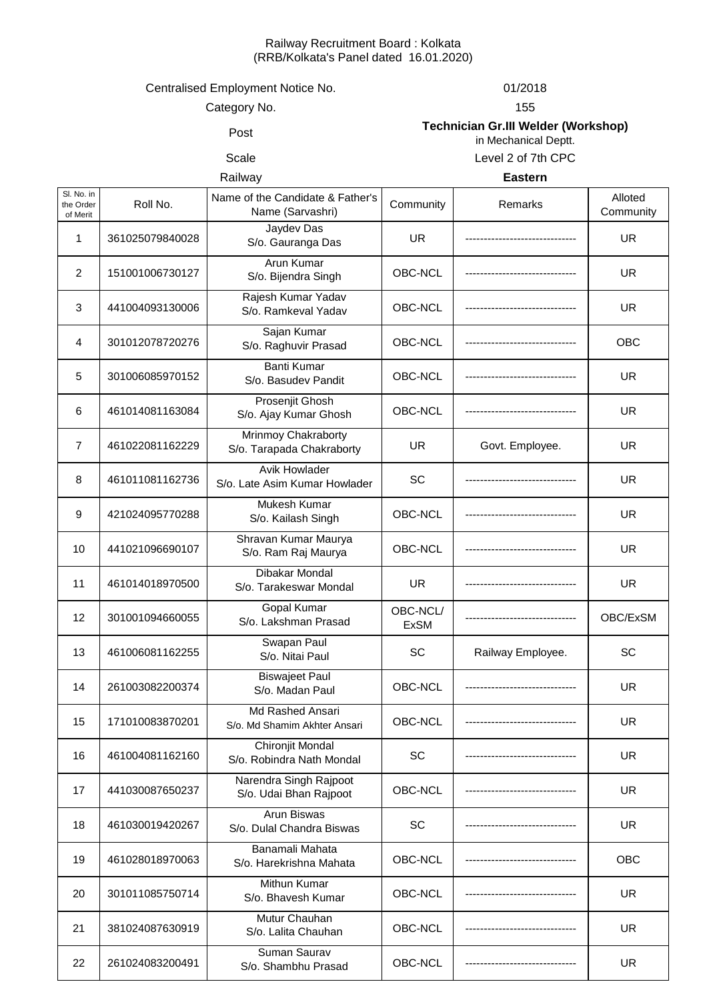## Railway Recruitment Board : Kolkata (RRB/Kolkata's Panel dated 16.01.2020)

# Centralised Employment Notice No. 01/2018

Category No.

155

# Post **Technician Gr.III Welder (Workshop)**  in Mechanical Deptt.

# Scale Level 2 of 7th CPC

Railway **Eastern**

| SI. No. in<br>the Order<br>of Merit | Roll No.        | Name of the Candidate & Father's<br>Name (Sarvashri)  | Community               | Remarks           | Alloted<br>Community |
|-------------------------------------|-----------------|-------------------------------------------------------|-------------------------|-------------------|----------------------|
| 1                                   | 361025079840028 | Jaydev Das<br>S/o. Gauranga Das                       | <b>UR</b>               |                   | <b>UR</b>            |
| $\overline{2}$                      | 151001006730127 | Arun Kumar<br>S/o. Bijendra Singh                     | OBC-NCL                 |                   | <b>UR</b>            |
| 3                                   | 441004093130006 | Rajesh Kumar Yadav<br>S/o. Ramkeval Yadav             | OBC-NCL                 |                   | <b>UR</b>            |
| 4                                   | 301012078720276 | Sajan Kumar<br>S/o. Raghuvir Prasad                   | OBC-NCL                 |                   | OBC                  |
| 5                                   | 301006085970152 | <b>Banti Kumar</b><br>S/o. Basudev Pandit             | OBC-NCL                 |                   | UR.                  |
| 6                                   | 461014081163084 | Prosenjit Ghosh<br>S/o. Ajay Kumar Ghosh              | OBC-NCL                 |                   | <b>UR</b>            |
| $\overline{7}$                      | 461022081162229 | Mrinmoy Chakraborty<br>S/o. Tarapada Chakraborty      | UR                      | Govt. Employee.   | UR.                  |
| 8                                   | 461011081162736 | <b>Avik Howlader</b><br>S/o. Late Asim Kumar Howlader | SC                      |                   | <b>UR</b>            |
| 9                                   | 421024095770288 | Mukesh Kumar<br>S/o. Kailash Singh                    | OBC-NCL                 |                   | <b>UR</b>            |
| 10                                  | 441021096690107 | Shravan Kumar Maurya<br>S/o. Ram Raj Maurya           | OBC-NCL                 |                   | <b>UR</b>            |
| 11                                  | 461014018970500 | Dibakar Mondal<br>S/o. Tarakeswar Mondal              | <b>UR</b>               |                   | <b>UR</b>            |
| 12                                  | 301001094660055 | <b>Gopal Kumar</b><br>S/o. Lakshman Prasad            | OBC-NCL/<br><b>ExSM</b> |                   | OBC/ExSM             |
| 13                                  | 461006081162255 | Swapan Paul<br>S/o. Nitai Paul                        | SC                      | Railway Employee. | SC                   |
| 14                                  | 261003082200374 | <b>Biswajeet Paul</b><br>S/o. Madan Paul              | OBC-NCL                 |                   | UR.                  |
| 15                                  | 171010083870201 | Md Rashed Ansari<br>S/o. Md Shamim Akhter Ansari      | OBC-NCL                 |                   | UR.                  |
| 16                                  | 461004081162160 | Chironjit Mondal<br>S/o. Robindra Nath Mondal         | SC                      |                   | <b>UR</b>            |
| 17                                  | 441030087650237 | Narendra Singh Rajpoot<br>S/o. Udai Bhan Rajpoot      | OBC-NCL                 |                   | <b>UR</b>            |
| 18                                  | 461030019420267 | Arun Biswas<br>S/o. Dulal Chandra Biswas              | SC                      |                   | UR.                  |
| 19                                  | 461028018970063 | Banamali Mahata<br>S/o. Harekrishna Mahata            | OBC-NCL                 |                   | OBC                  |
| 20                                  | 301011085750714 | Mithun Kumar<br>S/o. Bhavesh Kumar                    | OBC-NCL                 |                   | UR.                  |
| 21                                  | 381024087630919 | Mutur Chauhan<br>S/o. Lalita Chauhan                  | OBC-NCL                 |                   | <b>UR</b>            |
| 22                                  | 261024083200491 | Suman Saurav<br>S/o. Shambhu Prasad                   | OBC-NCL                 |                   | <b>UR</b>            |